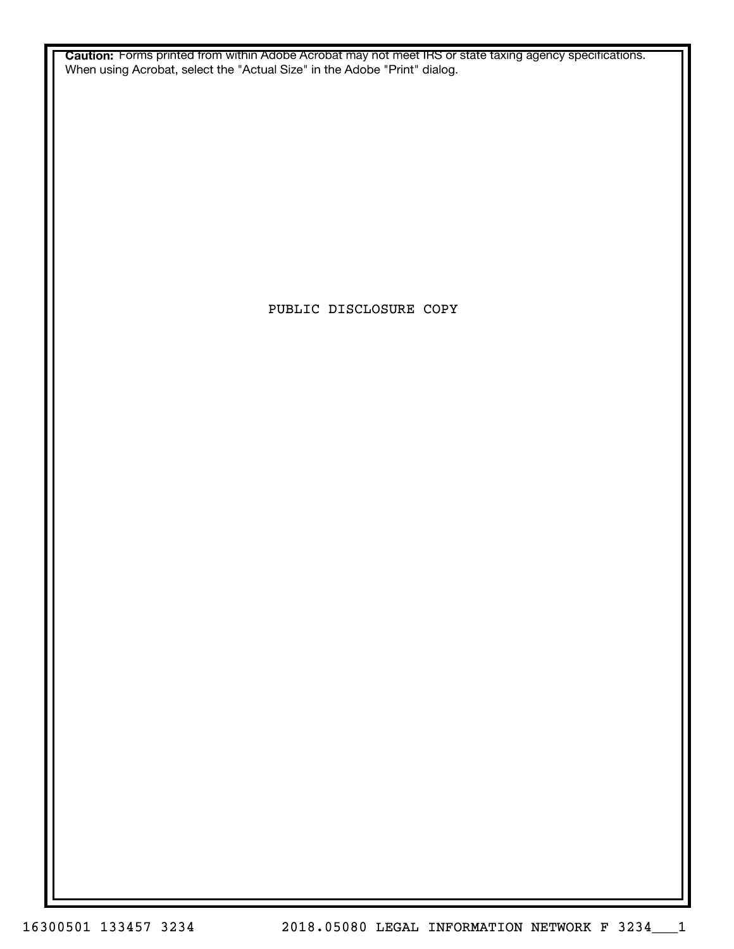**Caution:** Forms printed from within Adobe Acrobat may not meet IRS or state taxing agency specifications. When using Acrobat, select the "Actual Size" in the Adobe "Print" dialog.

PUBLIC DISCLOSURE COPY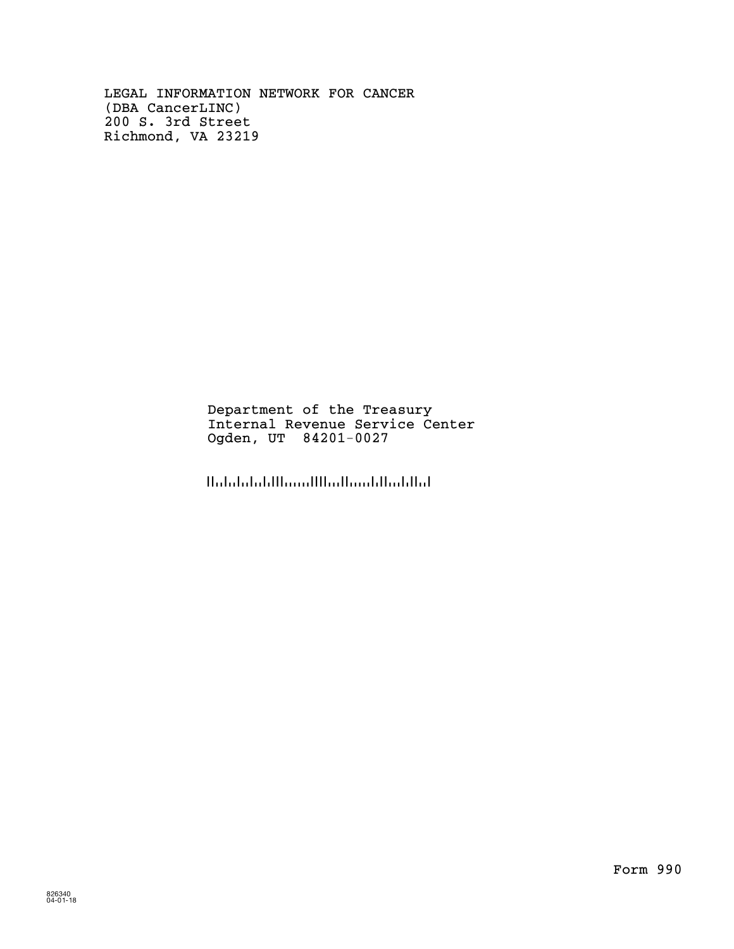LEGAL INFORMATION NETWORK FOR CANCER (DBA CancerLINC) 200 S. 3rd Street Richmond, VA 23219

> Department of the Treasury Internal Revenue Service Center Ogden, UT 84201-0027

!8420100276!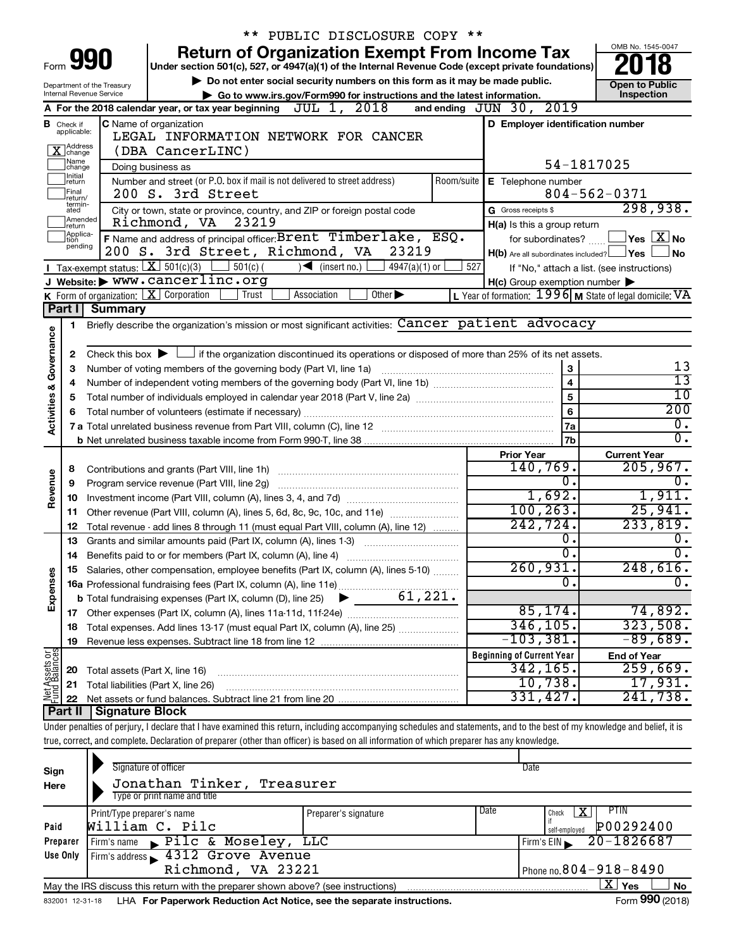|                         |                               |                                                                     | ** PUBLIC DISCLOSURE COPY **                                                                                                                                               |     |                                                     |                                                               |
|-------------------------|-------------------------------|---------------------------------------------------------------------|----------------------------------------------------------------------------------------------------------------------------------------------------------------------------|-----|-----------------------------------------------------|---------------------------------------------------------------|
|                         | 991                           |                                                                     | <b>Return of Organization Exempt From Income Tax</b>                                                                                                                       |     |                                                     | OMB No. 1545-0047                                             |
|                         |                               |                                                                     | Under section 501(c), 527, or 4947(a)(1) of the Internal Revenue Code (except private foundations)                                                                         |     |                                                     |                                                               |
|                         |                               | Department of the Treasury                                          | Do not enter social security numbers on this form as it may be made public.                                                                                                |     |                                                     | <b>Open to Public</b>                                         |
|                         |                               | Internal Revenue Service                                            | Go to www.irs.gov/Form990 for instructions and the latest information.                                                                                                     |     |                                                     | <b>Inspection</b>                                             |
|                         |                               | A For the 2018 calendar year, or tax year beginning $JUL$ 1, $2018$ |                                                                                                                                                                            |     | and ending JUN 30, 2019                             |                                                               |
|                         | <b>B</b> Check if applicable: | C Name of organization                                              | LEGAL INFORMATION NETWORK FOR CANCER                                                                                                                                       |     | D Employer identification number                    |                                                               |
|                         | X Address                     | (DBA CancerLINC)                                                    |                                                                                                                                                                            |     |                                                     |                                                               |
|                         | Name<br> change               | Doing business as                                                   |                                                                                                                                                                            |     |                                                     | 54-1817025                                                    |
|                         | Initial<br>return             |                                                                     | Number and street (or P.O. box if mail is not delivered to street address)                                                                                                 |     | Room/suite   E Telephone number                     |                                                               |
|                         | Final<br>return/              | 200 S. 3rd Street                                                   |                                                                                                                                                                            |     |                                                     | $804 - 562 - 0371$                                            |
|                         | termin-<br>ated               |                                                                     | City or town, state or province, country, and ZIP or foreign postal code                                                                                                   |     | G Gross receipts \$                                 | 298,938.                                                      |
|                         | Amended<br>Ireturn            | Richmond, VA                                                        | 23219                                                                                                                                                                      |     | H(a) Is this a group return                         |                                                               |
|                         | Applica-<br>Ition             |                                                                     | F Name and address of principal officer: Brent Timberlake, ESQ.                                                                                                            |     | for subordinates?                                   | $\sqrt{}$ Yes $\sqrt{ \ \overline{\mathrm{X}}}$ No            |
|                         | pending                       | 200 S. 3rd Street, Richmond, VA                                     | 23219                                                                                                                                                                      |     |                                                     | $H(b)$ Are all subordinates included? $\Box$ Yes<br><b>No</b> |
|                         |                               | Tax-exempt status: $X \over 301(c)(3)$<br>$\frac{1}{2}$ 501(c) (    | $\sqrt{\frac{1}{1}}$ (insert no.)<br>$4947(a)(1)$ or                                                                                                                       | 527 |                                                     | If "No," attach a list. (see instructions)                    |
|                         |                               | J Website: $\blacktriangleright$ WWW.Cancerlinc.org                 |                                                                                                                                                                            |     | $H(c)$ Group exemption number $\blacktriangleright$ |                                                               |
|                         |                               | K Form of organization:   X Corporation                             | Trust<br>Other $\blacktriangleright$<br>Association                                                                                                                        |     |                                                     | L Year of formation: $1996$ M State of legal domicile: VA     |
|                         |                               | Part I Summary                                                      |                                                                                                                                                                            |     |                                                     |                                                               |
|                         | 1.                            |                                                                     | Briefly describe the organization's mission or most significant activities: Cancer patient advocacy                                                                        |     |                                                     |                                                               |
| Activities & Governance | 2                             |                                                                     | Check this box $\blacktriangleright$ $\Box$ if the organization discontinued its operations or disposed of more than 25% of its net assets.                                |     |                                                     |                                                               |
|                         | З                             | Number of voting members of the governing body (Part VI, line 1a)   |                                                                                                                                                                            |     |                                                     | 13<br>3                                                       |
|                         | 4                             |                                                                     |                                                                                                                                                                            |     |                                                     | $\overline{13}$<br>$\overline{\mathbf{4}}$                    |
|                         | 5                             |                                                                     |                                                                                                                                                                            |     |                                                     | 10<br>5                                                       |
|                         |                               |                                                                     |                                                                                                                                                                            |     |                                                     | 200<br>6                                                      |
|                         |                               |                                                                     |                                                                                                                                                                            |     |                                                     | $\overline{0}$ .<br>7a                                        |
|                         |                               |                                                                     |                                                                                                                                                                            |     |                                                     | $\overline{0}$ .<br>7 <sub>b</sub>                            |
|                         |                               |                                                                     |                                                                                                                                                                            |     | <b>Prior Year</b>                                   | <b>Current Year</b>                                           |
|                         | 8                             |                                                                     |                                                                                                                                                                            |     | 140,769.                                            | 205,967.                                                      |
| Revenue                 | 9                             | Program service revenue (Part VIII, line 2g)                        |                                                                                                                                                                            |     |                                                     | 0.<br>$\mathbf 0$ .                                           |
|                         | 10                            |                                                                     |                                                                                                                                                                            |     | 1,692.                                              | 1,911.                                                        |
|                         | 11                            |                                                                     |                                                                                                                                                                            |     | 100, 263.<br>242,724.                               | 25,941.                                                       |
|                         | 12                            |                                                                     | Total revenue - add lines 8 through 11 (must equal Part VIII, column (A), line 12)                                                                                         |     |                                                     | 233,819.<br>О.<br>ο.                                          |
|                         | 13                            |                                                                     | Grants and similar amounts paid (Part IX, column (A), lines 1-3) <i>manoronononononon</i>                                                                                  |     |                                                     | $\overline{0}$ .<br>$\overline{0}$ .                          |
|                         |                               | 14 Benefits paid to or for members (Part IX, column (A), line 4)    | 15 Salaries, other compensation, employee benefits (Part IX, column (A), lines 5-10)                                                                                       |     | 260,931.                                            | 248,616.                                                      |
| Expenses                |                               |                                                                     |                                                                                                                                                                            |     | $\mathbf 0$ .                                       | $\overline{\mathbf{0}}$ .                                     |
|                         |                               |                                                                     |                                                                                                                                                                            |     |                                                     |                                                               |
|                         |                               |                                                                     |                                                                                                                                                                            |     | 85, 174.                                            | 74,892.                                                       |
|                         | 18                            |                                                                     | Total expenses. Add lines 13-17 (must equal Part IX, column (A), line 25)                                                                                                  |     | 346, 105.                                           | 323,508.                                                      |
|                         | 19                            |                                                                     |                                                                                                                                                                            |     | $-103,381.$                                         | $-89,689.$                                                    |
| Net Assets or           |                               |                                                                     |                                                                                                                                                                            |     | <b>Beginning of Current Year</b>                    | <b>End of Year</b>                                            |
|                         | 20                            | Total assets (Part X, line 16)                                      |                                                                                                                                                                            |     | 342,165.                                            | 259,669.                                                      |
|                         | 21                            | Total liabilities (Part X, line 26)                                 |                                                                                                                                                                            |     | 10,738.                                             | 17,931.                                                       |
|                         | 22                            |                                                                     |                                                                                                                                                                            |     | 331,427.                                            | 241,738.                                                      |
|                         | Part II                       | Signature Block                                                     |                                                                                                                                                                            |     |                                                     |                                                               |
|                         |                               |                                                                     | Under penalties of perjury, I declare that I have examined this return, including accompanying schedules and statements, and to the best of my knowledge and belief, it is |     |                                                     |                                                               |
|                         |                               |                                                                     | true, correct, and complete. Declaration of preparer (other than officer) is based on all information of which preparer has any knowledge.                                 |     |                                                     |                                                               |
|                         |                               | Signature of officer                                                |                                                                                                                                                                            |     | Date                                                |                                                               |
| Sign                    |                               | Jonathan Tinker,                                                    | Treasurer                                                                                                                                                                  |     |                                                     |                                                               |
| Here                    |                               | Type or print name and title                                        |                                                                                                                                                                            |     |                                                     |                                                               |
|                         |                               | Print/Type preparer's name                                          | Preparer's signature                                                                                                                                                       |     | Date<br>Check                                       | <b>PTIN</b><br>$\overline{\text{X}}$                          |
| Paid                    |                               | William C. Pilc                                                     |                                                                                                                                                                            |     | self-employed                                       | P00292400                                                     |
|                         | Preparer                      | Firm's name Pilc & Moseley, LLC                                     |                                                                                                                                                                            |     | Firm's EIN                                          | 20-1826687                                                    |
| Use Only                |                               | Firm's address 1312 Grove Avenue                                    |                                                                                                                                                                            |     |                                                     |                                                               |

832001 12-31-18 LHA For Paperwork Reduction Act Notice, see the separate instructions. Form 990 (2018) May the IRS discuss this return with the preparer shown above? (see instructions)

4312 Grove Avenue<br>Richmond, VA 2322

**Yes No** Form **990** (2018)

 $\boxed{\text{X}}$   $\text{Yes}$   $\boxed{\phantom{0}}$ 

Phone no.

 $\verb|Richmond|, VA 23221 |$   $\verb|Phone| no.804-918-8490 |$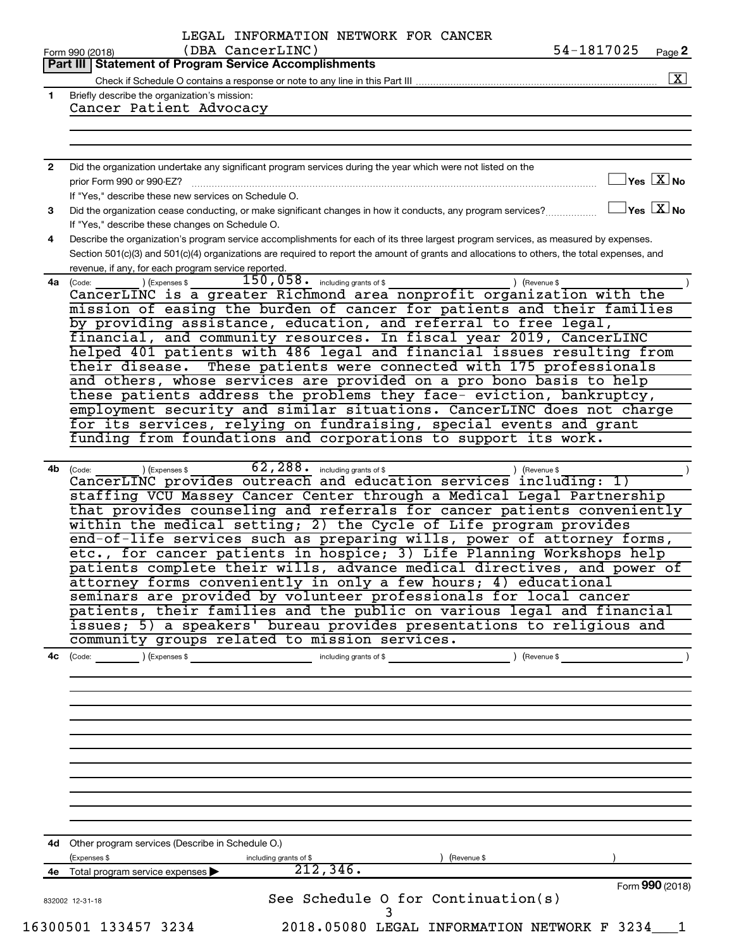|    | 54-1817025<br>(DBA CancerLINC)<br>Form 990 (2018)                                                                                                                                                                                                                                    | Page 2               |
|----|--------------------------------------------------------------------------------------------------------------------------------------------------------------------------------------------------------------------------------------------------------------------------------------|----------------------|
|    | <b>Part III   Statement of Program Service Accomplishments</b>                                                                                                                                                                                                                       |                      |
|    |                                                                                                                                                                                                                                                                                      | $\boxed{\mathbf{X}}$ |
| 1. | Briefly describe the organization's mission:<br>Cancer Patient Advocacy                                                                                                                                                                                                              |                      |
|    |                                                                                                                                                                                                                                                                                      |                      |
|    |                                                                                                                                                                                                                                                                                      |                      |
|    |                                                                                                                                                                                                                                                                                      |                      |
| 2  | Did the organization undertake any significant program services during the year which were not listed on the                                                                                                                                                                         |                      |
|    | $\exists$ Yes $\boxed{\text{X}}$ No<br>prior Form 990 or 990-EZ?                                                                                                                                                                                                                     |                      |
|    | If "Yes," describe these new services on Schedule O.                                                                                                                                                                                                                                 |                      |
| 3  | $\Box$ Yes $[\overline{\mathrm{X}}]$ No<br>Did the organization cease conducting, or make significant changes in how it conducts, any program services?                                                                                                                              |                      |
|    | If "Yes," describe these changes on Schedule O.                                                                                                                                                                                                                                      |                      |
| 4  | Describe the organization's program service accomplishments for each of its three largest program services, as measured by expenses.<br>Section 501(c)(3) and 501(c)(4) organizations are required to report the amount of grants and allocations to others, the total expenses, and |                      |
|    | revenue, if any, for each program service reported.                                                                                                                                                                                                                                  |                      |
| 4a | $\overline{150,058}$ $\cdot$ including grants of \$<br>) (Expenses \$<br>) (Revenue \$<br>(Code:                                                                                                                                                                                     |                      |
|    | CancerLINC is a greater Richmond area nonprofit organization with the                                                                                                                                                                                                                |                      |
|    | mission of easing the burden of cancer for patients and their families                                                                                                                                                                                                               |                      |
|    | by providing assistance, education, and referral to free legal,                                                                                                                                                                                                                      |                      |
|    | financial, and community resources. In fiscal year 2019, CancerLINC                                                                                                                                                                                                                  |                      |
|    | helped 401 patients with 486 legal and financial issues resulting from                                                                                                                                                                                                               |                      |
|    | These patients were connected with 175 professionals<br>their disease.<br>and others, whose services are provided on a pro bono basis to help                                                                                                                                        |                      |
|    | these patients address the problems they face- eviction, bankruptcy,                                                                                                                                                                                                                 |                      |
|    | employment security and similar situations. CancerLINC does not charge                                                                                                                                                                                                               |                      |
|    | for its services, relying on fundraising, special events and grant                                                                                                                                                                                                                   |                      |
|    | funding from foundations and corporations to support its work.                                                                                                                                                                                                                       |                      |
|    |                                                                                                                                                                                                                                                                                      |                      |
|    | 62, 288. including grants of \$<br>4b (Code:<br>) (Expenses \$<br>) (Revenue \$                                                                                                                                                                                                      |                      |
|    | CancerLINC provides outreach and education services including: 1)                                                                                                                                                                                                                    |                      |
|    | staffing VCU Massey Cancer Center through a Medical Legal Partnership                                                                                                                                                                                                                |                      |
|    | that provides counseling and referrals for cancer patients conveniently                                                                                                                                                                                                              |                      |
|    | within the medical setting; 2) the Cycle of Life program provides                                                                                                                                                                                                                    |                      |
|    | end-of-life services such as preparing wills, power of attorney forms,<br>etc., for cancer patients in hospice; 3) Life Planning Workshops help                                                                                                                                      |                      |
|    | patients complete their wills, advance medical directives, and power of                                                                                                                                                                                                              |                      |
|    | attorney forms conveniently in only a few hours; 4) educational                                                                                                                                                                                                                      |                      |
|    | seminars are provided by volunteer professionals for local cancer                                                                                                                                                                                                                    |                      |
|    | patients, their families and the public on various legal and financial                                                                                                                                                                                                               |                      |
|    | issues; 5) a speakers' bureau provides presentations to religious and                                                                                                                                                                                                                |                      |
|    | community groups related to mission services.                                                                                                                                                                                                                                        |                      |
|    | 4c (Code: ) (Expenses \$                                                                                                                                                                                                                                                             |                      |
|    |                                                                                                                                                                                                                                                                                      |                      |
|    |                                                                                                                                                                                                                                                                                      |                      |
|    |                                                                                                                                                                                                                                                                                      |                      |
|    |                                                                                                                                                                                                                                                                                      |                      |
|    |                                                                                                                                                                                                                                                                                      |                      |
|    |                                                                                                                                                                                                                                                                                      |                      |
|    |                                                                                                                                                                                                                                                                                      |                      |
|    |                                                                                                                                                                                                                                                                                      |                      |
|    |                                                                                                                                                                                                                                                                                      |                      |
|    |                                                                                                                                                                                                                                                                                      |                      |
|    |                                                                                                                                                                                                                                                                                      |                      |
|    | 4d Other program services (Describe in Schedule O.)                                                                                                                                                                                                                                  |                      |
|    | (Expenses \$<br>) (Revenue \$<br>including grants of \$<br>212, 346.                                                                                                                                                                                                                 |                      |
|    | 4e Total program service expenses ><br>Form 990 (2018)                                                                                                                                                                                                                               |                      |
|    |                                                                                                                                                                                                                                                                                      |                      |
|    | See Schedule O for Continuation(s)<br>832002 12-31-18                                                                                                                                                                                                                                |                      |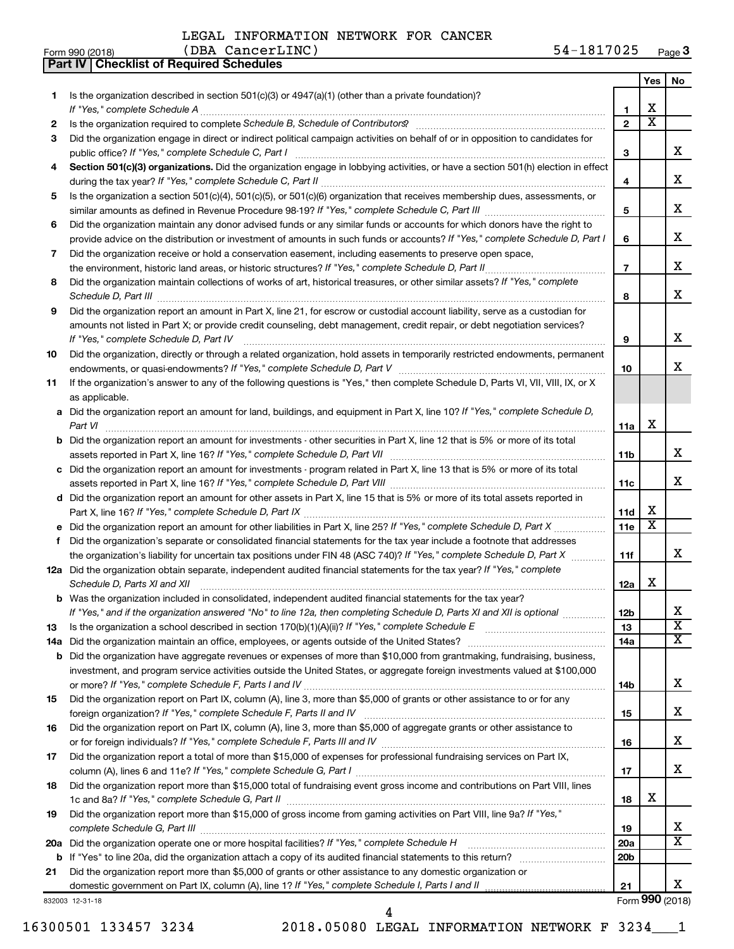**3** (DBA CancerLINC) 54-1817025

**11a**

X

X X

X

X

X

X

X  $\overline{\mathtt{x}}$ X

X

X

X

X

X X

**11b**

**11c**

**11d 11e**

**11f**

**12a**

**12b 13 14a**

**14b**

**15**

**16**

**17**

**18**

**19 20a 20b**

**21**

|              | Form 990 (2018)<br>(DBA CancerLINC)<br>54-181/025                                                                                                                                                                                   |                |            | Page |
|--------------|-------------------------------------------------------------------------------------------------------------------------------------------------------------------------------------------------------------------------------------|----------------|------------|------|
|              | Part IV   Checklist of Required Schedules                                                                                                                                                                                           |                |            |      |
|              |                                                                                                                                                                                                                                     |                | <b>Yes</b> | No   |
| 1.           | Is the organization described in section $501(c)(3)$ or $4947(a)(1)$ (other than a private foundation)?                                                                                                                             |                |            |      |
|              |                                                                                                                                                                                                                                     | 1              | X          |      |
| $\mathbf{2}$ |                                                                                                                                                                                                                                     | $\overline{2}$ | x          |      |
| 3            | Did the organization engage in direct or indirect political campaign activities on behalf of or in opposition to candidates for                                                                                                     |                |            |      |
|              |                                                                                                                                                                                                                                     | 3              |            | X    |
| 4            | Section 501(c)(3) organizations. Did the organization engage in lobbying activities, or have a section 501(h) election in effect                                                                                                    |                |            |      |
|              |                                                                                                                                                                                                                                     | 4              |            | х    |
| 5            | Is the organization a section 501(c)(4), 501(c)(5), or 501(c)(6) organization that receives membership dues, assessments, or                                                                                                        |                |            |      |
|              |                                                                                                                                                                                                                                     | 5              |            | х    |
| 6            | Did the organization maintain any donor advised funds or any similar funds or accounts for which donors have the right to                                                                                                           |                |            |      |
|              | provide advice on the distribution or investment of amounts in such funds or accounts? If "Yes," complete Schedule D, Part I                                                                                                        | 6              |            | х    |
| 7            | Did the organization receive or hold a conservation easement, including easements to preserve open space,                                                                                                                           |                |            |      |
|              | the environment, historic land areas, or historic structures? If "Yes," complete Schedule D, Part II                                                                                                                                | $\overline{ }$ |            | X    |
| 8            | Did the organization maintain collections of works of art, historical treasures, or other similar assets? If "Yes," complete                                                                                                        |                |            |      |
|              | Schedule D, Part III <b>Marting Community</b> Construction of the Construction of the Construction of the Construction of the Construction of the Construction of the Construction of the Construction of the Construction of the C | 8              |            | X    |
| 9            | Did the organization report an amount in Part X, line 21, for escrow or custodial account liability, serve as a custodian for                                                                                                       |                |            |      |
|              | amounts not listed in Part X; or provide credit counseling, debt management, credit repair, or debt negotiation services?                                                                                                           |                |            |      |
|              | If "Yes," complete Schedule D, Part IV                                                                                                                                                                                              | 9              |            | x    |
| 10           | Did the organization, directly or through a related organization, hold assets in temporarily restricted endowments, permanent                                                                                                       |                |            |      |
|              |                                                                                                                                                                                                                                     | 10             |            | X    |
| 11           | If the organization's answer to any of the following questions is "Yes," then complete Schedule D, Parts VI, VII, VIII, IX, or X                                                                                                    |                |            |      |
|              | as applicable.                                                                                                                                                                                                                      |                |            |      |

|         |  | a Did the organization report an amount for land, buildings, and equipment in Part X, line 10? If "Yes," complete Schedule D, |  |  |  |  |  |
|---------|--|-------------------------------------------------------------------------------------------------------------------------------|--|--|--|--|--|
| Part VI |  |                                                                                                                               |  |  |  |  |  |

| <b>b</b> Did the organization report an amount for investments - other securities in Part X, line 12 that is 5% or more of its total |
|--------------------------------------------------------------------------------------------------------------------------------------|
| assets reported in Part X, line 16? If "Yes," complete Schedule D, Part VII                                                          |

| c Did the organization report an amount for investments - program related in Part X, line 13 that is 5% or more of its total   |
|--------------------------------------------------------------------------------------------------------------------------------|
| assets reported in Part X, line 16? If "Yes," complete Schedule D, Part VIII                                                   |
| d Did the organization report an amount for other assets in Part X, line 15 that is 5% or more of its total assets reported in |

**e** Did the organization report an amount for other liabilities in Part X, line 25? If "Yes," complete Schedule D, Part X .................. **f** *If "Yes," complete Schedule D, Part IX* Part X, line 16? ~~~~~~~~~~~~~~~~~~~~~~~~~~~~~~~~~~~ Did the organization's separate or consolidated financial statements for the tax year include a footnote that addresses

| the organization's liability for uncertain tax positions under FIN 48 (ASC 740)? If "Yes," complete Schedule D, Part X  |
|-------------------------------------------------------------------------------------------------------------------------|
| 12a Did the organization obtain separate, independent audited financial statements for the tax year? If "Yes," complete |
| Schedule D, Parts XI and XII                                                                                            |

**13 b** Was the organization included in consolidated, independent audited financial statements for the tax year? If "Yes," and if the organization answered "No" to line 12a, then completing Schedule D, Parts XI and XII is optional *…………*…

| 13 Is the organization a school described in section $170(b)(1)(A)(ii)?$ If "Yes," complete Schedule E                           |
|----------------------------------------------------------------------------------------------------------------------------------|
| 14a Did the organization maintain an office, employees, or agents outside of the United States?                                  |
| <b>b</b> Did the organization have aggregate revenues or expenses of more than \$10,000 from grantmaking, fundraising, business, |
| investment, and program service activities outside the United States, or aggregate foreign investments valued at \$100,000       |
| or more? If "Yes," complete Schedule F, Parts I and IV                                                                           |
|                                                                                                                                  |

| 15 Did the organization report on Part IX, column (A), line 3, more than \$5,000 of grants or other assistance to or for any |
|------------------------------------------------------------------------------------------------------------------------------|
| foreign organization? If "Yes," complete Schedule F, Parts II and IV                                                         |
| 16 Did the organization report on Part IX, column (A), line 3, more than \$5,000 of aggregate grants or other assistance to  |

| or for foreign individuals? If "Yes," complete Schedule F, Parts III and IV                                                |
|----------------------------------------------------------------------------------------------------------------------------|
| 17 Did the organization report a total of more than \$15,000 of expenses for professional fundraising services on Part IX, |
|                                                                                                                            |

**18** *If "Yes," complete Schedule G, Part I* column (A), lines 6 and 11e? ~~~~~~~~~~~~~~~~~~~~~~~~~~~~~ Did the organization report more than \$15,000 total of fundraising event gross income and contributions on Part VIII, lines

| 1c and 8a? If "Yes." complete Schedule G. Part II                                                                      |
|------------------------------------------------------------------------------------------------------------------------|
| Did the organization report more than \$15,000 of gross income from gaming activities on Part VIII, line 9a? If "Yes," |
| complete Schedule G, Part III                                                                                          |

**20 a** *If "Yes," complete Schedule H* Did the organization operate one or more hospital facilities? ~~~~~~~~~~~~~~~~

| <b>b</b> If "Yes" to line 20a, did the organization attach a copy of its audited financial statements to this return? |
|-----------------------------------------------------------------------------------------------------------------------|
| 21 Did the organization report more than \$5,000 of grants or other assistance to any domestic organization or        |

832003 12-31-18 domestic government on Part IX, column (A), line 1? If "Yes," complete Schedule I, Parts I and II mummumumumumumu

X

16300501 133457 3234 2018.05080 LEGAL INFORMATION NETWORK F 3234\_\_\_1

4

X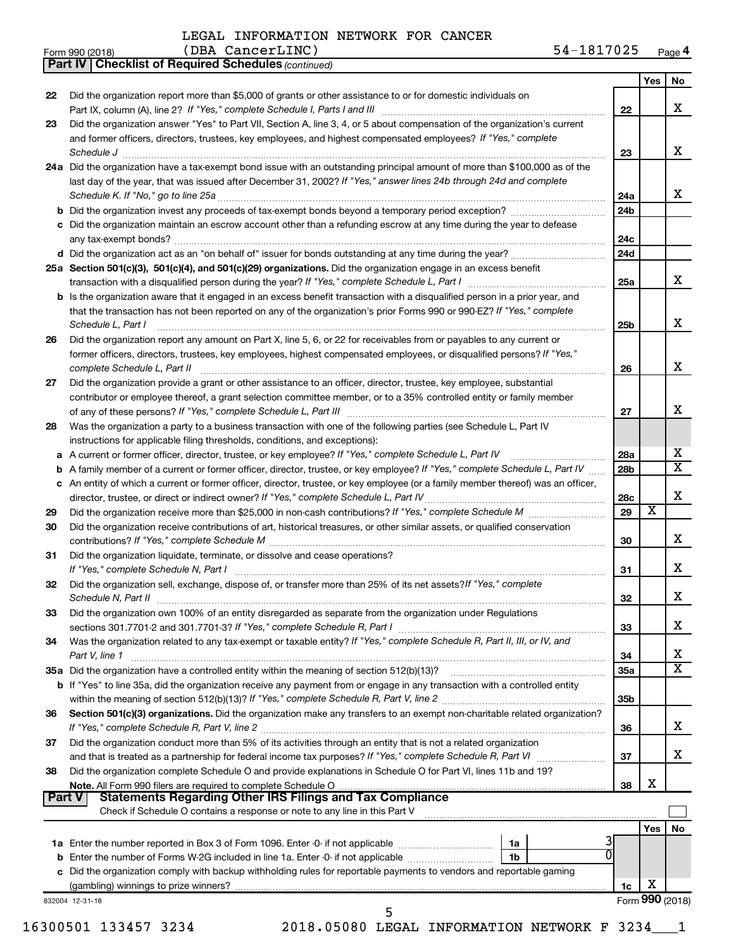*(continued)* **Part IV Checklist of Required Schedules**

|                                                                                                                                                                                                                                                                                                                        |                           | Yes $ $                 | No                                                                  |
|------------------------------------------------------------------------------------------------------------------------------------------------------------------------------------------------------------------------------------------------------------------------------------------------------------------------|---------------------------|-------------------------|---------------------------------------------------------------------|
| Did the organization report more than \$5,000 of grants or other assistance to or for domestic individuals on                                                                                                                                                                                                          | 22                        |                         | х                                                                   |
| Did the organization answer "Yes" to Part VII, Section A, line 3, 4, or 5 about compensation of the organization's current<br>and former officers, directors, trustees, key employees, and highest compensated employees? If "Yes," complete<br>Schedule J <b>www.communications.communications.communications.com</b> | 23                        |                         | x                                                                   |
| 24a Did the organization have a tax-exempt bond issue with an outstanding principal amount of more than \$100,000 as of the                                                                                                                                                                                            |                           |                         |                                                                     |
| last day of the year, that was issued after December 31, 2002? If "Yes," answer lines 24b through 24d and complete                                                                                                                                                                                                     |                           |                         |                                                                     |
|                                                                                                                                                                                                                                                                                                                        | 24a                       |                         | x                                                                   |
|                                                                                                                                                                                                                                                                                                                        | 24b                       |                         |                                                                     |
| c Did the organization maintain an escrow account other than a refunding escrow at any time during the year to defease                                                                                                                                                                                                 |                           |                         |                                                                     |
|                                                                                                                                                                                                                                                                                                                        | 24с<br>24d                |                         |                                                                     |
| 25a Section 501(c)(3), 501(c)(4), and 501(c)(29) organizations. Did the organization engage in an excess benefit                                                                                                                                                                                                       |                           |                         |                                                                     |
|                                                                                                                                                                                                                                                                                                                        | 25a                       |                         | х                                                                   |
| b Is the organization aware that it engaged in an excess benefit transaction with a disqualified person in a prior year, and                                                                                                                                                                                           |                           |                         |                                                                     |
| that the transaction has not been reported on any of the organization's prior Forms 990 or 990-EZ? If "Yes," complete<br>Schedule L, Part I                                                                                                                                                                            | 25b                       |                         | х                                                                   |
| Did the organization report any amount on Part X, line 5, 6, or 22 for receivables from or payables to any current or<br>former officers, directors, trustees, key employees, highest compensated employees, or disqualified persons? If "Yes,"                                                                        |                           |                         |                                                                     |
| complete Schedule L, Part II                                                                                                                                                                                                                                                                                           | 26                        |                         | х                                                                   |
| Did the organization provide a grant or other assistance to an officer, director, trustee, key employee, substantial                                                                                                                                                                                                   |                           |                         |                                                                     |
| contributor or employee thereof, a grant selection committee member, or to a 35% controlled entity or family member                                                                                                                                                                                                    |                           |                         |                                                                     |
|                                                                                                                                                                                                                                                                                                                        | 27                        |                         | x                                                                   |
| Was the organization a party to a business transaction with one of the following parties (see Schedule L, Part IV                                                                                                                                                                                                      |                           |                         |                                                                     |
| instructions for applicable filing thresholds, conditions, and exceptions):                                                                                                                                                                                                                                            |                           |                         |                                                                     |
| a A current or former officer, director, trustee, or key employee? If "Yes," complete Schedule L, Part IV                                                                                                                                                                                                              | 28a                       |                         | x<br>$\overline{\mathbf{x}}$                                        |
| <b>b</b> A family member of a current or former officer, director, trustee, or key employee? If "Yes," complete Schedule L, Part IV                                                                                                                                                                                    | 28b                       |                         |                                                                     |
| c An entity of which a current or former officer, director, trustee, or key employee (or a family member thereof) was an officer,                                                                                                                                                                                      |                           |                         |                                                                     |
| director, trustee, or direct or indirect owner? If "Yes," complete Schedule L, Part IV.                                                                                                                                                                                                                                | 28c                       |                         | x                                                                   |
|                                                                                                                                                                                                                                                                                                                        | 29                        | $\overline{\mathbf{X}}$ |                                                                     |
| Did the organization receive contributions of art, historical treasures, or other similar assets, or qualified conservation                                                                                                                                                                                            | 30                        |                         | X                                                                   |
| Did the organization liquidate, terminate, or dissolve and cease operations?                                                                                                                                                                                                                                           | 31                        |                         | x                                                                   |
| Did the organization sell, exchange, dispose of, or transfer more than 25% of its net assets? If "Yes," complete                                                                                                                                                                                                       | 32                        |                         | x                                                                   |
| Did the organization own 100% of an entity disregarded as separate from the organization under Regulations                                                                                                                                                                                                             |                           |                         |                                                                     |
|                                                                                                                                                                                                                                                                                                                        | 33                        |                         | x                                                                   |
| Was the organization related to any tax-exempt or taxable entity? If "Yes," complete Schedule R, Part II, III, or IV, and                                                                                                                                                                                              |                           |                         |                                                                     |
| Part V, line 1                                                                                                                                                                                                                                                                                                         | 34                        |                         | x                                                                   |
| 35a Did the organization have a controlled entity within the meaning of section 512(b)(13)?                                                                                                                                                                                                                            | 35a                       |                         | $\overline{\textbf{x}}$                                             |
| b If "Yes" to line 35a, did the organization receive any payment from or engage in any transaction with a controlled entity                                                                                                                                                                                            |                           |                         |                                                                     |
|                                                                                                                                                                                                                                                                                                                        | 35b                       |                         |                                                                     |
| Section 501(c)(3) organizations. Did the organization make any transfers to an exempt non-charitable related organization?                                                                                                                                                                                             | 36                        |                         | x                                                                   |
| Did the organization conduct more than 5% of its activities through an entity that is not a related organization                                                                                                                                                                                                       | 37                        |                         | X                                                                   |
| Did the organization complete Schedule O and provide explanations in Schedule O for Part VI, lines 11b and 19?                                                                                                                                                                                                         |                           |                         |                                                                     |
| <b>Statements Regarding Other IRS Filings and Tax Compliance</b>                                                                                                                                                                                                                                                       | 38                        | х                       |                                                                     |
| Check if Schedule O contains a response or note to any line in this Part V                                                                                                                                                                                                                                             |                           |                         |                                                                     |
|                                                                                                                                                                                                                                                                                                                        |                           | Yes                     | No                                                                  |
| 1a<br>0                                                                                                                                                                                                                                                                                                                |                           |                         |                                                                     |
| 1b                                                                                                                                                                                                                                                                                                                     |                           |                         |                                                                     |
| c Did the organization comply with backup withholding rules for reportable payments to vendors and reportable gaming                                                                                                                                                                                                   |                           |                         |                                                                     |
|                                                                                                                                                                                                                                                                                                                        |                           |                         |                                                                     |
| 832004 12-31-18                                                                                                                                                                                                                                                                                                        |                           |                         |                                                                     |
|                                                                                                                                                                                                                                                                                                                        | 5<br>16300501 133457 3234 | 1c                      | х<br>Form 990 (2018)<br>2018.05080 LEGAL INFORMATION NETWORK F 3234 |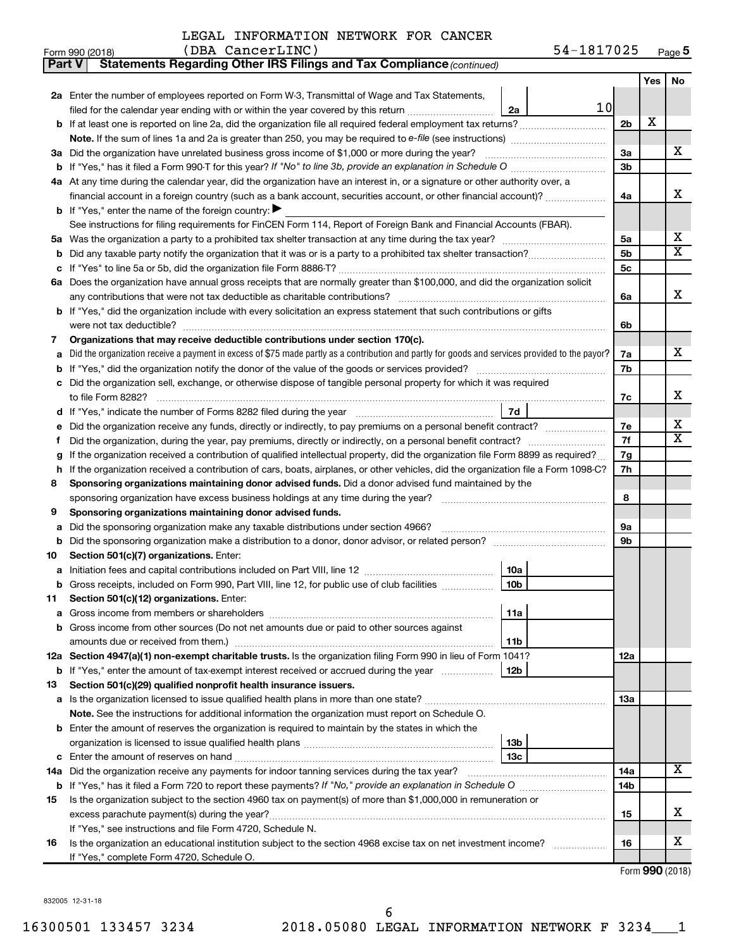| <b>Part V</b> | <b>Statements Regarding Other IRS Filings and Tax Compliance (continued)</b>                                                                    |                |     |                         |  |  |  |
|---------------|-------------------------------------------------------------------------------------------------------------------------------------------------|----------------|-----|-------------------------|--|--|--|
|               |                                                                                                                                                 |                | Yes | No                      |  |  |  |
|               | 2a Enter the number of employees reported on Form W-3, Transmittal of Wage and Tax Statements,                                                  |                |     |                         |  |  |  |
|               | 10<br>filed for the calendar year ending with or within the year covered by this return<br>2a                                                   |                |     |                         |  |  |  |
|               | b If at least one is reported on line 2a, did the organization file all required federal employment tax returns?                                | 2 <sub>b</sub> | X   |                         |  |  |  |
|               | Note. If the sum of lines 1a and 2a is greater than 250, you may be required to e-file (see instructions) <i></i>                               |                |     |                         |  |  |  |
| За            | Did the organization have unrelated business gross income of \$1,000 or more during the year?                                                   | За             |     | x                       |  |  |  |
| b             | If "Yes," has it filed a Form 990-T for this year? If "No" to line 3b, provide an explanation in Schedule O manumumum                           | 3b             |     |                         |  |  |  |
|               | 4a At any time during the calendar year, did the organization have an interest in, or a signature or other authority over, a                    |                |     |                         |  |  |  |
|               | financial account in a foreign country (such as a bank account, securities account, or other financial account)?                                | 4a             |     | х                       |  |  |  |
|               | <b>b</b> If "Yes," enter the name of the foreign country: $\blacktriangleright$                                                                 |                |     |                         |  |  |  |
|               | See instructions for filing requirements for FinCEN Form 114, Report of Foreign Bank and Financial Accounts (FBAR).                             |                |     |                         |  |  |  |
| 5a            |                                                                                                                                                 | 5a             |     | х                       |  |  |  |
| b             |                                                                                                                                                 | 5 <sub>b</sub> |     | $\overline{\mathbf{X}}$ |  |  |  |
| с             |                                                                                                                                                 | 5c             |     |                         |  |  |  |
|               | 6a Does the organization have annual gross receipts that are normally greater than \$100,000, and did the organization solicit                  |                |     |                         |  |  |  |
|               |                                                                                                                                                 | 6a             |     | х                       |  |  |  |
|               | b If "Yes," did the organization include with every solicitation an express statement that such contributions or gifts                          |                |     |                         |  |  |  |
|               |                                                                                                                                                 | 6b             |     |                         |  |  |  |
| 7             | Organizations that may receive deductible contributions under section 170(c).                                                                   |                |     |                         |  |  |  |
| a             | Did the organization receive a payment in excess of \$75 made partly as a contribution and partly for goods and services provided to the payor? | 7a             |     | х                       |  |  |  |
| b             |                                                                                                                                                 | 7b             |     |                         |  |  |  |
|               | Did the organization sell, exchange, or otherwise dispose of tangible personal property for which it was required                               |                |     |                         |  |  |  |
|               |                                                                                                                                                 | 7c             |     | х                       |  |  |  |
| d             | 7d                                                                                                                                              |                |     |                         |  |  |  |
| е             |                                                                                                                                                 | 7е             |     | х                       |  |  |  |
|               |                                                                                                                                                 | 7f             |     | $\overline{\mathbf{X}}$ |  |  |  |
| g             | If the organization received a contribution of qualified intellectual property, did the organization file Form 8899 as required?                | 7g             |     |                         |  |  |  |
| h             | If the organization received a contribution of cars, boats, airplanes, or other vehicles, did the organization file a Form 1098-C?              | 7h             |     |                         |  |  |  |
| 8             | Sponsoring organizations maintaining donor advised funds. Did a donor advised fund maintained by the                                            |                |     |                         |  |  |  |
|               | sponsoring organization have excess business holdings at any time during the year? [11111111111111111111111111                                  | 8              |     |                         |  |  |  |
| 9             | Sponsoring organizations maintaining donor advised funds.                                                                                       |                |     |                         |  |  |  |
| а             | Did the sponsoring organization make any taxable distributions under section 4966?                                                              | <b>9a</b>      |     |                         |  |  |  |
| b             |                                                                                                                                                 | 9b             |     |                         |  |  |  |
| 10            | Section 501(c)(7) organizations. Enter:                                                                                                         |                |     |                         |  |  |  |
| а             | 10a                                                                                                                                             |                |     |                         |  |  |  |
|               | 10 <sub>b</sub><br>b Gross receipts, included on Form 990, Part VIII, line 12, for public use of club facilities                                |                |     |                         |  |  |  |
| 11            | Section 501(c)(12) organizations. Enter:                                                                                                        |                |     |                         |  |  |  |
| а             | 11a                                                                                                                                             |                |     |                         |  |  |  |
| b             | Gross income from other sources (Do not net amounts due or paid to other sources against                                                        |                |     |                         |  |  |  |
|               | amounts due or received from them.)<br>11b                                                                                                      |                |     |                         |  |  |  |
|               | 12a Section 4947(a)(1) non-exempt charitable trusts. Is the organization filing Form 990 in lieu of Form 1041?                                  | 12a            |     |                         |  |  |  |
|               | 12b<br><b>b</b> If "Yes," enter the amount of tax-exempt interest received or accrued during the year                                           |                |     |                         |  |  |  |
| 13            | Section 501(c)(29) qualified nonprofit health insurance issuers.                                                                                |                |     |                         |  |  |  |
| а             | Is the organization licensed to issue qualified health plans in more than one state?                                                            | 1За            |     |                         |  |  |  |
|               | Note. See the instructions for additional information the organization must report on Schedule O.                                               |                |     |                         |  |  |  |
|               | <b>b</b> Enter the amount of reserves the organization is required to maintain by the states in which the                                       |                |     |                         |  |  |  |
|               | 13 <sub>b</sub>                                                                                                                                 |                |     |                         |  |  |  |
| с             | 13с                                                                                                                                             |                |     |                         |  |  |  |
| 14a           | Did the organization receive any payments for indoor tanning services during the tax year?                                                      | 14a            |     | x                       |  |  |  |
|               |                                                                                                                                                 |                |     |                         |  |  |  |
| 15            | Is the organization subject to the section 4960 tax on payment(s) of more than \$1,000,000 in remuneration or                                   |                |     |                         |  |  |  |
|               |                                                                                                                                                 | 15             |     | х                       |  |  |  |
|               | If "Yes," see instructions and file Form 4720, Schedule N.                                                                                      |                |     |                         |  |  |  |
| 16            | Is the organization an educational institution subject to the section 4968 excise tax on net investment income?                                 | 16             |     | x                       |  |  |  |
|               | If "Yes," complete Form 4720, Schedule O.                                                                                                       |                |     |                         |  |  |  |

Form (2018) **990**

832005 12-31-18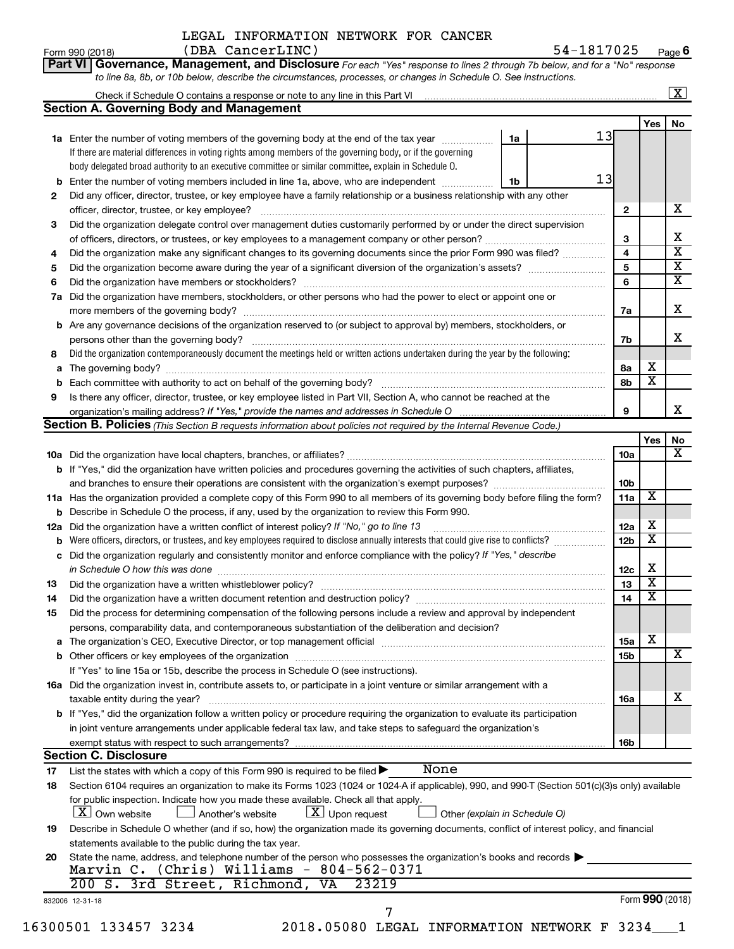Form 990 (2018) Page **6** (DBA CancerLINC) 54-1817025

|     | <b>Section A. Governing Body and Management</b>                                                                                                                                                                                     |    |    |                 |                         |                         |
|-----|-------------------------------------------------------------------------------------------------------------------------------------------------------------------------------------------------------------------------------------|----|----|-----------------|-------------------------|-------------------------|
|     |                                                                                                                                                                                                                                     |    | 13 |                 | Yes                     | No                      |
|     | 1a Enter the number of voting members of the governing body at the end of the tax year <i>manumum</i>                                                                                                                               | 1a |    |                 |                         |                         |
|     | If there are material differences in voting rights among members of the governing body, or if the governing                                                                                                                         |    |    |                 |                         |                         |
|     | body delegated broad authority to an executive committee or similar committee, explain in Schedule O.                                                                                                                               |    | 13 |                 |                         |                         |
|     | <b>b</b> Enter the number of voting members included in line 1a, above, who are independent                                                                                                                                         | 1b |    |                 |                         |                         |
| 2   | Did any officer, director, trustee, or key employee have a family relationship or a business relationship with any other                                                                                                            |    |    | $\mathbf{2}$    |                         | х                       |
| 3   | Did the organization delegate control over management duties customarily performed by or under the direct supervision                                                                                                               |    |    |                 |                         |                         |
|     |                                                                                                                                                                                                                                     |    |    | 3               |                         | Х                       |
| 4   | Did the organization make any significant changes to its governing documents since the prior Form 990 was filed?                                                                                                                    |    |    | 4               |                         | $\overline{\mathbf{x}}$ |
| 5   |                                                                                                                                                                                                                                     |    |    | 5               |                         | $\overline{\mathbf{x}}$ |
| 6   |                                                                                                                                                                                                                                     |    |    | 6               |                         | $\overline{\mathbf{X}}$ |
| 7a  | Did the organization have members, stockholders, or other persons who had the power to elect or appoint one or                                                                                                                      |    |    |                 |                         |                         |
|     |                                                                                                                                                                                                                                     |    |    | 7a              |                         | Х                       |
|     | <b>b</b> Are any governance decisions of the organization reserved to (or subject to approval by) members, stockholders, or                                                                                                         |    |    |                 |                         |                         |
|     |                                                                                                                                                                                                                                     |    |    | 7b              |                         | x                       |
| 8   | Did the organization contemporaneously document the meetings held or written actions undertaken during the year by the following:                                                                                                   |    |    |                 |                         |                         |
| a   |                                                                                                                                                                                                                                     |    |    | 8а              | х                       |                         |
|     |                                                                                                                                                                                                                                     |    |    | 8b              | $\overline{\mathbf{X}}$ |                         |
| 9   | Is there any officer, director, trustee, or key employee listed in Part VII, Section A, who cannot be reached at the                                                                                                                |    |    |                 |                         |                         |
|     |                                                                                                                                                                                                                                     |    |    | 9               |                         | x                       |
|     | Section B. Policies (This Section B requests information about policies not required by the Internal Revenue Code.)                                                                                                                 |    |    |                 |                         |                         |
|     |                                                                                                                                                                                                                                     |    |    |                 | Yes                     | No                      |
|     |                                                                                                                                                                                                                                     |    |    | <b>10a</b>      |                         | х                       |
|     | b If "Yes," did the organization have written policies and procedures governing the activities of such chapters, affiliates,                                                                                                        |    |    |                 |                         |                         |
|     |                                                                                                                                                                                                                                     |    |    | 10b             |                         |                         |
|     | 11a Has the organization provided a complete copy of this Form 990 to all members of its governing body before filing the form?                                                                                                     |    |    | 11a             | X                       |                         |
|     | <b>b</b> Describe in Schedule O the process, if any, used by the organization to review this Form 990.                                                                                                                              |    |    |                 |                         |                         |
| 12a | Did the organization have a written conflict of interest policy? If "No," go to line 13                                                                                                                                             |    |    | 12a             | х                       |                         |
|     | <b>b</b> Were officers, directors, or trustees, and key employees required to disclose annually interests that could give rise to conflicts?                                                                                        |    |    | 12 <sub>b</sub> | $\overline{\textbf{x}}$ |                         |
|     | c Did the organization regularly and consistently monitor and enforce compliance with the policy? If "Yes," describe                                                                                                                |    |    |                 |                         |                         |
|     | in Schedule O how this was done <b>construction and construction</b> of the state of the state of the state of the state of the state of the state of the state of the state of the state of the state of the state of the state of |    |    | 12c             | Х                       |                         |
| 13  |                                                                                                                                                                                                                                     |    |    | 13              | $\overline{\mathbf{X}}$ |                         |
| 14  | Did the organization have a written document retention and destruction policy? [111] [12] manument content and the organization have a written document retention and destruction policy?                                           |    |    | 14              | $\overline{\textbf{x}}$ |                         |
| 15  | Did the process for determining compensation of the following persons include a review and approval by independent                                                                                                                  |    |    |                 |                         |                         |
|     | persons, comparability data, and contemporaneous substantiation of the deliberation and decision?                                                                                                                                   |    |    |                 |                         |                         |
| a   |                                                                                                                                                                                                                                     |    |    | 15a             | X                       |                         |
|     |                                                                                                                                                                                                                                     |    |    | 15 <sub>b</sub> |                         | X                       |
|     | If "Yes" to line 15a or 15b, describe the process in Schedule O (see instructions).                                                                                                                                                 |    |    |                 |                         |                         |
|     | 16a Did the organization invest in, contribute assets to, or participate in a joint venture or similar arrangement with a                                                                                                           |    |    |                 |                         |                         |
|     | taxable entity during the year?                                                                                                                                                                                                     |    |    | 16a             |                         | x                       |
|     | <b>b</b> If "Yes," did the organization follow a written policy or procedure requiring the organization to evaluate its participation                                                                                               |    |    |                 |                         |                         |
|     | in joint venture arrangements under applicable federal tax law, and take steps to safeguard the organization's                                                                                                                      |    |    |                 |                         |                         |
|     | exempt status with respect to such arrangements?                                                                                                                                                                                    |    |    | 16b             |                         |                         |
|     | <b>Section C. Disclosure</b>                                                                                                                                                                                                        |    |    |                 |                         |                         |
| 17  | None<br>List the states with which a copy of this Form 990 is required to be filed $\blacktriangleright$                                                                                                                            |    |    |                 |                         |                         |
| 18  | Section 6104 requires an organization to make its Forms 1023 (1024 or 1024-A if applicable), 990, and 990-T (Section 501(c)(3)s only) available                                                                                     |    |    |                 |                         |                         |
|     | for public inspection. Indicate how you made these available. Check all that apply.                                                                                                                                                 |    |    |                 |                         |                         |
|     | $\lfloor x \rfloor$ Upon request<br>$ \mathbf{X} $ Own website<br>Another's website<br>Other (explain in Schedule O)                                                                                                                |    |    |                 |                         |                         |
| 19  | Describe in Schedule O whether (and if so, how) the organization made its governing documents, conflict of interest policy, and financial                                                                                           |    |    |                 |                         |                         |
|     | statements available to the public during the tax year.                                                                                                                                                                             |    |    |                 |                         |                         |
| 20  | State the name, address, and telephone number of the person who possesses the organization's books and records                                                                                                                      |    |    |                 |                         |                         |
|     | Marvin C. (Chris) Williams - 804-562-0371                                                                                                                                                                                           |    |    |                 |                         |                         |
|     | 200 S. 3rd Street, Richmond,<br>23219<br>$\overline{\text{VA}}$                                                                                                                                                                     |    |    |                 |                         |                         |
|     |                                                                                                                                                                                                                                     |    |    |                 |                         |                         |
|     | 832006 12-31-18                                                                                                                                                                                                                     |    |    |                 | Form 990 (2018)         |                         |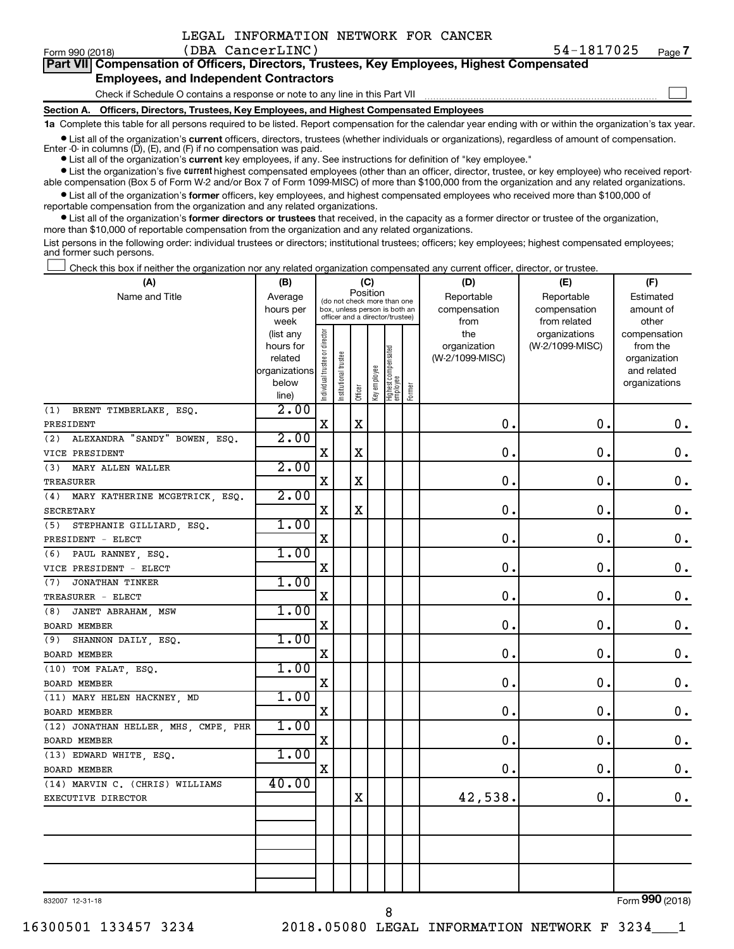| LEGAL INFORMATION NETWORK FOR CANCER |  |  |  |  |  |
|--------------------------------------|--|--|--|--|--|
|--------------------------------------|--|--|--|--|--|

 $\Box$ 

|  |                                               |  | Part VII Compensation of Officers, Directors, Trustees, Key Employees, Highest Compensated |  |  |
|--|-----------------------------------------------|--|--------------------------------------------------------------------------------------------|--|--|
|  | <b>Employees, and Independent Contractors</b> |  |                                                                                            |  |  |

Check if Schedule O contains a response or note to any line in this Part VII

**Section A. Officers, Directors, Trustees, Key Employees, and Highest Compensated Employees**

**1a**  Complete this table for all persons required to be listed. Report compensation for the calendar year ending with or within the organization's tax year.

**•** List all of the organization's current officers, directors, trustees (whether individuals or organizations), regardless of amount of compensation.

**•** List all of the organization's **current** key employees, if any. See instructions for definition of "key employee." Enter -0- in columns  $(D)$ ,  $(E)$ , and  $(F)$  if no compensation was paid.

**•** List the organization's five current highest compensated employees (other than an officer, director, trustee, or key employee) who received reportable compensation (Box 5 of Form W-2 and/or Box 7 of Form 1099-MISC) of more than \$100,000 from the organization and any related organizations.

**•** List all of the organization's former officers, key employees, and highest compensated employees who received more than \$100,000 of reportable compensation from the organization and any related organizations.

**•** List all of the organization's former directors or trustees that received, in the capacity as a former director or trustee of the organization, more than \$10,000 of reportable compensation from the organization and any related organizations.

List persons in the following order: individual trustees or directors; institutional trustees; officers; key employees; highest compensated employees; and former such persons.

|  |  |  | Check this box if neither the organization nor any related organization compensated any current officer, director, or trustee. |  |  |
|--|--|--|--------------------------------------------------------------------------------------------------------------------------------|--|--|
|  |  |  |                                                                                                                                |  |  |

| (A)                                   | (B)                    |                                |                                                                  |             | (C)          |                                 |        | (D)                 | (E)                              | (F)                      |
|---------------------------------------|------------------------|--------------------------------|------------------------------------------------------------------|-------------|--------------|---------------------------------|--------|---------------------|----------------------------------|--------------------------|
| Name and Title                        | Average                |                                | (do not check more than one                                      | Position    |              |                                 |        | Reportable          | Reportable                       | Estimated                |
|                                       | hours per              |                                | box, unless person is both an<br>officer and a director/trustee) |             |              |                                 |        | compensation        | compensation                     | amount of                |
|                                       | week                   |                                |                                                                  |             |              |                                 |        | from                | from related                     | other                    |
|                                       | (list any<br>hours for |                                |                                                                  |             |              |                                 |        | the<br>organization | organizations<br>(W-2/1099-MISC) | compensation<br>from the |
|                                       | related                |                                |                                                                  |             |              |                                 |        | (W-2/1099-MISC)     |                                  | organization             |
|                                       | organizations          |                                |                                                                  |             |              |                                 |        |                     |                                  | and related              |
|                                       | below                  | Individual trustee or director | Institutional trustee                                            |             | Key employee | Highest compensated<br>employee |        |                     |                                  | organizations            |
|                                       | line)                  |                                |                                                                  | Officer     |              |                                 | Former |                     |                                  |                          |
| BRENT TIMBERLAKE, ESQ.<br>(1)         | 2.00                   |                                |                                                                  |             |              |                                 |        |                     |                                  |                          |
| PRESIDENT                             |                        | X                              |                                                                  | $\mathbf x$ |              |                                 |        | 0.                  | $\mathbf 0$ .                    | $\mathbf 0$ .            |
| ALEXANDRA "SANDY" BOWEN, ESQ.<br>(2)  | 2.00                   |                                |                                                                  |             |              |                                 |        |                     |                                  |                          |
| VICE PRESIDENT                        |                        | X                              |                                                                  | $\mathbf X$ |              |                                 |        | $\mathbf 0$         | $\mathbf 0$ .                    | 0.                       |
| (3)<br>MARY ALLEN WALLER              | 2.00                   |                                |                                                                  |             |              |                                 |        |                     |                                  |                          |
| <b>TREASURER</b>                      |                        | X                              |                                                                  | $\mathbf X$ |              |                                 |        | $\mathbf 0$         | $\mathbf 0$                      | $\mathbf 0$ .            |
| MARY KATHERINE MCGETRICK, ESQ.<br>(4) | 2.00                   |                                |                                                                  |             |              |                                 |        |                     |                                  |                          |
| SECRETARY                             |                        | $\mathbf X$                    |                                                                  | $\mathbf X$ |              |                                 |        | $\mathbf 0$         | $\mathbf 0$                      | $\mathbf 0$ .            |
| STEPHANIE GILLIARD, ESQ.<br>(5)       | 1.00                   |                                |                                                                  |             |              |                                 |        |                     |                                  |                          |
| PRESIDENT - ELECT                     |                        | $\mathbf X$                    |                                                                  |             |              |                                 |        | $\mathbf 0$         | $\mathbf 0$                      | $\mathbf 0$ .            |
| (6)<br>PAUL RANNEY, ESQ.              | 1.00                   |                                |                                                                  |             |              |                                 |        |                     |                                  |                          |
| VICE PRESIDENT - ELECT                |                        | $\mathbf X$                    |                                                                  |             |              |                                 |        | 0                   | $\mathbf 0$                      | 0.                       |
| (7)<br><b>JONATHAN TINKER</b>         | 1.00                   |                                |                                                                  |             |              |                                 |        |                     |                                  |                          |
| TREASURER - ELECT                     |                        | $\mathbf X$                    |                                                                  |             |              |                                 |        | $\mathbf 0$         | $\mathbf 0$                      | $\mathbf 0$ .            |
| JANET ABRAHAM, MSW<br>(8)             | 1.00                   |                                |                                                                  |             |              |                                 |        |                     |                                  |                          |
| BOARD MEMBER                          |                        | $\mathbf X$                    |                                                                  |             |              |                                 |        | $\mathbf 0$         | $\mathbf 0$                      | $\mathbf 0$ .            |
| SHANNON DAILY, ESQ.<br>(9)            | 1.00                   |                                |                                                                  |             |              |                                 |        |                     |                                  |                          |
| BOARD MEMBER                          |                        | $\mathbf X$                    |                                                                  |             |              |                                 |        | $\mathbf 0$         | $\mathbf 0$                      | $\mathbf 0$ .            |
| (10) TOM FALAT, ESQ.                  | 1.00                   |                                |                                                                  |             |              |                                 |        |                     |                                  |                          |
| BOARD MEMBER                          |                        | $\mathbf X$                    |                                                                  |             |              |                                 |        | $\mathbf 0$         | $\mathbf 0$                      | 0.                       |
| (11) MARY HELEN HACKNEY, MD           | 1.00                   |                                |                                                                  |             |              |                                 |        |                     |                                  |                          |
| BOARD MEMBER                          |                        | $\mathbf X$                    |                                                                  |             |              |                                 |        | $\mathbf 0$         | $\mathbf 0$                      | $\mathbf 0$ .            |
| (12) JONATHAN HELLER, MHS, CMPE, PHR  | 1.00                   |                                |                                                                  |             |              |                                 |        |                     |                                  |                          |
| BOARD MEMBER                          |                        | $\mathbf X$                    |                                                                  |             |              |                                 |        | $\mathbf 0$         | $\mathbf 0$                      | $\mathbf 0$ .            |
| (13) EDWARD WHITE, ESQ.               | 1.00                   |                                |                                                                  |             |              |                                 |        |                     |                                  |                          |
| BOARD MEMBER                          |                        | $\mathbf X$                    |                                                                  |             |              |                                 |        | $\mathbf 0$         | $\mathbf 0$                      | $\mathbf 0$ .            |
| (14) MARVIN C. (CHRIS) WILLIAMS       | 40.00                  |                                |                                                                  |             |              |                                 |        |                     |                                  |                          |
| EXECUTIVE DIRECTOR                    |                        |                                |                                                                  | $\mathbf X$ |              |                                 |        | 42,538.             | $\mathbf 0$ .                    | 0.                       |
|                                       |                        |                                |                                                                  |             |              |                                 |        |                     |                                  |                          |
|                                       |                        |                                |                                                                  |             |              |                                 |        |                     |                                  |                          |
|                                       |                        |                                |                                                                  |             |              |                                 |        |                     |                                  |                          |
|                                       |                        |                                |                                                                  |             |              |                                 |        |                     |                                  |                          |
|                                       |                        |                                |                                                                  |             |              |                                 |        |                     |                                  |                          |
|                                       |                        |                                |                                                                  |             |              |                                 |        |                     |                                  |                          |

8

832007 12-31-18

Form (2018) **990**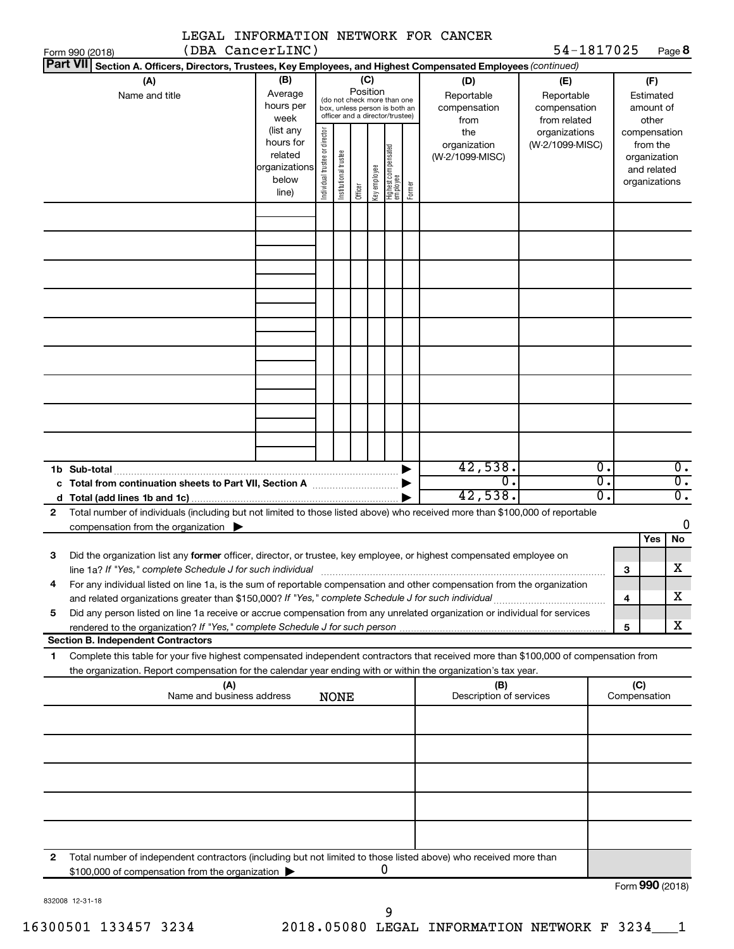|                 |                                                                                                                                                                                                                                                        |                                  |                                                                      |                                |                       |         |                 |                                                                                                 |        | LEGAL INFORMATION NETWORK FOR CANCER                                                                   |                                                   |                        |                                                                          |                                      |  |
|-----------------|--------------------------------------------------------------------------------------------------------------------------------------------------------------------------------------------------------------------------------------------------------|----------------------------------|----------------------------------------------------------------------|--------------------------------|-----------------------|---------|-----------------|-------------------------------------------------------------------------------------------------|--------|--------------------------------------------------------------------------------------------------------|---------------------------------------------------|------------------------|--------------------------------------------------------------------------|--------------------------------------|--|
|                 | Form 990 (2018)                                                                                                                                                                                                                                        | (DBA CancerLINC)                 |                                                                      |                                |                       |         |                 |                                                                                                 |        |                                                                                                        | 54-1817025                                        |                        |                                                                          | Page 8                               |  |
| <b>Part VII</b> |                                                                                                                                                                                                                                                        |                                  |                                                                      |                                |                       |         |                 |                                                                                                 |        | Section A. Officers, Directors, Trustees, Key Employees, and Highest Compensated Employees (continued) |                                                   |                        |                                                                          |                                      |  |
|                 | (A)<br>Name and title                                                                                                                                                                                                                                  |                                  | (B)<br>Average<br>hours per<br>week                                  |                                |                       |         | (C)<br>Position | (do not check more than one<br>box, unless person is both an<br>officer and a director/trustee) |        | (D)<br>Reportable<br>compensation<br>from                                                              | (E)<br>Reportable<br>compensation<br>from related |                        | (F)<br>Estimated<br>amount of<br>other                                   |                                      |  |
|                 |                                                                                                                                                                                                                                                        |                                  | (list any<br>hours for<br>related<br>organizations<br>below<br>line) | Individual trustee or director | Institutional trustee | Officer | Key employee    | Highest compensated<br>employee                                                                 | Former | the<br>organization<br>(W-2/1099-MISC)                                                                 | organizations<br>(W-2/1099-MISC)                  |                        | compensation<br>from the<br>organization<br>and related<br>organizations |                                      |  |
|                 |                                                                                                                                                                                                                                                        |                                  |                                                                      |                                |                       |         |                 |                                                                                                 |        |                                                                                                        |                                                   |                        |                                                                          |                                      |  |
|                 |                                                                                                                                                                                                                                                        |                                  |                                                                      |                                |                       |         |                 |                                                                                                 |        |                                                                                                        |                                                   |                        |                                                                          |                                      |  |
|                 |                                                                                                                                                                                                                                                        |                                  |                                                                      |                                |                       |         |                 |                                                                                                 |        |                                                                                                        |                                                   |                        |                                                                          |                                      |  |
|                 |                                                                                                                                                                                                                                                        |                                  |                                                                      |                                |                       |         |                 |                                                                                                 |        |                                                                                                        |                                                   |                        |                                                                          |                                      |  |
|                 |                                                                                                                                                                                                                                                        |                                  |                                                                      |                                |                       |         |                 |                                                                                                 |        |                                                                                                        |                                                   |                        |                                                                          |                                      |  |
|                 |                                                                                                                                                                                                                                                        |                                  |                                                                      |                                |                       |         |                 |                                                                                                 |        |                                                                                                        |                                                   |                        |                                                                          |                                      |  |
|                 |                                                                                                                                                                                                                                                        |                                  |                                                                      |                                |                       |         |                 |                                                                                                 |        |                                                                                                        |                                                   |                        |                                                                          |                                      |  |
|                 | 1b Sub-total                                                                                                                                                                                                                                           |                                  |                                                                      |                                |                       |         |                 |                                                                                                 |        | 42,538.<br>$\mathbf 0$ .                                                                               |                                                   | $\overline{0}$ .<br>0. |                                                                          | $\overline{0}$ .<br>$\overline{0}$ . |  |
| d               |                                                                                                                                                                                                                                                        |                                  |                                                                      |                                |                       |         |                 |                                                                                                 |        | 42,538.                                                                                                |                                                   | σ.                     |                                                                          | $\overline{\mathfrak{0}}$ .          |  |
| 2               | Total number of individuals (including but not limited to those listed above) who received more than \$100,000 of reportable                                                                                                                           |                                  |                                                                      |                                |                       |         |                 |                                                                                                 |        |                                                                                                        |                                                   |                        |                                                                          |                                      |  |
|                 | compensation from the organization $\blacktriangleright$                                                                                                                                                                                               |                                  |                                                                      |                                |                       |         |                 |                                                                                                 |        |                                                                                                        |                                                   |                        |                                                                          | 0                                    |  |
| з               | Did the organization list any former officer, director, or trustee, key employee, or highest compensated employee on                                                                                                                                   |                                  |                                                                      |                                |                       |         |                 |                                                                                                 |        |                                                                                                        |                                                   |                        | Yes                                                                      | No                                   |  |
| 4               | line 1a? If "Yes," complete Schedule J for such individual<br>For any individual listed on line 1a, is the sum of reportable compensation and other compensation from the organization                                                                 |                                  |                                                                      |                                |                       |         |                 |                                                                                                 |        |                                                                                                        |                                                   | 3                      |                                                                          | $\mathbf X$                          |  |
| 5               | Did any person listed on line 1a receive or accrue compensation from any unrelated organization or individual for services                                                                                                                             |                                  |                                                                      |                                |                       |         |                 |                                                                                                 |        |                                                                                                        |                                                   | 4<br>5                 |                                                                          | x<br>X                               |  |
|                 | <b>Section B. Independent Contractors</b>                                                                                                                                                                                                              |                                  |                                                                      |                                |                       |         |                 |                                                                                                 |        |                                                                                                        |                                                   |                        |                                                                          |                                      |  |
| 1               | Complete this table for your five highest compensated independent contractors that received more than \$100,000 of compensation from<br>the organization. Report compensation for the calendar year ending with or within the organization's tax year. |                                  |                                                                      |                                |                       |         |                 |                                                                                                 |        |                                                                                                        |                                                   |                        |                                                                          |                                      |  |
|                 |                                                                                                                                                                                                                                                        | (A)<br>Name and business address |                                                                      |                                | NONE                  |         |                 |                                                                                                 |        | (B)<br>Description of services                                                                         |                                                   |                        | (C)<br>Compensation                                                      |                                      |  |
|                 |                                                                                                                                                                                                                                                        |                                  |                                                                      |                                |                       |         |                 |                                                                                                 |        |                                                                                                        |                                                   |                        |                                                                          |                                      |  |
|                 |                                                                                                                                                                                                                                                        |                                  |                                                                      |                                |                       |         |                 |                                                                                                 |        |                                                                                                        |                                                   |                        |                                                                          |                                      |  |
|                 |                                                                                                                                                                                                                                                        |                                  |                                                                      |                                |                       |         |                 |                                                                                                 |        |                                                                                                        |                                                   |                        |                                                                          |                                      |  |
| 2               | Total number of independent contractors (including but not limited to those listed above) who received more than                                                                                                                                       |                                  |                                                                      |                                |                       |         |                 |                                                                                                 |        |                                                                                                        |                                                   |                        |                                                                          |                                      |  |
|                 | \$100,000 of compensation from the organization                                                                                                                                                                                                        |                                  |                                                                      |                                |                       |         |                 | U                                                                                               |        |                                                                                                        |                                                   |                        | Form 990 (2018)                                                          |                                      |  |

832008 12-31-18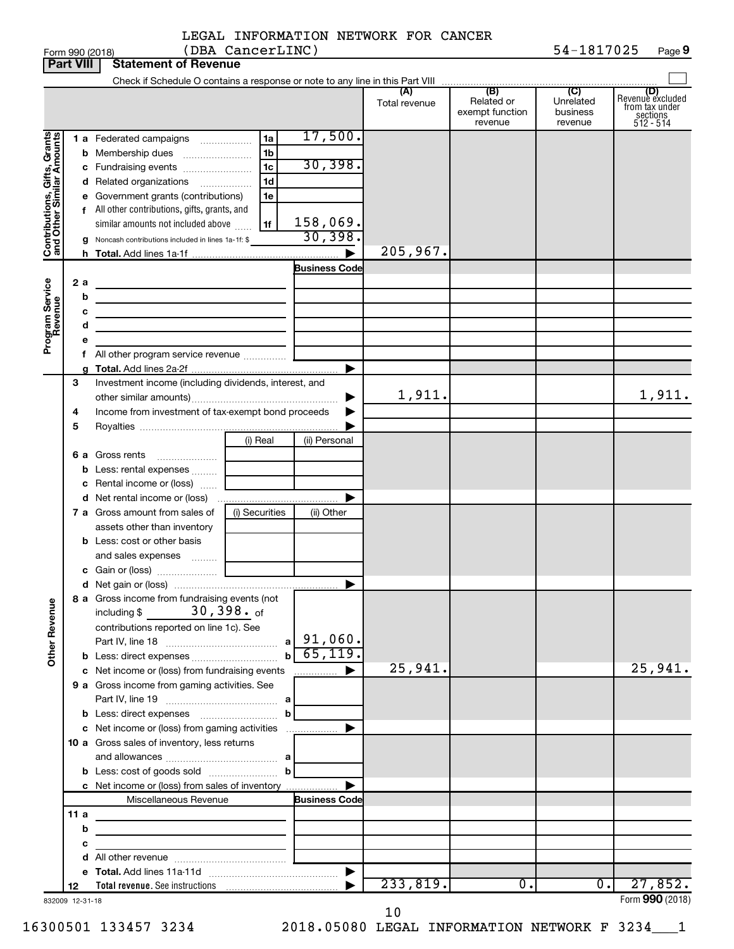|             |             | LEGAL INFORMATION NETWORK FOR CANCER |  |
|-------------|-------------|--------------------------------------|--|
| $1 - - - -$ | $- - - - -$ |                                      |  |

Form 990 (2018) (DBA CancerLINC ) 54-1817025 Page 54-1817025 Page 9

|                                                           | <b>Part VIII</b> | <b>Statement of Revenue</b>                                                                                            |                |                      |                      |                                                 |                                         |                                                                    |
|-----------------------------------------------------------|------------------|------------------------------------------------------------------------------------------------------------------------|----------------|----------------------|----------------------|-------------------------------------------------|-----------------------------------------|--------------------------------------------------------------------|
|                                                           |                  |                                                                                                                        |                |                      |                      |                                                 |                                         |                                                                    |
|                                                           |                  |                                                                                                                        |                |                      | (A)<br>Total revenue | (B)<br>Related or<br>exempt function<br>revenue | (C)<br>Unrelated<br>business<br>revenue | (D)<br>Revenue excluded<br>trom tax under<br>sections<br>512 - 514 |
|                                                           |                  | 1 a Federated campaigns                                                                                                | 1a             | 17,500.              |                      |                                                 |                                         |                                                                    |
| Contributions, Gifts, Grants<br>and Other Similar Amounts |                  | <b>b</b> Membership dues                                                                                               | 1 <sub>b</sub> |                      |                      |                                                 |                                         |                                                                    |
|                                                           |                  | c Fundraising events                                                                                                   | 1 <sub>c</sub> | 30,398.              |                      |                                                 |                                         |                                                                    |
|                                                           |                  | d Related organizations                                                                                                | 1 <sub>d</sub> |                      |                      |                                                 |                                         |                                                                    |
|                                                           |                  | e Government grants (contributions)                                                                                    | 1e             |                      |                      |                                                 |                                         |                                                                    |
|                                                           |                  | f All other contributions, gifts, grants, and                                                                          |                |                      |                      |                                                 |                                         |                                                                    |
|                                                           |                  | similar amounts not included above                                                                                     | 1f             | 158,069.             |                      |                                                 |                                         |                                                                    |
|                                                           |                  | g Noncash contributions included in lines 1a-1f: \$                                                                    |                | 30,398.              |                      |                                                 |                                         |                                                                    |
|                                                           |                  |                                                                                                                        |                |                      | 205,967.             |                                                 |                                         |                                                                    |
|                                                           |                  |                                                                                                                        |                | <b>Business Code</b> |                      |                                                 |                                         |                                                                    |
|                                                           | 2a               | <u> 1989 - Johann Stein, fransk politik (d. 1989)</u>                                                                  |                |                      |                      |                                                 |                                         |                                                                    |
|                                                           | b                | <u> 1980 - Johann Barbara, martin amerikan basar dan berasal dalam basar dalam basar dalam basar dalam basar dala</u>  |                |                      |                      |                                                 |                                         |                                                                    |
| Program Service<br>Revenue                                | с<br>d           | <u> 1989 - Johann Stein, marwolaethau a bhann an t-Albann an t-Albann an t-Albann an t-Albann an t-Albann an t-Alb</u> |                |                      |                      |                                                 |                                         |                                                                    |
|                                                           |                  | the control of the control of the control of the control of                                                            |                |                      |                      |                                                 |                                         |                                                                    |
|                                                           |                  | f All other program service revenue                                                                                    |                |                      |                      |                                                 |                                         |                                                                    |
|                                                           |                  |                                                                                                                        |                |                      |                      |                                                 |                                         |                                                                    |
|                                                           | З                | Investment income (including dividends, interest, and                                                                  |                |                      |                      |                                                 |                                         |                                                                    |
|                                                           |                  |                                                                                                                        |                |                      | 1,911.               |                                                 |                                         | 1,911.                                                             |
|                                                           | 4                | Income from investment of tax-exempt bond proceeds                                                                     |                |                      |                      |                                                 |                                         |                                                                    |
|                                                           | 5                |                                                                                                                        |                |                      |                      |                                                 |                                         |                                                                    |
|                                                           |                  |                                                                                                                        | (i) Real       | (ii) Personal        |                      |                                                 |                                         |                                                                    |
|                                                           |                  | 6 a Gross rents                                                                                                        |                |                      |                      |                                                 |                                         |                                                                    |
|                                                           |                  | <b>b</b> Less: rental expenses                                                                                         |                |                      |                      |                                                 |                                         |                                                                    |
|                                                           |                  | <b>c</b> Rental income or (loss) $\ldots$                                                                              |                |                      |                      |                                                 |                                         |                                                                    |
|                                                           |                  |                                                                                                                        |                |                      |                      |                                                 |                                         |                                                                    |
|                                                           |                  | 7 a Gross amount from sales of                                                                                         | (i) Securities | (ii) Other           |                      |                                                 |                                         |                                                                    |
|                                                           |                  | assets other than inventory                                                                                            |                |                      |                      |                                                 |                                         |                                                                    |
|                                                           |                  | <b>b</b> Less: cost or other basis<br>and sales expenses                                                               |                |                      |                      |                                                 |                                         |                                                                    |
|                                                           |                  |                                                                                                                        |                |                      |                      |                                                 |                                         |                                                                    |
|                                                           |                  |                                                                                                                        |                |                      |                      |                                                 |                                         |                                                                    |
|                                                           |                  | 8 a Gross income from fundraising events (not                                                                          |                |                      |                      |                                                 |                                         |                                                                    |
| <b>Other Revenue</b>                                      |                  | $30,398.$ of<br>including \$                                                                                           |                |                      |                      |                                                 |                                         |                                                                    |
|                                                           |                  | contributions reported on line 1c). See                                                                                |                |                      |                      |                                                 |                                         |                                                                    |
|                                                           |                  |                                                                                                                        | a l            | 91,060.              |                      |                                                 |                                         |                                                                    |
|                                                           |                  |                                                                                                                        |                | $b \ 65, 119.$       |                      |                                                 |                                         |                                                                    |
|                                                           |                  | c Net income or (loss) from fundraising events                                                                         |                |                      | 25,941.              |                                                 |                                         | 25,941.                                                            |
|                                                           |                  | 9 a Gross income from gaming activities. See                                                                           |                |                      |                      |                                                 |                                         |                                                                    |
|                                                           |                  |                                                                                                                        |                |                      |                      |                                                 |                                         |                                                                    |
|                                                           |                  |                                                                                                                        | $\mathbf{b}$   |                      |                      |                                                 |                                         |                                                                    |
|                                                           |                  |                                                                                                                        |                |                      |                      |                                                 |                                         |                                                                    |
|                                                           |                  | 10 a Gross sales of inventory, less returns                                                                            |                |                      |                      |                                                 |                                         |                                                                    |
|                                                           |                  |                                                                                                                        |                |                      |                      |                                                 |                                         |                                                                    |
|                                                           |                  | c Net income or (loss) from sales of inventory                                                                         |                |                      |                      |                                                 |                                         |                                                                    |
|                                                           |                  | Miscellaneous Revenue                                                                                                  |                | <b>Business Code</b> |                      |                                                 |                                         |                                                                    |
|                                                           | 11 a             |                                                                                                                        |                |                      |                      |                                                 |                                         |                                                                    |
|                                                           | b                | <u> 1989 - Johann John Stein, markin fan it ferstjer fan it ferstjer fan it ferstjer fan it ferstjer fan it fers</u>   |                |                      |                      |                                                 |                                         |                                                                    |
|                                                           | С                | <u> 1989 - Johann Barbara, martxa alemaniar a</u>                                                                      |                |                      |                      |                                                 |                                         |                                                                    |
|                                                           |                  |                                                                                                                        |                |                      |                      |                                                 |                                         |                                                                    |
|                                                           |                  |                                                                                                                        |                |                      |                      |                                                 |                                         |                                                                    |
|                                                           | 12               |                                                                                                                        |                |                      | 233,819.             | 0.                                              | 0.                                      | 27,852.                                                            |
|                                                           | 832009 12-31-18  |                                                                                                                        |                |                      |                      |                                                 |                                         | Form 990 (2018)                                                    |

10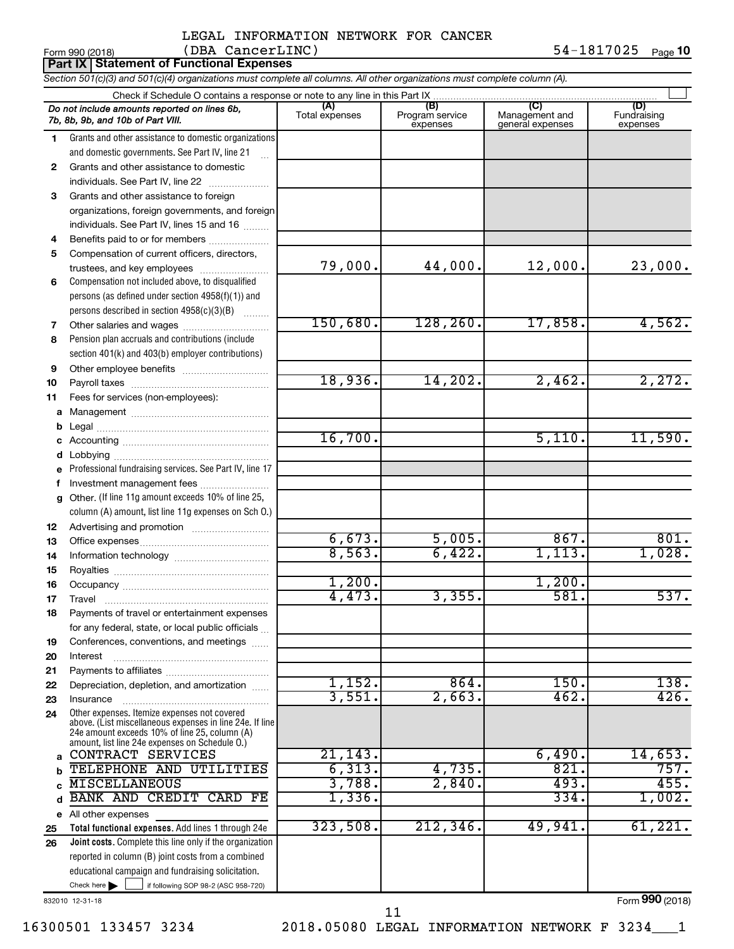# LEGAL INFORMATION NETWORK FOR CANCER (DBA CancerLINC) 54-1817025

**10**

|              | Form 990 (2018)<br>(DBA CancerLINC)<br><b>Part IX   Statement of Functional Expenses</b>                                                                                                                                         |                       |                                    |                                           | 54-181/045<br>Page 10          |
|--------------|----------------------------------------------------------------------------------------------------------------------------------------------------------------------------------------------------------------------------------|-----------------------|------------------------------------|-------------------------------------------|--------------------------------|
|              | Section 501(c)(3) and 501(c)(4) organizations must complete all columns. All other organizations must complete column (A).                                                                                                       |                       |                                    |                                           |                                |
|              |                                                                                                                                                                                                                                  |                       |                                    |                                           |                                |
|              | Do not include amounts reported on lines 6b,<br>7b, 8b, 9b, and 10b of Part VIII.                                                                                                                                                | (A)<br>Total expenses | (B)<br>Program service<br>expenses | (C)<br>Management and<br>general expenses | (D)<br>Fundraising<br>expenses |
| $\mathbf{1}$ | Grants and other assistance to domestic organizations                                                                                                                                                                            |                       |                                    |                                           |                                |
|              | and domestic governments. See Part IV, line 21                                                                                                                                                                                   |                       |                                    |                                           |                                |
| $\mathbf{2}$ | Grants and other assistance to domestic                                                                                                                                                                                          |                       |                                    |                                           |                                |
|              | individuals. See Part IV, line 22                                                                                                                                                                                                |                       |                                    |                                           |                                |
| 3            | Grants and other assistance to foreign                                                                                                                                                                                           |                       |                                    |                                           |                                |
|              | organizations, foreign governments, and foreign<br>individuals. See Part IV, lines 15 and 16                                                                                                                                     |                       |                                    |                                           |                                |
| 4            | Benefits paid to or for members                                                                                                                                                                                                  |                       |                                    |                                           |                                |
| 5            | Compensation of current officers, directors,                                                                                                                                                                                     |                       |                                    |                                           |                                |
|              | trustees, and key employees                                                                                                                                                                                                      | 79,000.               | 44,000.                            | 12,000.                                   | 23,000.                        |
| 6            | Compensation not included above, to disqualified                                                                                                                                                                                 |                       |                                    |                                           |                                |
|              | persons (as defined under section 4958(f)(1)) and                                                                                                                                                                                |                       |                                    |                                           |                                |
|              | persons described in section 4958(c)(3)(B)<br>$\overline{\phantom{a}}$                                                                                                                                                           |                       |                                    |                                           |                                |
| 7            | Other salaries and wages                                                                                                                                                                                                         | 150,680.              | 128, 260.                          | 17,858.                                   | 4,562.                         |
| 8            | Pension plan accruals and contributions (include<br>section 401(k) and 403(b) employer contributions)                                                                                                                            |                       |                                    |                                           |                                |
| 9            | Other employee benefits                                                                                                                                                                                                          |                       |                                    |                                           |                                |
| 10           |                                                                                                                                                                                                                                  | 18,936.               | 14,202.                            | 2,462.                                    | 2,272.                         |
| 11           | Fees for services (non-employees):                                                                                                                                                                                               |                       |                                    |                                           |                                |
|              |                                                                                                                                                                                                                                  |                       |                                    |                                           |                                |
| b            |                                                                                                                                                                                                                                  |                       |                                    |                                           |                                |
|              |                                                                                                                                                                                                                                  | 16,700.               |                                    | 5,110.                                    | 11,590.                        |
| d            |                                                                                                                                                                                                                                  |                       |                                    |                                           |                                |
|              | Professional fundraising services. See Part IV, line 17                                                                                                                                                                          |                       |                                    |                                           |                                |
| f            | Investment management fees                                                                                                                                                                                                       |                       |                                    |                                           |                                |
|              | g Other. (If line 11g amount exceeds 10% of line 25,                                                                                                                                                                             |                       |                                    |                                           |                                |
|              | column (A) amount, list line 11g expenses on Sch O.)                                                                                                                                                                             |                       |                                    |                                           |                                |
| 12<br>13     |                                                                                                                                                                                                                                  | 6,673.                | 5,005.                             | 867.                                      | 801.                           |
| 14           |                                                                                                                                                                                                                                  | 8,563.                | 6,422.                             | 1,113.                                    | 1,028.                         |
| 15           |                                                                                                                                                                                                                                  |                       |                                    |                                           |                                |
| 16           | Occupancy                                                                                                                                                                                                                        | 1,200.                |                                    | 1,200.                                    |                                |
| 17           | Travel                                                                                                                                                                                                                           | 4,473.                | 3,355.                             | 581.                                      | 537.                           |
| 18           | Payments of travel or entertainment expenses                                                                                                                                                                                     |                       |                                    |                                           |                                |
|              | for any federal, state, or local public officials                                                                                                                                                                                |                       |                                    |                                           |                                |
| 19           | Conferences, conventions, and meetings                                                                                                                                                                                           |                       |                                    |                                           |                                |
| 20           | Interest                                                                                                                                                                                                                         |                       |                                    |                                           |                                |
| 21           |                                                                                                                                                                                                                                  |                       |                                    |                                           |                                |
| 22           | Depreciation, depletion, and amortization                                                                                                                                                                                        | 1,152.                | 864.                               | 150.                                      | 138.                           |
| 23           | Insurance                                                                                                                                                                                                                        | 3,551.                | 2,663.                             | 462.                                      | 426.                           |
| 24           | Other expenses. Itemize expenses not covered<br>above. (List miscellaneous expenses in line 24e. If line<br>24e amount exceeds 10% of line 25, column (A)<br>amount, list line 24e expenses on Schedule O.)<br>CONTRACT SERVICES | 21, 143.              |                                    | 6,490.                                    | 14,653.                        |
| a            | TELEPHONE AND UTILITIES                                                                                                                                                                                                          | 6,313.                | 4,735.                             | 821.                                      | 757.                           |
|              | <b>MISCELLANEOUS</b>                                                                                                                                                                                                             | 3,788.                | 2,840.                             | 493.                                      | 455.                           |
|              | BANK AND CREDIT CARD FE                                                                                                                                                                                                          | 1,336.                |                                    | 334.                                      | 1,002.                         |
|              | e All other expenses                                                                                                                                                                                                             |                       |                                    |                                           |                                |
| 25           | Total functional expenses. Add lines 1 through 24e                                                                                                                                                                               | 323,508.              | 212, 346.                          | 49,941.                                   | 61,221.                        |
| 26           | Joint costs. Complete this line only if the organization                                                                                                                                                                         |                       |                                    |                                           |                                |
|              | reported in column (B) joint costs from a combined                                                                                                                                                                               |                       |                                    |                                           |                                |
|              | educational campaign and fundraising solicitation.                                                                                                                                                                               |                       |                                    |                                           |                                |
|              | Check here $\blacktriangleright$<br>if following SOP 98-2 (ASC 958-720)                                                                                                                                                          |                       |                                    |                                           |                                |

832010 12-31-18

Form (2018) **990**

11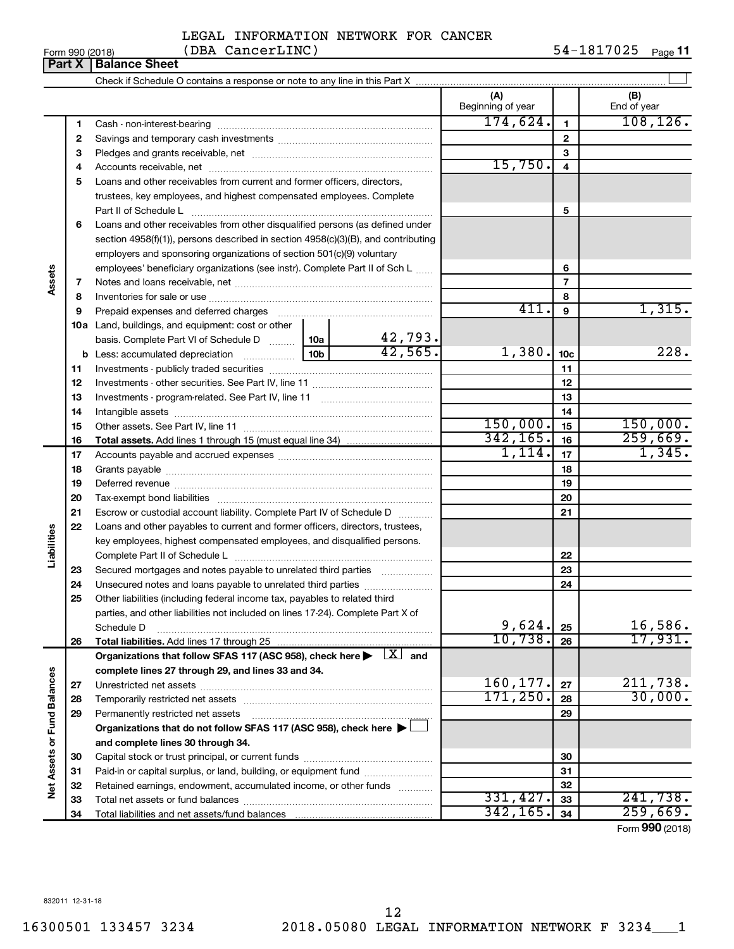# Form 990 (2018) (DBA CancerLINC ) 54-1817025 <sub>Page</sub> LEGAL INFORMATION NETWORK FOR CANCER

54-1817025 Page 11

|                             | Part X   | Form 990 (2018)<br>(DDA Cancerninc)<br><b>Balance Sheet</b>                                                                                                                                                                   |          |                    |                   |                           | 34-101/043<br>Page 11 |
|-----------------------------|----------|-------------------------------------------------------------------------------------------------------------------------------------------------------------------------------------------------------------------------------|----------|--------------------|-------------------|---------------------------|-----------------------|
|                             |          |                                                                                                                                                                                                                               |          |                    |                   |                           |                       |
|                             |          |                                                                                                                                                                                                                               |          |                    | (A)               |                           | (B)                   |
|                             |          |                                                                                                                                                                                                                               |          |                    | Beginning of year |                           | End of year           |
|                             | 1        |                                                                                                                                                                                                                               |          |                    | 174,624.          | 1                         | 108, 126.             |
|                             | 2        |                                                                                                                                                                                                                               |          | 2                  |                   |                           |                       |
|                             | з        |                                                                                                                                                                                                                               |          | 3                  |                   |                           |                       |
|                             | 4        |                                                                                                                                                                                                                               |          |                    | 15,750.           | 4                         |                       |
|                             | 5        | Loans and other receivables from current and former officers, directors,                                                                                                                                                      |          |                    |                   |                           |                       |
|                             |          | trustees, key employees, and highest compensated employees. Complete                                                                                                                                                          |          |                    |                   |                           |                       |
|                             |          | Part II of Schedule L                                                                                                                                                                                                         |          |                    |                   | 5                         |                       |
|                             | 6        | Loans and other receivables from other disqualified persons (as defined under                                                                                                                                                 |          |                    |                   |                           |                       |
|                             |          | section 4958(f)(1)), persons described in section 4958(c)(3)(B), and contributing                                                                                                                                             |          |                    |                   |                           |                       |
|                             |          | employers and sponsoring organizations of section 501(c)(9) voluntary                                                                                                                                                         |          |                    |                   |                           |                       |
|                             |          | employees' beneficiary organizations (see instr). Complete Part II of Sch L                                                                                                                                                   |          |                    |                   | 6                         |                       |
| Assets                      | 7        |                                                                                                                                                                                                                               |          |                    |                   | $\overline{7}$            |                       |
|                             | 8        |                                                                                                                                                                                                                               |          |                    |                   | 8                         |                       |
|                             | 9        | Prepaid expenses and deferred charges [11] [11] Prepaid expenses and deferred charges [11] [11] Martin Martin Martin Martin Martin Martin Martin Martin Martin Martin Martin Martin Martin Martin Martin Martin Martin Martin |          |                    | 411.              | 9                         | 1,315.                |
|                             |          | 10a Land, buildings, and equipment: cost or other                                                                                                                                                                             |          |                    |                   |                           |                       |
|                             |          | basis. Complete Part VI of Schedule D $\ldots$   10a                                                                                                                                                                          |          | 42,793.<br>42,565. |                   |                           | 228.                  |
|                             |          |                                                                                                                                                                                                                               |          |                    | 1,380.            | 10 <sub>c</sub>           |                       |
|                             | 11       |                                                                                                                                                                                                                               |          |                    |                   | 11                        |                       |
|                             | 12       |                                                                                                                                                                                                                               |          |                    |                   | 12                        |                       |
|                             | 13       |                                                                                                                                                                                                                               |          |                    |                   | 13<br>14                  |                       |
|                             | 14<br>15 |                                                                                                                                                                                                                               | 150,000. | 15                 | 150,000.          |                           |                       |
|                             | 16       |                                                                                                                                                                                                                               |          |                    | 342, 165.         | 16                        | 259,669.              |
|                             | 17       |                                                                                                                                                                                                                               | 1,114.   | 17                 | 1,345.            |                           |                       |
|                             | 18       |                                                                                                                                                                                                                               |          |                    | 18                |                           |                       |
|                             | 19       |                                                                                                                                                                                                                               |          |                    |                   | 19                        |                       |
|                             | 20       |                                                                                                                                                                                                                               |          |                    |                   | 20                        |                       |
|                             | 21       | Escrow or custodial account liability. Complete Part IV of Schedule D                                                                                                                                                         |          |                    |                   | 21                        |                       |
|                             | 22       | Loans and other payables to current and former officers, directors, trustees,                                                                                                                                                 |          |                    |                   |                           |                       |
| Liabilities                 |          | key employees, highest compensated employees, and disqualified persons.                                                                                                                                                       |          |                    |                   |                           |                       |
|                             |          |                                                                                                                                                                                                                               |          |                    |                   | 22                        |                       |
|                             | 23       | Secured mortgages and notes payable to unrelated third parties                                                                                                                                                                |          |                    | 23                |                           |                       |
|                             | 24       | Unsecured notes and loans payable to unrelated third parties                                                                                                                                                                  |          | 24                 |                   |                           |                       |
|                             | 25       | Other liabilities (including federal income tax, payables to related third                                                                                                                                                    |          |                    |                   |                           |                       |
|                             |          | parties, and other liabilities not included on lines 17-24). Complete Part X of                                                                                                                                               |          |                    |                   |                           |                       |
|                             |          | Schedule D                                                                                                                                                                                                                    |          | 9,624.<br>10,738.  | 25                | <u>16,586.</u><br>17,931. |                       |
|                             | 26       | <b>Total liabilities.</b> Add lines 17 through 25                                                                                                                                                                             |          |                    |                   | 26                        |                       |
|                             |          | Organizations that follow SFAS 117 (ASC 958), check here $\blacktriangleright \begin{array}{c} \boxed{X} \\ \end{array}$ and                                                                                                  |          |                    |                   |                           |                       |
|                             | 27       | complete lines 27 through 29, and lines 33 and 34.                                                                                                                                                                            |          |                    | 160,177.          | 27                        | 211,738.              |
|                             | 28       |                                                                                                                                                                                                                               |          | 171, 250.          | 28                | 30,000.                   |                       |
|                             | 29       | Permanently restricted net assets                                                                                                                                                                                             |          | 29                 |                   |                           |                       |
|                             |          | Organizations that do not follow SFAS 117 (ASC 958), check here ▶ □                                                                                                                                                           |          |                    |                   |                           |                       |
|                             |          | and complete lines 30 through 34.                                                                                                                                                                                             |          |                    |                   |                           |                       |
| Net Assets or Fund Balances | 30       |                                                                                                                                                                                                                               |          |                    |                   | 30                        |                       |
|                             | 31       | Paid-in or capital surplus, or land, building, or equipment fund                                                                                                                                                              |          |                    |                   | 31                        |                       |
|                             | 32       | Retained earnings, endowment, accumulated income, or other funds                                                                                                                                                              |          |                    |                   | 32                        |                       |
|                             | 33       |                                                                                                                                                                                                                               |          |                    | 331,427.          | 33                        | 241,738.              |
|                             | 34       |                                                                                                                                                                                                                               |          |                    | 342, 165.         | 34                        | 259,669.              |
|                             |          |                                                                                                                                                                                                                               |          |                    |                   |                           | Form 990 (2018)       |

832011 12-31-18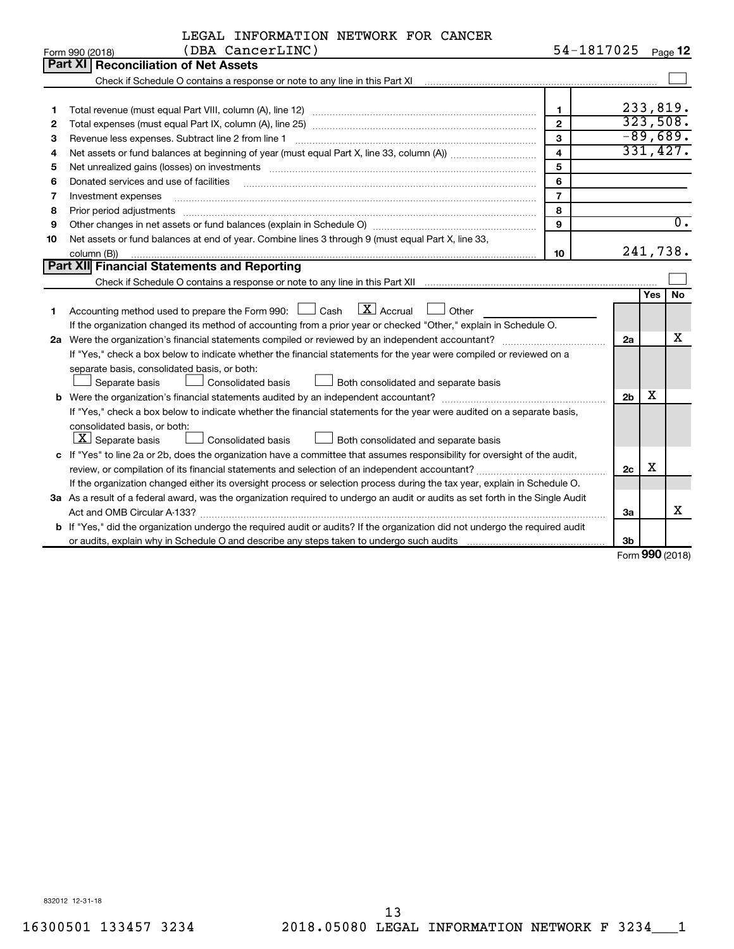| LEGAL INFORMATION NETWORK FOR CANCER |  |  |
|--------------------------------------|--|--|
|                                      |  |  |

|    | (DBA CancerLINC)<br>Form 990 (2018)                                                                                             | 54-1817025              |                |            | Page 12          |
|----|---------------------------------------------------------------------------------------------------------------------------------|-------------------------|----------------|------------|------------------|
|    | Part XI Reconciliation of Net Assets                                                                                            |                         |                |            |                  |
|    |                                                                                                                                 |                         |                |            |                  |
|    |                                                                                                                                 |                         |                |            |                  |
| 1  |                                                                                                                                 | $\mathbf 1$             |                |            | 233,819.         |
| 2  |                                                                                                                                 | $\overline{2}$          |                |            | 323,508.         |
| З  |                                                                                                                                 | 3                       |                |            | $-89,689.$       |
| 4  |                                                                                                                                 | $\overline{\mathbf{4}}$ |                |            | 331,427.         |
| 5  |                                                                                                                                 | 5                       |                |            |                  |
| 6  | Donated services and use of facilities                                                                                          | 6                       |                |            |                  |
| 7  | Investment expenses                                                                                                             | $\overline{7}$          |                |            |                  |
| 8  |                                                                                                                                 | 8                       |                |            |                  |
| 9  |                                                                                                                                 | 9                       |                |            | $\overline{0}$ . |
| 10 | Net assets or fund balances at end of year. Combine lines 3 through 9 (must equal Part X, line 33,                              |                         |                |            |                  |
|    | column (B))                                                                                                                     | 10                      |                |            | 241,738.         |
|    | <b>Part XII</b> Financial Statements and Reporting                                                                              |                         |                |            |                  |
|    |                                                                                                                                 |                         |                |            |                  |
|    |                                                                                                                                 |                         |                | <b>Yes</b> | No               |
| 1  | $\boxed{\text{X}}$ Accrual<br>Accounting method used to prepare the Form 990: [130] Cash<br>Other                               |                         |                |            |                  |
|    | If the organization changed its method of accounting from a prior year or checked "Other," explain in Schedule O.               |                         |                |            |                  |
|    |                                                                                                                                 |                         | 2a             |            | х                |
|    | If "Yes," check a box below to indicate whether the financial statements for the year were compiled or reviewed on a            |                         |                |            |                  |
|    | separate basis, consolidated basis, or both:                                                                                    |                         |                |            |                  |
|    | Separate basis<br>Consolidated basis<br>Both consolidated and separate basis                                                    |                         |                |            |                  |
|    |                                                                                                                                 |                         | 2 <sub>b</sub> | х          |                  |
|    | If "Yes," check a box below to indicate whether the financial statements for the year were audited on a separate basis,         |                         |                |            |                  |
|    | consolidated basis, or both:                                                                                                    |                         |                |            |                  |
|    | $ \mathbf{X} $ Separate basis<br><b>Consolidated basis</b><br>Both consolidated and separate basis                              |                         |                |            |                  |
|    | c If "Yes" to line 2a or 2b, does the organization have a committee that assumes responsibility for oversight of the audit,     |                         |                |            |                  |
|    |                                                                                                                                 |                         | 2c             | x          |                  |
|    | If the organization changed either its oversight process or selection process during the tax year, explain in Schedule O.       |                         |                |            |                  |
|    | 3a As a result of a federal award, was the organization required to undergo an audit or audits as set forth in the Single Audit |                         |                |            |                  |
|    |                                                                                                                                 |                         | За             |            | х                |
|    | b If "Yes," did the organization undergo the required audit or audits? If the organization did not undergo the required audit   |                         |                |            |                  |
|    |                                                                                                                                 |                         | 3 <sub>b</sub> |            |                  |

Form (2018) **990**

832012 12-31-18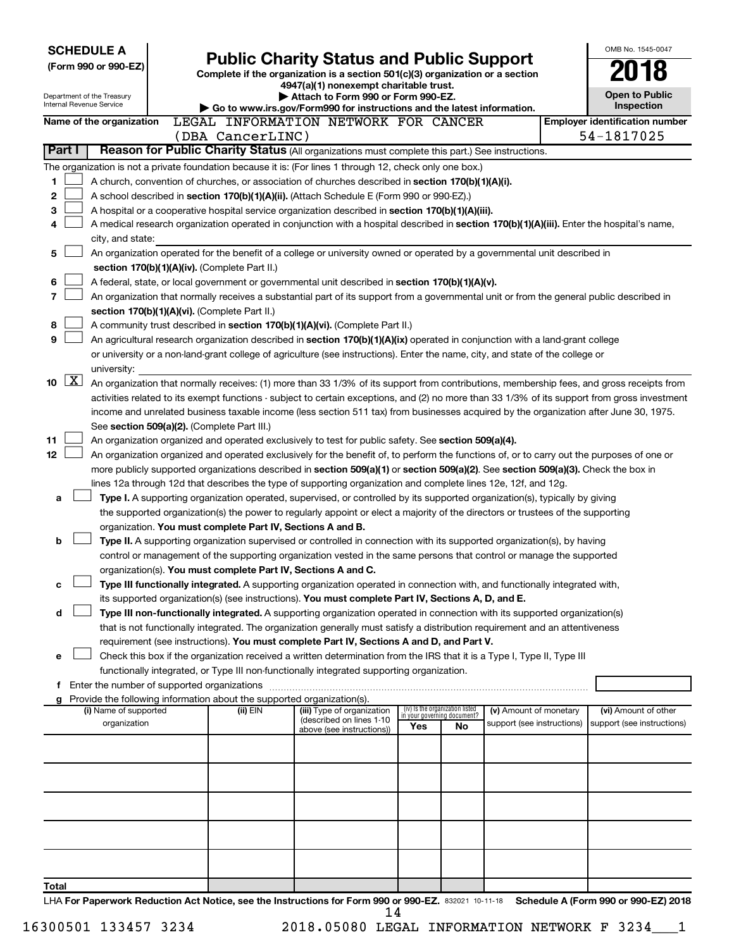| <b>SCHEDULE A</b>          |                                               |                                                                                                                         |                                                                                                                                                                                                                                                 |     |                                                                |                                                      |  |                                                    |  |
|----------------------------|-----------------------------------------------|-------------------------------------------------------------------------------------------------------------------------|-------------------------------------------------------------------------------------------------------------------------------------------------------------------------------------------------------------------------------------------------|-----|----------------------------------------------------------------|------------------------------------------------------|--|----------------------------------------------------|--|
| (Form 990 or 990-EZ)       |                                               | <b>Public Charity Status and Public Support</b>                                                                         |                                                                                                                                                                                                                                                 |     |                                                                |                                                      |  |                                                    |  |
|                            |                                               | Complete if the organization is a section 501(c)(3) organization or a section<br>4947(a)(1) nonexempt charitable trust. |                                                                                                                                                                                                                                                 |     |                                                                |                                                      |  |                                                    |  |
| Department of the Treasury |                                               |                                                                                                                         | Attach to Form 990 or Form 990-EZ.                                                                                                                                                                                                              |     |                                                                |                                                      |  | <b>Open to Public</b>                              |  |
| Internal Revenue Service   |                                               |                                                                                                                         | Go to www.irs.gov/Form990 for instructions and the latest information.                                                                                                                                                                          |     |                                                                |                                                      |  | Inspection                                         |  |
| Name of the organization   |                                               |                                                                                                                         | LEGAL INFORMATION NETWORK FOR CANCER                                                                                                                                                                                                            |     |                                                                |                                                      |  | <b>Employer identification number</b>              |  |
|                            |                                               | (DBA CancerLINC)                                                                                                        |                                                                                                                                                                                                                                                 |     |                                                                |                                                      |  | 54-1817025                                         |  |
| Part I                     |                                               |                                                                                                                         | Reason for Public Charity Status (All organizations must complete this part.) See instructions.                                                                                                                                                 |     |                                                                |                                                      |  |                                                    |  |
|                            |                                               |                                                                                                                         | The organization is not a private foundation because it is: (For lines 1 through 12, check only one box.)                                                                                                                                       |     |                                                                |                                                      |  |                                                    |  |
| 1                          |                                               |                                                                                                                         | A church, convention of churches, or association of churches described in section 170(b)(1)(A)(i).                                                                                                                                              |     |                                                                |                                                      |  |                                                    |  |
| 2                          |                                               |                                                                                                                         | A school described in section 170(b)(1)(A)(ii). (Attach Schedule E (Form 990 or 990-EZ).)                                                                                                                                                       |     |                                                                |                                                      |  |                                                    |  |
| 3                          |                                               |                                                                                                                         | A hospital or a cooperative hospital service organization described in section 170(b)(1)(A)(iii).                                                                                                                                               |     |                                                                |                                                      |  |                                                    |  |
| 4                          |                                               |                                                                                                                         | A medical research organization operated in conjunction with a hospital described in section 170(b)(1)(A)(iii). Enter the hospital's name,                                                                                                      |     |                                                                |                                                      |  |                                                    |  |
|                            | city, and state:                              |                                                                                                                         |                                                                                                                                                                                                                                                 |     |                                                                |                                                      |  |                                                    |  |
| 5                          |                                               |                                                                                                                         | An organization operated for the benefit of a college or university owned or operated by a governmental unit described in                                                                                                                       |     |                                                                |                                                      |  |                                                    |  |
|                            |                                               | section 170(b)(1)(A)(iv). (Complete Part II.)                                                                           |                                                                                                                                                                                                                                                 |     |                                                                |                                                      |  |                                                    |  |
| 6                          |                                               |                                                                                                                         | A federal, state, or local government or governmental unit described in section 170(b)(1)(A)(v).                                                                                                                                                |     |                                                                |                                                      |  |                                                    |  |
| 7                          |                                               |                                                                                                                         | An organization that normally receives a substantial part of its support from a governmental unit or from the general public described in                                                                                                       |     |                                                                |                                                      |  |                                                    |  |
| 8                          | section 170(b)(1)(A)(vi). (Complete Part II.) |                                                                                                                         | A community trust described in section 170(b)(1)(A)(vi). (Complete Part II.)                                                                                                                                                                    |     |                                                                |                                                      |  |                                                    |  |
| 9                          |                                               |                                                                                                                         | An agricultural research organization described in section 170(b)(1)(A)(ix) operated in conjunction with a land-grant college                                                                                                                   |     |                                                                |                                                      |  |                                                    |  |
|                            |                                               |                                                                                                                         | or university or a non-land-grant college of agriculture (see instructions). Enter the name, city, and state of the college or                                                                                                                  |     |                                                                |                                                      |  |                                                    |  |
| university:                |                                               |                                                                                                                         |                                                                                                                                                                                                                                                 |     |                                                                |                                                      |  |                                                    |  |
| $\boxed{\text{X}}$<br>10   |                                               |                                                                                                                         | An organization that normally receives: (1) more than 33 1/3% of its support from contributions, membership fees, and gross receipts from                                                                                                       |     |                                                                |                                                      |  |                                                    |  |
|                            |                                               |                                                                                                                         | activities related to its exempt functions - subject to certain exceptions, and (2) no more than 33 1/3% of its support from gross investment                                                                                                   |     |                                                                |                                                      |  |                                                    |  |
|                            |                                               |                                                                                                                         | income and unrelated business taxable income (less section 511 tax) from businesses acquired by the organization after June 30, 1975.                                                                                                           |     |                                                                |                                                      |  |                                                    |  |
|                            | See section 509(a)(2). (Complete Part III.)   |                                                                                                                         |                                                                                                                                                                                                                                                 |     |                                                                |                                                      |  |                                                    |  |
| 11                         |                                               |                                                                                                                         | An organization organized and operated exclusively to test for public safety. See section 509(a)(4).                                                                                                                                            |     |                                                                |                                                      |  |                                                    |  |
| 12                         |                                               |                                                                                                                         | An organization organized and operated exclusively for the benefit of, to perform the functions of, or to carry out the purposes of one or                                                                                                      |     |                                                                |                                                      |  |                                                    |  |
|                            |                                               |                                                                                                                         | more publicly supported organizations described in section 509(a)(1) or section 509(a)(2). See section 509(a)(3). Check the box in                                                                                                              |     |                                                                |                                                      |  |                                                    |  |
|                            |                                               |                                                                                                                         | lines 12a through 12d that describes the type of supporting organization and complete lines 12e, 12f, and 12g.                                                                                                                                  |     |                                                                |                                                      |  |                                                    |  |
| а                          |                                               |                                                                                                                         | Type I. A supporting organization operated, supervised, or controlled by its supported organization(s), typically by giving                                                                                                                     |     |                                                                |                                                      |  |                                                    |  |
|                            |                                               |                                                                                                                         | the supported organization(s) the power to regularly appoint or elect a majority of the directors or trustees of the supporting                                                                                                                 |     |                                                                |                                                      |  |                                                    |  |
|                            |                                               | organization. You must complete Part IV, Sections A and B.                                                              |                                                                                                                                                                                                                                                 |     |                                                                |                                                      |  |                                                    |  |
| b                          |                                               |                                                                                                                         | Type II. A supporting organization supervised or controlled in connection with its supported organization(s), by having<br>control or management of the supporting organization vested in the same persons that control or manage the supported |     |                                                                |                                                      |  |                                                    |  |
|                            |                                               | organization(s). You must complete Part IV, Sections A and C.                                                           |                                                                                                                                                                                                                                                 |     |                                                                |                                                      |  |                                                    |  |
| с                          |                                               |                                                                                                                         | Type III functionally integrated. A supporting organization operated in connection with, and functionally integrated with,                                                                                                                      |     |                                                                |                                                      |  |                                                    |  |
|                            |                                               |                                                                                                                         | its supported organization(s) (see instructions). You must complete Part IV, Sections A, D, and E.                                                                                                                                              |     |                                                                |                                                      |  |                                                    |  |
| d                          |                                               |                                                                                                                         | Type III non-functionally integrated. A supporting organization operated in connection with its supported organization(s)                                                                                                                       |     |                                                                |                                                      |  |                                                    |  |
|                            |                                               |                                                                                                                         | that is not functionally integrated. The organization generally must satisfy a distribution requirement and an attentiveness                                                                                                                    |     |                                                                |                                                      |  |                                                    |  |
|                            |                                               |                                                                                                                         | requirement (see instructions). You must complete Part IV, Sections A and D, and Part V.                                                                                                                                                        |     |                                                                |                                                      |  |                                                    |  |
| е                          |                                               |                                                                                                                         | Check this box if the organization received a written determination from the IRS that it is a Type I, Type II, Type III                                                                                                                         |     |                                                                |                                                      |  |                                                    |  |
|                            |                                               |                                                                                                                         | functionally integrated, or Type III non-functionally integrated supporting organization.                                                                                                                                                       |     |                                                                |                                                      |  |                                                    |  |
|                            | f Enter the number of supported organizations |                                                                                                                         |                                                                                                                                                                                                                                                 |     |                                                                |                                                      |  |                                                    |  |
|                            |                                               | g Provide the following information about the supported organization(s).                                                |                                                                                                                                                                                                                                                 |     |                                                                |                                                      |  |                                                    |  |
|                            | (i) Name of supported<br>organization         | (ii) EIN                                                                                                                | (iii) Type of organization<br>(described on lines 1-10                                                                                                                                                                                          |     | (iv) Is the organization listed<br>in your governing document? | (v) Amount of monetary<br>support (see instructions) |  | (vi) Amount of other<br>support (see instructions) |  |
|                            |                                               |                                                                                                                         | above (see instructions))                                                                                                                                                                                                                       | Yes | No                                                             |                                                      |  |                                                    |  |
|                            |                                               |                                                                                                                         |                                                                                                                                                                                                                                                 |     |                                                                |                                                      |  |                                                    |  |
|                            |                                               |                                                                                                                         |                                                                                                                                                                                                                                                 |     |                                                                |                                                      |  |                                                    |  |
|                            |                                               |                                                                                                                         |                                                                                                                                                                                                                                                 |     |                                                                |                                                      |  |                                                    |  |
|                            |                                               |                                                                                                                         |                                                                                                                                                                                                                                                 |     |                                                                |                                                      |  |                                                    |  |
|                            |                                               |                                                                                                                         |                                                                                                                                                                                                                                                 |     |                                                                |                                                      |  |                                                    |  |
|                            |                                               |                                                                                                                         |                                                                                                                                                                                                                                                 |     |                                                                |                                                      |  |                                                    |  |
|                            |                                               |                                                                                                                         |                                                                                                                                                                                                                                                 |     |                                                                |                                                      |  |                                                    |  |
|                            |                                               |                                                                                                                         |                                                                                                                                                                                                                                                 |     |                                                                |                                                      |  |                                                    |  |
|                            |                                               |                                                                                                                         |                                                                                                                                                                                                                                                 |     |                                                                |                                                      |  |                                                    |  |
| Total                      |                                               |                                                                                                                         |                                                                                                                                                                                                                                                 |     |                                                                |                                                      |  |                                                    |  |
|                            |                                               | Ant Motion                                                                                                              | see the Instructions for Form 000 or 000 FZ seems to this                                                                                                                                                                                       |     |                                                                |                                                      |  | Schodule A (Form 000 or 000 EZ) 2019               |  |

LHA For Paperwork Reduction Act Notice, see the Instructions for Form 990 or 990-EZ. 832021 10-11-18 Schedule A (Form 990 or 990-EZ) 2018 14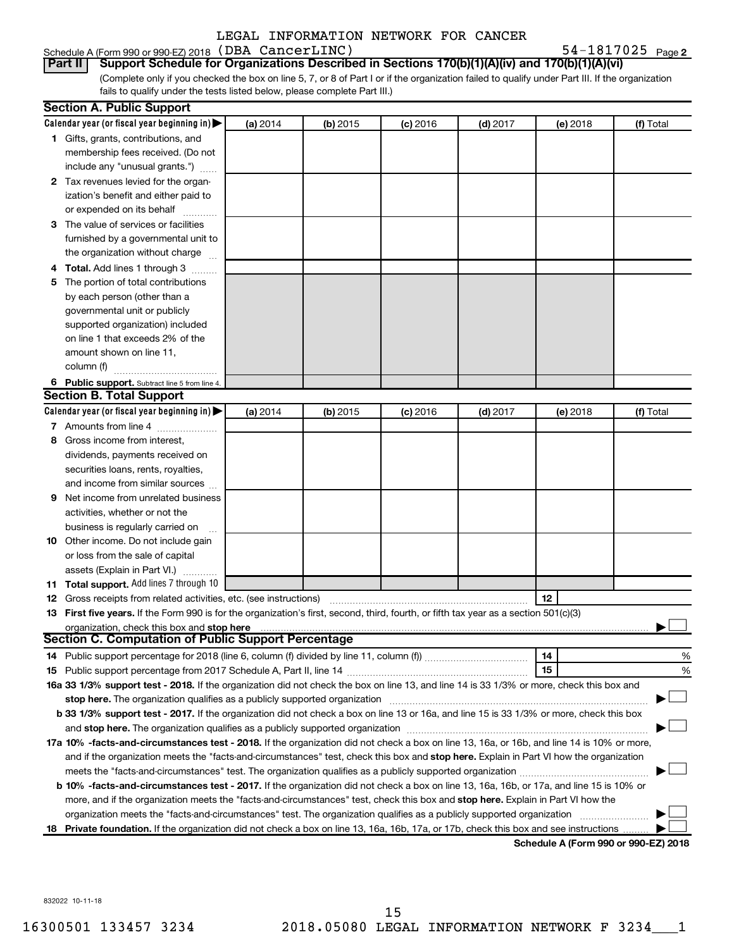54-1817025 Page 2 Schedule A (Form 990 or 990-EZ) 2018 (  $DBA$   $CancerLINC$  )  $54-1817025$   $Page$ 

**Part II Support Schedule for Organizations Described in Sections 170(b)(1)(A)(iv) and 170(b)(1)(A)(vi)**

(Complete only if you checked the box on line 5, 7, or 8 of Part I or if the organization failed to qualify under Part III. If the organization fails to qualify under the tests listed below, please complete Part III.)

| Calendar year (or fiscal year beginning in)<br>(a) 2014<br>(b) 2015<br>$(c)$ 2016<br>$(d)$ 2017<br>(e) 2018<br>(f) Total<br>1 Gifts, grants, contributions, and<br>membership fees received. (Do not<br>include any "unusual grants.")<br>2 Tax revenues levied for the organ-<br>ization's benefit and either paid to<br>or expended on its behalf<br>3 The value of services or facilities<br>furnished by a governmental unit to<br>the organization without charge<br>4 Total. Add lines 1 through 3<br>5 The portion of total contributions<br>by each person (other than a<br>governmental unit or publicly<br>supported organization) included<br>on line 1 that exceeds 2% of the<br>amount shown on line 11,<br>column (f)<br>6 Public support. Subtract line 5 from line 4.<br>Calendar year (or fiscal year beginning in)<br>(a) 2014<br>(b) 2015<br>$(c)$ 2016<br>$(d)$ 2017<br>(e) 2018<br>(f) Total<br>7 Amounts from line 4<br>8 Gross income from interest.<br>dividends, payments received on<br>securities loans, rents, royalties,<br>and income from similar sources<br>Net income from unrelated business<br>9<br>activities, whether or not the<br>business is regularly carried on<br>10 Other income. Do not include gain<br>or loss from the sale of capital<br>assets (Explain in Part VI.)<br>11 Total support. Add lines 7 through 10<br>12<br><b>12</b> Gross receipts from related activities, etc. (see instructions)<br>13 First five years. If the Form 990 is for the organization's first, second, third, fourth, or fifth tax year as a section 501(c)(3)<br>organization, check this box and stop here<br>14<br>%<br>15<br>%<br>16a 33 1/3% support test - 2018. If the organization did not check the box on line 13, and line 14 is 33 1/3% or more, check this box and<br>stop here. The organization qualifies as a publicly supported organization matchinary material content and the<br>b 33 1/3% support test - 2017. If the organization did not check a box on line 13 or 16a, and line 15 is 33 1/3% or more, check this box<br>and stop here. The organization qualifies as a publicly supported organization manufaction manufacture. The organization of the state of the state of the state of the state of the state of the state of the state of the sta<br>17a 10% -facts-and-circumstances test - 2018. If the organization did not check a box on line 13, 16a, or 16b, and line 14 is 10% or more,<br>and if the organization meets the "facts-and-circumstances" test, check this box and stop here. Explain in Part VI how the organization<br>meets the "facts-and-circumstances" test. The organization qualifies as a publicly supported organization <i>manumumumumum</i><br>b 10% -facts-and-circumstances test - 2017. If the organization did not check a box on line 13, 16a, 16b, or 17a, and line 15 is 10% or<br>more, and if the organization meets the "facts-and-circumstances" test, check this box and stop here. Explain in Part VI how the<br>organization meets the "facts-and-circumstances" test. The organization qualifies as a publicly supported organization<br>18 Private foundation. If the organization did not check a box on line 13, 16a, 16b, 17a, or 17b, check this box and see instructions<br>Schodule A (Form 990 or 990-F7) 2018 | <b>Section A. Public Support</b> |  |  |  |
|-------------------------------------------------------------------------------------------------------------------------------------------------------------------------------------------------------------------------------------------------------------------------------------------------------------------------------------------------------------------------------------------------------------------------------------------------------------------------------------------------------------------------------------------------------------------------------------------------------------------------------------------------------------------------------------------------------------------------------------------------------------------------------------------------------------------------------------------------------------------------------------------------------------------------------------------------------------------------------------------------------------------------------------------------------------------------------------------------------------------------------------------------------------------------------------------------------------------------------------------------------------------------------------------------------------------------------------------------------------------------------------------------------------------------------------------------------------------------------------------------------------------------------------------------------------------------------------------------------------------------------------------------------------------------------------------------------------------------------------------------------------------------------------------------------------------------------------------------------------------------------------------------------------------------------------------------------------------------------------------------------------------------------------------------------------------------------------------------------------------------------------------------------------------------------------------------------------------------------------------------------------------------------------------------------------------------------------------------------------------------------------------------------------------------------------------------------------------------------------------------------------------------------------------------------------------------------------------------------------------------------------------------------------------------------------------------------------------------------------------------------------------------------------------------------------------------------------------------------------------------------------------------------------------------------------------------------------------------------------------------------------------------------------------------------------------------------------------------------------------------------------------------------------------------------------------------------------------------------------------------------------------------------------------------------------------------------------|----------------------------------|--|--|--|
|                                                                                                                                                                                                                                                                                                                                                                                                                                                                                                                                                                                                                                                                                                                                                                                                                                                                                                                                                                                                                                                                                                                                                                                                                                                                                                                                                                                                                                                                                                                                                                                                                                                                                                                                                                                                                                                                                                                                                                                                                                                                                                                                                                                                                                                                                                                                                                                                                                                                                                                                                                                                                                                                                                                                                                                                                                                                                                                                                                                                                                                                                                                                                                                                                                                                                                                                     |                                  |  |  |  |
| <b>Section B. Total Support</b><br>Section C. Computation of Public Support Percentage                                                                                                                                                                                                                                                                                                                                                                                                                                                                                                                                                                                                                                                                                                                                                                                                                                                                                                                                                                                                                                                                                                                                                                                                                                                                                                                                                                                                                                                                                                                                                                                                                                                                                                                                                                                                                                                                                                                                                                                                                                                                                                                                                                                                                                                                                                                                                                                                                                                                                                                                                                                                                                                                                                                                                                                                                                                                                                                                                                                                                                                                                                                                                                                                                                              |                                  |  |  |  |
|                                                                                                                                                                                                                                                                                                                                                                                                                                                                                                                                                                                                                                                                                                                                                                                                                                                                                                                                                                                                                                                                                                                                                                                                                                                                                                                                                                                                                                                                                                                                                                                                                                                                                                                                                                                                                                                                                                                                                                                                                                                                                                                                                                                                                                                                                                                                                                                                                                                                                                                                                                                                                                                                                                                                                                                                                                                                                                                                                                                                                                                                                                                                                                                                                                                                                                                                     |                                  |  |  |  |
|                                                                                                                                                                                                                                                                                                                                                                                                                                                                                                                                                                                                                                                                                                                                                                                                                                                                                                                                                                                                                                                                                                                                                                                                                                                                                                                                                                                                                                                                                                                                                                                                                                                                                                                                                                                                                                                                                                                                                                                                                                                                                                                                                                                                                                                                                                                                                                                                                                                                                                                                                                                                                                                                                                                                                                                                                                                                                                                                                                                                                                                                                                                                                                                                                                                                                                                                     |                                  |  |  |  |
|                                                                                                                                                                                                                                                                                                                                                                                                                                                                                                                                                                                                                                                                                                                                                                                                                                                                                                                                                                                                                                                                                                                                                                                                                                                                                                                                                                                                                                                                                                                                                                                                                                                                                                                                                                                                                                                                                                                                                                                                                                                                                                                                                                                                                                                                                                                                                                                                                                                                                                                                                                                                                                                                                                                                                                                                                                                                                                                                                                                                                                                                                                                                                                                                                                                                                                                                     |                                  |  |  |  |
|                                                                                                                                                                                                                                                                                                                                                                                                                                                                                                                                                                                                                                                                                                                                                                                                                                                                                                                                                                                                                                                                                                                                                                                                                                                                                                                                                                                                                                                                                                                                                                                                                                                                                                                                                                                                                                                                                                                                                                                                                                                                                                                                                                                                                                                                                                                                                                                                                                                                                                                                                                                                                                                                                                                                                                                                                                                                                                                                                                                                                                                                                                                                                                                                                                                                                                                                     |                                  |  |  |  |
|                                                                                                                                                                                                                                                                                                                                                                                                                                                                                                                                                                                                                                                                                                                                                                                                                                                                                                                                                                                                                                                                                                                                                                                                                                                                                                                                                                                                                                                                                                                                                                                                                                                                                                                                                                                                                                                                                                                                                                                                                                                                                                                                                                                                                                                                                                                                                                                                                                                                                                                                                                                                                                                                                                                                                                                                                                                                                                                                                                                                                                                                                                                                                                                                                                                                                                                                     |                                  |  |  |  |
|                                                                                                                                                                                                                                                                                                                                                                                                                                                                                                                                                                                                                                                                                                                                                                                                                                                                                                                                                                                                                                                                                                                                                                                                                                                                                                                                                                                                                                                                                                                                                                                                                                                                                                                                                                                                                                                                                                                                                                                                                                                                                                                                                                                                                                                                                                                                                                                                                                                                                                                                                                                                                                                                                                                                                                                                                                                                                                                                                                                                                                                                                                                                                                                                                                                                                                                                     |                                  |  |  |  |
|                                                                                                                                                                                                                                                                                                                                                                                                                                                                                                                                                                                                                                                                                                                                                                                                                                                                                                                                                                                                                                                                                                                                                                                                                                                                                                                                                                                                                                                                                                                                                                                                                                                                                                                                                                                                                                                                                                                                                                                                                                                                                                                                                                                                                                                                                                                                                                                                                                                                                                                                                                                                                                                                                                                                                                                                                                                                                                                                                                                                                                                                                                                                                                                                                                                                                                                                     |                                  |  |  |  |
|                                                                                                                                                                                                                                                                                                                                                                                                                                                                                                                                                                                                                                                                                                                                                                                                                                                                                                                                                                                                                                                                                                                                                                                                                                                                                                                                                                                                                                                                                                                                                                                                                                                                                                                                                                                                                                                                                                                                                                                                                                                                                                                                                                                                                                                                                                                                                                                                                                                                                                                                                                                                                                                                                                                                                                                                                                                                                                                                                                                                                                                                                                                                                                                                                                                                                                                                     |                                  |  |  |  |
|                                                                                                                                                                                                                                                                                                                                                                                                                                                                                                                                                                                                                                                                                                                                                                                                                                                                                                                                                                                                                                                                                                                                                                                                                                                                                                                                                                                                                                                                                                                                                                                                                                                                                                                                                                                                                                                                                                                                                                                                                                                                                                                                                                                                                                                                                                                                                                                                                                                                                                                                                                                                                                                                                                                                                                                                                                                                                                                                                                                                                                                                                                                                                                                                                                                                                                                                     |                                  |  |  |  |
|                                                                                                                                                                                                                                                                                                                                                                                                                                                                                                                                                                                                                                                                                                                                                                                                                                                                                                                                                                                                                                                                                                                                                                                                                                                                                                                                                                                                                                                                                                                                                                                                                                                                                                                                                                                                                                                                                                                                                                                                                                                                                                                                                                                                                                                                                                                                                                                                                                                                                                                                                                                                                                                                                                                                                                                                                                                                                                                                                                                                                                                                                                                                                                                                                                                                                                                                     |                                  |  |  |  |
|                                                                                                                                                                                                                                                                                                                                                                                                                                                                                                                                                                                                                                                                                                                                                                                                                                                                                                                                                                                                                                                                                                                                                                                                                                                                                                                                                                                                                                                                                                                                                                                                                                                                                                                                                                                                                                                                                                                                                                                                                                                                                                                                                                                                                                                                                                                                                                                                                                                                                                                                                                                                                                                                                                                                                                                                                                                                                                                                                                                                                                                                                                                                                                                                                                                                                                                                     |                                  |  |  |  |
|                                                                                                                                                                                                                                                                                                                                                                                                                                                                                                                                                                                                                                                                                                                                                                                                                                                                                                                                                                                                                                                                                                                                                                                                                                                                                                                                                                                                                                                                                                                                                                                                                                                                                                                                                                                                                                                                                                                                                                                                                                                                                                                                                                                                                                                                                                                                                                                                                                                                                                                                                                                                                                                                                                                                                                                                                                                                                                                                                                                                                                                                                                                                                                                                                                                                                                                                     |                                  |  |  |  |
|                                                                                                                                                                                                                                                                                                                                                                                                                                                                                                                                                                                                                                                                                                                                                                                                                                                                                                                                                                                                                                                                                                                                                                                                                                                                                                                                                                                                                                                                                                                                                                                                                                                                                                                                                                                                                                                                                                                                                                                                                                                                                                                                                                                                                                                                                                                                                                                                                                                                                                                                                                                                                                                                                                                                                                                                                                                                                                                                                                                                                                                                                                                                                                                                                                                                                                                                     |                                  |  |  |  |
|                                                                                                                                                                                                                                                                                                                                                                                                                                                                                                                                                                                                                                                                                                                                                                                                                                                                                                                                                                                                                                                                                                                                                                                                                                                                                                                                                                                                                                                                                                                                                                                                                                                                                                                                                                                                                                                                                                                                                                                                                                                                                                                                                                                                                                                                                                                                                                                                                                                                                                                                                                                                                                                                                                                                                                                                                                                                                                                                                                                                                                                                                                                                                                                                                                                                                                                                     |                                  |  |  |  |
|                                                                                                                                                                                                                                                                                                                                                                                                                                                                                                                                                                                                                                                                                                                                                                                                                                                                                                                                                                                                                                                                                                                                                                                                                                                                                                                                                                                                                                                                                                                                                                                                                                                                                                                                                                                                                                                                                                                                                                                                                                                                                                                                                                                                                                                                                                                                                                                                                                                                                                                                                                                                                                                                                                                                                                                                                                                                                                                                                                                                                                                                                                                                                                                                                                                                                                                                     |                                  |  |  |  |
|                                                                                                                                                                                                                                                                                                                                                                                                                                                                                                                                                                                                                                                                                                                                                                                                                                                                                                                                                                                                                                                                                                                                                                                                                                                                                                                                                                                                                                                                                                                                                                                                                                                                                                                                                                                                                                                                                                                                                                                                                                                                                                                                                                                                                                                                                                                                                                                                                                                                                                                                                                                                                                                                                                                                                                                                                                                                                                                                                                                                                                                                                                                                                                                                                                                                                                                                     |                                  |  |  |  |
|                                                                                                                                                                                                                                                                                                                                                                                                                                                                                                                                                                                                                                                                                                                                                                                                                                                                                                                                                                                                                                                                                                                                                                                                                                                                                                                                                                                                                                                                                                                                                                                                                                                                                                                                                                                                                                                                                                                                                                                                                                                                                                                                                                                                                                                                                                                                                                                                                                                                                                                                                                                                                                                                                                                                                                                                                                                                                                                                                                                                                                                                                                                                                                                                                                                                                                                                     |                                  |  |  |  |
|                                                                                                                                                                                                                                                                                                                                                                                                                                                                                                                                                                                                                                                                                                                                                                                                                                                                                                                                                                                                                                                                                                                                                                                                                                                                                                                                                                                                                                                                                                                                                                                                                                                                                                                                                                                                                                                                                                                                                                                                                                                                                                                                                                                                                                                                                                                                                                                                                                                                                                                                                                                                                                                                                                                                                                                                                                                                                                                                                                                                                                                                                                                                                                                                                                                                                                                                     |                                  |  |  |  |
|                                                                                                                                                                                                                                                                                                                                                                                                                                                                                                                                                                                                                                                                                                                                                                                                                                                                                                                                                                                                                                                                                                                                                                                                                                                                                                                                                                                                                                                                                                                                                                                                                                                                                                                                                                                                                                                                                                                                                                                                                                                                                                                                                                                                                                                                                                                                                                                                                                                                                                                                                                                                                                                                                                                                                                                                                                                                                                                                                                                                                                                                                                                                                                                                                                                                                                                                     |                                  |  |  |  |
|                                                                                                                                                                                                                                                                                                                                                                                                                                                                                                                                                                                                                                                                                                                                                                                                                                                                                                                                                                                                                                                                                                                                                                                                                                                                                                                                                                                                                                                                                                                                                                                                                                                                                                                                                                                                                                                                                                                                                                                                                                                                                                                                                                                                                                                                                                                                                                                                                                                                                                                                                                                                                                                                                                                                                                                                                                                                                                                                                                                                                                                                                                                                                                                                                                                                                                                                     |                                  |  |  |  |
|                                                                                                                                                                                                                                                                                                                                                                                                                                                                                                                                                                                                                                                                                                                                                                                                                                                                                                                                                                                                                                                                                                                                                                                                                                                                                                                                                                                                                                                                                                                                                                                                                                                                                                                                                                                                                                                                                                                                                                                                                                                                                                                                                                                                                                                                                                                                                                                                                                                                                                                                                                                                                                                                                                                                                                                                                                                                                                                                                                                                                                                                                                                                                                                                                                                                                                                                     |                                  |  |  |  |
|                                                                                                                                                                                                                                                                                                                                                                                                                                                                                                                                                                                                                                                                                                                                                                                                                                                                                                                                                                                                                                                                                                                                                                                                                                                                                                                                                                                                                                                                                                                                                                                                                                                                                                                                                                                                                                                                                                                                                                                                                                                                                                                                                                                                                                                                                                                                                                                                                                                                                                                                                                                                                                                                                                                                                                                                                                                                                                                                                                                                                                                                                                                                                                                                                                                                                                                                     |                                  |  |  |  |
|                                                                                                                                                                                                                                                                                                                                                                                                                                                                                                                                                                                                                                                                                                                                                                                                                                                                                                                                                                                                                                                                                                                                                                                                                                                                                                                                                                                                                                                                                                                                                                                                                                                                                                                                                                                                                                                                                                                                                                                                                                                                                                                                                                                                                                                                                                                                                                                                                                                                                                                                                                                                                                                                                                                                                                                                                                                                                                                                                                                                                                                                                                                                                                                                                                                                                                                                     |                                  |  |  |  |
|                                                                                                                                                                                                                                                                                                                                                                                                                                                                                                                                                                                                                                                                                                                                                                                                                                                                                                                                                                                                                                                                                                                                                                                                                                                                                                                                                                                                                                                                                                                                                                                                                                                                                                                                                                                                                                                                                                                                                                                                                                                                                                                                                                                                                                                                                                                                                                                                                                                                                                                                                                                                                                                                                                                                                                                                                                                                                                                                                                                                                                                                                                                                                                                                                                                                                                                                     |                                  |  |  |  |
|                                                                                                                                                                                                                                                                                                                                                                                                                                                                                                                                                                                                                                                                                                                                                                                                                                                                                                                                                                                                                                                                                                                                                                                                                                                                                                                                                                                                                                                                                                                                                                                                                                                                                                                                                                                                                                                                                                                                                                                                                                                                                                                                                                                                                                                                                                                                                                                                                                                                                                                                                                                                                                                                                                                                                                                                                                                                                                                                                                                                                                                                                                                                                                                                                                                                                                                                     |                                  |  |  |  |
|                                                                                                                                                                                                                                                                                                                                                                                                                                                                                                                                                                                                                                                                                                                                                                                                                                                                                                                                                                                                                                                                                                                                                                                                                                                                                                                                                                                                                                                                                                                                                                                                                                                                                                                                                                                                                                                                                                                                                                                                                                                                                                                                                                                                                                                                                                                                                                                                                                                                                                                                                                                                                                                                                                                                                                                                                                                                                                                                                                                                                                                                                                                                                                                                                                                                                                                                     |                                  |  |  |  |
|                                                                                                                                                                                                                                                                                                                                                                                                                                                                                                                                                                                                                                                                                                                                                                                                                                                                                                                                                                                                                                                                                                                                                                                                                                                                                                                                                                                                                                                                                                                                                                                                                                                                                                                                                                                                                                                                                                                                                                                                                                                                                                                                                                                                                                                                                                                                                                                                                                                                                                                                                                                                                                                                                                                                                                                                                                                                                                                                                                                                                                                                                                                                                                                                                                                                                                                                     |                                  |  |  |  |
|                                                                                                                                                                                                                                                                                                                                                                                                                                                                                                                                                                                                                                                                                                                                                                                                                                                                                                                                                                                                                                                                                                                                                                                                                                                                                                                                                                                                                                                                                                                                                                                                                                                                                                                                                                                                                                                                                                                                                                                                                                                                                                                                                                                                                                                                                                                                                                                                                                                                                                                                                                                                                                                                                                                                                                                                                                                                                                                                                                                                                                                                                                                                                                                                                                                                                                                                     |                                  |  |  |  |
|                                                                                                                                                                                                                                                                                                                                                                                                                                                                                                                                                                                                                                                                                                                                                                                                                                                                                                                                                                                                                                                                                                                                                                                                                                                                                                                                                                                                                                                                                                                                                                                                                                                                                                                                                                                                                                                                                                                                                                                                                                                                                                                                                                                                                                                                                                                                                                                                                                                                                                                                                                                                                                                                                                                                                                                                                                                                                                                                                                                                                                                                                                                                                                                                                                                                                                                                     |                                  |  |  |  |
|                                                                                                                                                                                                                                                                                                                                                                                                                                                                                                                                                                                                                                                                                                                                                                                                                                                                                                                                                                                                                                                                                                                                                                                                                                                                                                                                                                                                                                                                                                                                                                                                                                                                                                                                                                                                                                                                                                                                                                                                                                                                                                                                                                                                                                                                                                                                                                                                                                                                                                                                                                                                                                                                                                                                                                                                                                                                                                                                                                                                                                                                                                                                                                                                                                                                                                                                     |                                  |  |  |  |
|                                                                                                                                                                                                                                                                                                                                                                                                                                                                                                                                                                                                                                                                                                                                                                                                                                                                                                                                                                                                                                                                                                                                                                                                                                                                                                                                                                                                                                                                                                                                                                                                                                                                                                                                                                                                                                                                                                                                                                                                                                                                                                                                                                                                                                                                                                                                                                                                                                                                                                                                                                                                                                                                                                                                                                                                                                                                                                                                                                                                                                                                                                                                                                                                                                                                                                                                     |                                  |  |  |  |
|                                                                                                                                                                                                                                                                                                                                                                                                                                                                                                                                                                                                                                                                                                                                                                                                                                                                                                                                                                                                                                                                                                                                                                                                                                                                                                                                                                                                                                                                                                                                                                                                                                                                                                                                                                                                                                                                                                                                                                                                                                                                                                                                                                                                                                                                                                                                                                                                                                                                                                                                                                                                                                                                                                                                                                                                                                                                                                                                                                                                                                                                                                                                                                                                                                                                                                                                     |                                  |  |  |  |
|                                                                                                                                                                                                                                                                                                                                                                                                                                                                                                                                                                                                                                                                                                                                                                                                                                                                                                                                                                                                                                                                                                                                                                                                                                                                                                                                                                                                                                                                                                                                                                                                                                                                                                                                                                                                                                                                                                                                                                                                                                                                                                                                                                                                                                                                                                                                                                                                                                                                                                                                                                                                                                                                                                                                                                                                                                                                                                                                                                                                                                                                                                                                                                                                                                                                                                                                     |                                  |  |  |  |
|                                                                                                                                                                                                                                                                                                                                                                                                                                                                                                                                                                                                                                                                                                                                                                                                                                                                                                                                                                                                                                                                                                                                                                                                                                                                                                                                                                                                                                                                                                                                                                                                                                                                                                                                                                                                                                                                                                                                                                                                                                                                                                                                                                                                                                                                                                                                                                                                                                                                                                                                                                                                                                                                                                                                                                                                                                                                                                                                                                                                                                                                                                                                                                                                                                                                                                                                     |                                  |  |  |  |
|                                                                                                                                                                                                                                                                                                                                                                                                                                                                                                                                                                                                                                                                                                                                                                                                                                                                                                                                                                                                                                                                                                                                                                                                                                                                                                                                                                                                                                                                                                                                                                                                                                                                                                                                                                                                                                                                                                                                                                                                                                                                                                                                                                                                                                                                                                                                                                                                                                                                                                                                                                                                                                                                                                                                                                                                                                                                                                                                                                                                                                                                                                                                                                                                                                                                                                                                     |                                  |  |  |  |
|                                                                                                                                                                                                                                                                                                                                                                                                                                                                                                                                                                                                                                                                                                                                                                                                                                                                                                                                                                                                                                                                                                                                                                                                                                                                                                                                                                                                                                                                                                                                                                                                                                                                                                                                                                                                                                                                                                                                                                                                                                                                                                                                                                                                                                                                                                                                                                                                                                                                                                                                                                                                                                                                                                                                                                                                                                                                                                                                                                                                                                                                                                                                                                                                                                                                                                                                     |                                  |  |  |  |
|                                                                                                                                                                                                                                                                                                                                                                                                                                                                                                                                                                                                                                                                                                                                                                                                                                                                                                                                                                                                                                                                                                                                                                                                                                                                                                                                                                                                                                                                                                                                                                                                                                                                                                                                                                                                                                                                                                                                                                                                                                                                                                                                                                                                                                                                                                                                                                                                                                                                                                                                                                                                                                                                                                                                                                                                                                                                                                                                                                                                                                                                                                                                                                                                                                                                                                                                     |                                  |  |  |  |
|                                                                                                                                                                                                                                                                                                                                                                                                                                                                                                                                                                                                                                                                                                                                                                                                                                                                                                                                                                                                                                                                                                                                                                                                                                                                                                                                                                                                                                                                                                                                                                                                                                                                                                                                                                                                                                                                                                                                                                                                                                                                                                                                                                                                                                                                                                                                                                                                                                                                                                                                                                                                                                                                                                                                                                                                                                                                                                                                                                                                                                                                                                                                                                                                                                                                                                                                     |                                  |  |  |  |
|                                                                                                                                                                                                                                                                                                                                                                                                                                                                                                                                                                                                                                                                                                                                                                                                                                                                                                                                                                                                                                                                                                                                                                                                                                                                                                                                                                                                                                                                                                                                                                                                                                                                                                                                                                                                                                                                                                                                                                                                                                                                                                                                                                                                                                                                                                                                                                                                                                                                                                                                                                                                                                                                                                                                                                                                                                                                                                                                                                                                                                                                                                                                                                                                                                                                                                                                     |                                  |  |  |  |
|                                                                                                                                                                                                                                                                                                                                                                                                                                                                                                                                                                                                                                                                                                                                                                                                                                                                                                                                                                                                                                                                                                                                                                                                                                                                                                                                                                                                                                                                                                                                                                                                                                                                                                                                                                                                                                                                                                                                                                                                                                                                                                                                                                                                                                                                                                                                                                                                                                                                                                                                                                                                                                                                                                                                                                                                                                                                                                                                                                                                                                                                                                                                                                                                                                                                                                                                     |                                  |  |  |  |
|                                                                                                                                                                                                                                                                                                                                                                                                                                                                                                                                                                                                                                                                                                                                                                                                                                                                                                                                                                                                                                                                                                                                                                                                                                                                                                                                                                                                                                                                                                                                                                                                                                                                                                                                                                                                                                                                                                                                                                                                                                                                                                                                                                                                                                                                                                                                                                                                                                                                                                                                                                                                                                                                                                                                                                                                                                                                                                                                                                                                                                                                                                                                                                                                                                                                                                                                     |                                  |  |  |  |
|                                                                                                                                                                                                                                                                                                                                                                                                                                                                                                                                                                                                                                                                                                                                                                                                                                                                                                                                                                                                                                                                                                                                                                                                                                                                                                                                                                                                                                                                                                                                                                                                                                                                                                                                                                                                                                                                                                                                                                                                                                                                                                                                                                                                                                                                                                                                                                                                                                                                                                                                                                                                                                                                                                                                                                                                                                                                                                                                                                                                                                                                                                                                                                                                                                                                                                                                     |                                  |  |  |  |
|                                                                                                                                                                                                                                                                                                                                                                                                                                                                                                                                                                                                                                                                                                                                                                                                                                                                                                                                                                                                                                                                                                                                                                                                                                                                                                                                                                                                                                                                                                                                                                                                                                                                                                                                                                                                                                                                                                                                                                                                                                                                                                                                                                                                                                                                                                                                                                                                                                                                                                                                                                                                                                                                                                                                                                                                                                                                                                                                                                                                                                                                                                                                                                                                                                                                                                                                     |                                  |  |  |  |
|                                                                                                                                                                                                                                                                                                                                                                                                                                                                                                                                                                                                                                                                                                                                                                                                                                                                                                                                                                                                                                                                                                                                                                                                                                                                                                                                                                                                                                                                                                                                                                                                                                                                                                                                                                                                                                                                                                                                                                                                                                                                                                                                                                                                                                                                                                                                                                                                                                                                                                                                                                                                                                                                                                                                                                                                                                                                                                                                                                                                                                                                                                                                                                                                                                                                                                                                     |                                  |  |  |  |
|                                                                                                                                                                                                                                                                                                                                                                                                                                                                                                                                                                                                                                                                                                                                                                                                                                                                                                                                                                                                                                                                                                                                                                                                                                                                                                                                                                                                                                                                                                                                                                                                                                                                                                                                                                                                                                                                                                                                                                                                                                                                                                                                                                                                                                                                                                                                                                                                                                                                                                                                                                                                                                                                                                                                                                                                                                                                                                                                                                                                                                                                                                                                                                                                                                                                                                                                     |                                  |  |  |  |
|                                                                                                                                                                                                                                                                                                                                                                                                                                                                                                                                                                                                                                                                                                                                                                                                                                                                                                                                                                                                                                                                                                                                                                                                                                                                                                                                                                                                                                                                                                                                                                                                                                                                                                                                                                                                                                                                                                                                                                                                                                                                                                                                                                                                                                                                                                                                                                                                                                                                                                                                                                                                                                                                                                                                                                                                                                                                                                                                                                                                                                                                                                                                                                                                                                                                                                                                     |                                  |  |  |  |
|                                                                                                                                                                                                                                                                                                                                                                                                                                                                                                                                                                                                                                                                                                                                                                                                                                                                                                                                                                                                                                                                                                                                                                                                                                                                                                                                                                                                                                                                                                                                                                                                                                                                                                                                                                                                                                                                                                                                                                                                                                                                                                                                                                                                                                                                                                                                                                                                                                                                                                                                                                                                                                                                                                                                                                                                                                                                                                                                                                                                                                                                                                                                                                                                                                                                                                                                     |                                  |  |  |  |
|                                                                                                                                                                                                                                                                                                                                                                                                                                                                                                                                                                                                                                                                                                                                                                                                                                                                                                                                                                                                                                                                                                                                                                                                                                                                                                                                                                                                                                                                                                                                                                                                                                                                                                                                                                                                                                                                                                                                                                                                                                                                                                                                                                                                                                                                                                                                                                                                                                                                                                                                                                                                                                                                                                                                                                                                                                                                                                                                                                                                                                                                                                                                                                                                                                                                                                                                     |                                  |  |  |  |

**Schedule A (Form 990 or 990-EZ) 2018**

832022 10-11-18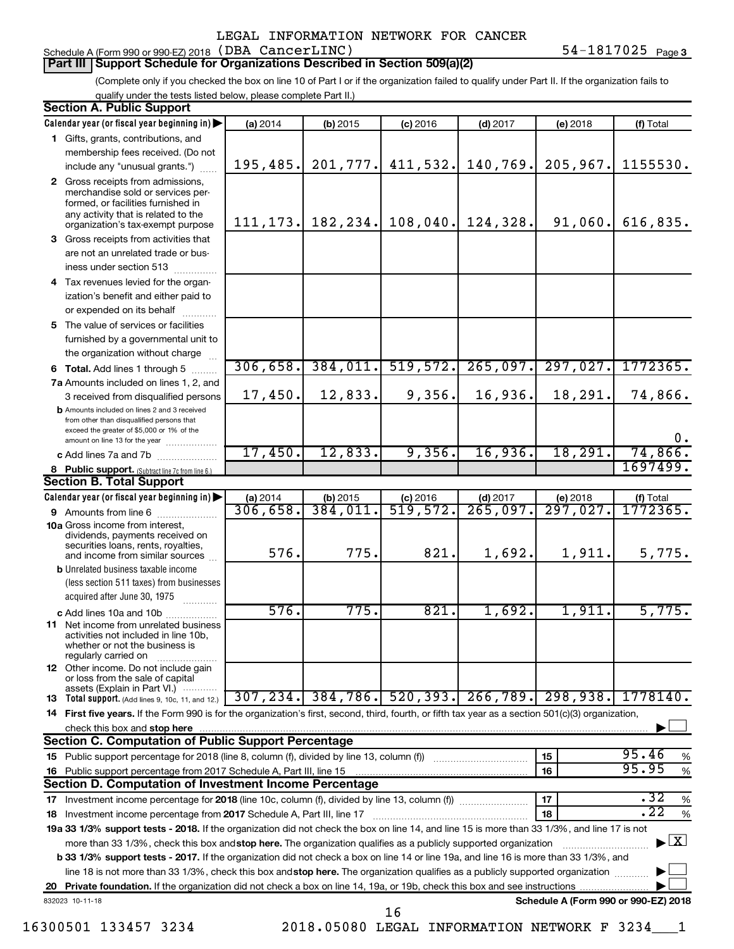# Schedule A (Form 990 or 990-EZ) 2018 (  $DBA$   $CancerLINC$  )  $54-1817025$   $Page$

54-1817025 Page 3

### **Part III Support Schedule for Organizations Described in Section 509(a)(2)**

(Complete only if you checked the box on line 10 of Part I or if the organization failed to qualify under Part II. If the organization fails to qualify under the tests listed below, please complete Part II.)

|    | Calendar year (or fiscal year beginning in)                                                                                                                                                                                                                                     | (a) 2014  | $(b)$ 2015 | $(c)$ 2016 | $(d)$ 2017             | (e) 2018                                                     | (f) Total                                |
|----|---------------------------------------------------------------------------------------------------------------------------------------------------------------------------------------------------------------------------------------------------------------------------------|-----------|------------|------------|------------------------|--------------------------------------------------------------|------------------------------------------|
|    | 1 Gifts, grants, contributions, and                                                                                                                                                                                                                                             |           |            |            |                        |                                                              |                                          |
|    | membership fees received. (Do not                                                                                                                                                                                                                                               |           |            |            |                        |                                                              |                                          |
|    | include any "unusual grants.")                                                                                                                                                                                                                                                  | 195,485.  | 201, 777.  | 411,532.   | 140,769.               | 205, 967.                                                    | 1155530.                                 |
|    | 2 Gross receipts from admissions,<br>merchandise sold or services per-<br>formed, or facilities furnished in<br>any activity that is related to the                                                                                                                             | 111, 173. | 182, 234.  | 108,040.   | 124,328.               | 91,060.                                                      | 616,835.                                 |
|    | organization's tax-exempt purpose                                                                                                                                                                                                                                               |           |            |            |                        |                                                              |                                          |
|    | 3 Gross receipts from activities that<br>are not an unrelated trade or bus-                                                                                                                                                                                                     |           |            |            |                        |                                                              |                                          |
|    | iness under section 513                                                                                                                                                                                                                                                         |           |            |            |                        |                                                              |                                          |
| 4  | Tax revenues levied for the organ-<br>ization's benefit and either paid to                                                                                                                                                                                                      |           |            |            |                        |                                                              |                                          |
|    | or expended on its behalf                                                                                                                                                                                                                                                       |           |            |            |                        |                                                              |                                          |
|    | 5 The value of services or facilities<br>furnished by a governmental unit to                                                                                                                                                                                                    |           |            |            |                        |                                                              |                                          |
|    | the organization without charge                                                                                                                                                                                                                                                 |           |            |            |                        |                                                              |                                          |
|    | 6 Total. Add lines 1 through 5                                                                                                                                                                                                                                                  | 306,658.  | 384,011.   | 519,572.   | 265,097.               | 297,027.                                                     | 1772365.                                 |
|    | 7a Amounts included on lines 1, 2, and                                                                                                                                                                                                                                          | 17,450.   | 12,833.    | 9,356.     | 16,936.                | 18,291.                                                      | 74,866.                                  |
|    | 3 received from disqualified persons<br><b>b</b> Amounts included on lines 2 and 3 received                                                                                                                                                                                     |           |            |            |                        |                                                              |                                          |
|    | from other than disqualified persons that<br>exceed the greater of \$5,000 or 1% of the<br>amount on line 13 for the year                                                                                                                                                       |           |            |            |                        |                                                              | 0.                                       |
|    | c Add lines 7a and 7b                                                                                                                                                                                                                                                           | 17,450.   | 12,833.    | 9,356.     | 16,936.                | 18, 291.                                                     | 74,866.                                  |
|    | 8 Public support. (Subtract line 7c from line 6.)                                                                                                                                                                                                                               |           |            |            |                        |                                                              | 1697499.                                 |
|    | <b>Section B. Total Support</b>                                                                                                                                                                                                                                                 |           |            |            |                        |                                                              |                                          |
|    | Calendar year (or fiscal year beginning in)                                                                                                                                                                                                                                     | (a) 2014  | $(b)$ 2015 | $(c)$ 2016 | $(d)$ 2017             | (e) 2018                                                     | (f) Total                                |
|    | 9 Amounts from line 6                                                                                                                                                                                                                                                           | 306,658.  | 384,011.   | 519,572.   | $\overline{265,097}$ . | $\overline{297,027}$ .                                       | 1772365.                                 |
|    | <b>10a</b> Gross income from interest,<br>dividends, payments received on<br>securities loans, rents, royalties,<br>and income from similar sources                                                                                                                             | 576.      | 775.       | 821.       | 1,692.                 | 1,911.                                                       | 5,775.                                   |
|    | <b>b</b> Unrelated business taxable income                                                                                                                                                                                                                                      |           |            |            |                        |                                                              |                                          |
|    | (less section 511 taxes) from businesses<br>acquired after June 30, 1975                                                                                                                                                                                                        |           |            |            |                        |                                                              |                                          |
|    | c Add lines 10a and 10b                                                                                                                                                                                                                                                         | 576.      | 775.       | 821.       | 1,692.                 | 1,911.                                                       | 5,775.                                   |
|    | 11 Net income from unrelated business<br>activities not included in line 10b,<br>whether or not the business is<br>regularly carried on                                                                                                                                         |           |            |            |                        |                                                              |                                          |
|    | <b>12</b> Other income. Do not include gain<br>or loss from the sale of capital<br>assets (Explain in Part VI.)                                                                                                                                                                 |           |            |            |                        |                                                              |                                          |
|    | <b>13</b> Total support. (Add lines 9, 10c, 11, and 12.)                                                                                                                                                                                                                        |           |            |            |                        | $307, 234.$ 384, 786. 520, 393. 266, 789. 298, 938. 1778140. |                                          |
|    | 14 First five years. If the Form 990 is for the organization's first, second, third, fourth, or fifth tax year as a section 501(c)(3) organization,                                                                                                                             |           |            |            |                        |                                                              |                                          |
|    | check this box and stop here www.communication.communication.communication.com/                                                                                                                                                                                                 |           |            |            |                        |                                                              |                                          |
|    | <b>Section C. Computation of Public Support Percentage</b>                                                                                                                                                                                                                      |           |            |            |                        |                                                              |                                          |
|    |                                                                                                                                                                                                                                                                                 |           |            |            |                        | 15                                                           | 95.46<br>%                               |
|    |                                                                                                                                                                                                                                                                                 |           |            |            |                        | 16                                                           | 95.95<br>$\%$                            |
|    | Section D. Computation of Investment Income Percentage                                                                                                                                                                                                                          |           |            |            |                        |                                                              |                                          |
|    | 17 Investment income percentage for 2018 (line 10c, column (f), divided by line 13, column (f))                                                                                                                                                                                 |           |            |            |                        | 17                                                           | .32<br>%                                 |
| 18 | Investment income percentage from 2017 Schedule A, Part III, line 17                                                                                                                                                                                                            |           |            |            |                        | 18                                                           | , 22<br>$\%$                             |
|    | 19a 33 1/3% support tests - 2018. If the organization did not check the box on line 14, and line 15 is more than 33 1/3%, and line 17 is not                                                                                                                                    |           |            |            |                        |                                                              |                                          |
|    | more than 33 1/3%, check this box and stop here. The organization qualifies as a publicly supported organization                                                                                                                                                                |           |            |            |                        |                                                              | $\blacktriangleright$ $\boxed{\text{X}}$ |
|    | <b>b 33 1/3% support tests - 2017.</b> If the organization did not check a box on line 14 or line 19a, and line 16 is more than 33 1/3%, and<br>line 18 is not more than 33 1/3%, check this box and stop here. The organization qualifies as a publicly supported organization |           |            |            |                        |                                                              |                                          |
|    |                                                                                                                                                                                                                                                                                 |           |            |            |                        |                                                              |                                          |
|    | 832023 10-11-18                                                                                                                                                                                                                                                                 |           |            |            |                        | Schedule A (Form 990 or 990-EZ) 2018                         |                                          |
|    |                                                                                                                                                                                                                                                                                 |           |            | 16         |                        |                                                              |                                          |
|    | 16300501 133457 3234                                                                                                                                                                                                                                                            |           |            |            |                        | 2018.05080 LEGAL INFORMATION NETWORK F 3234                  |                                          |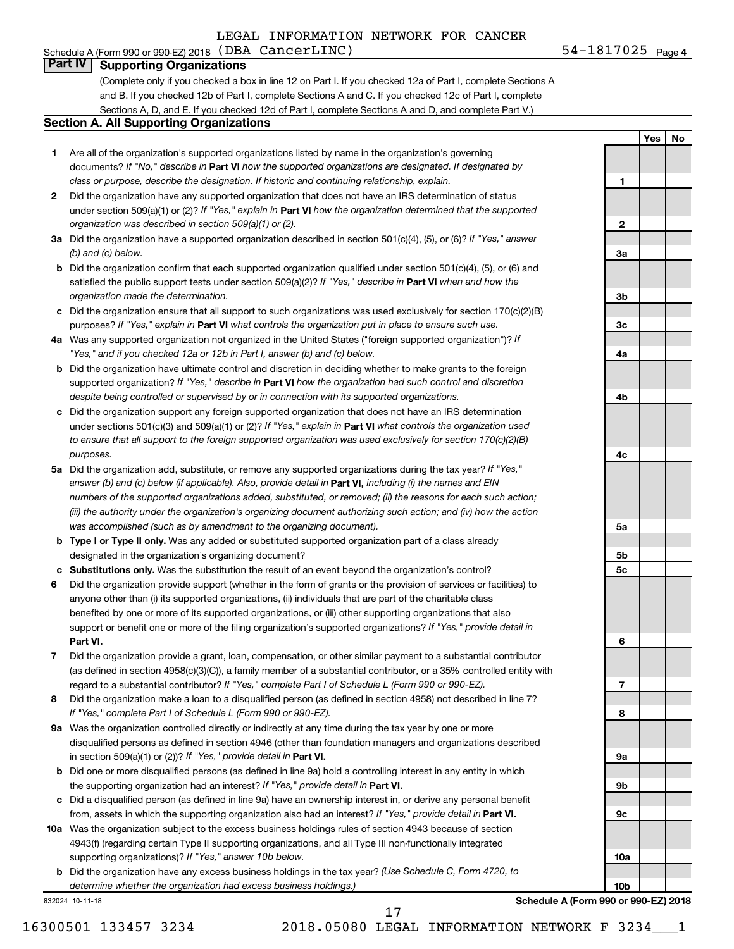# Schedule A (Form 990 or 990-EZ) 2018 (  $DBA$   $CancerLINC$  )  $54-1817025$   $Page$

**Part IV Supporting Organizations**

(Complete only if you checked a box in line 12 on Part I. If you checked 12a of Part I, complete Sections A and B. If you checked 12b of Part I, complete Sections A and C. If you checked 12c of Part I, complete Sections A, D, and E. If you checked 12d of Part I, complete Sections A and D, and complete Part V.)

### **Section A. All Supporting Organizations**

- **1** Are all of the organization's supported organizations listed by name in the organization's governing documents? If "No," describe in Part VI how the supported organizations are designated. If designated by *class or purpose, describe the designation. If historic and continuing relationship, explain.*
- **2** Did the organization have any supported organization that does not have an IRS determination of status under section 509(a)(1) or (2)? If "Yes," explain in Part **VI** how the organization determined that the supported *organization was described in section 509(a)(1) or (2).*
- **3a** Did the organization have a supported organization described in section 501(c)(4), (5), or (6)? If "Yes," answer *(b) and (c) below.*
- **b** Did the organization confirm that each supported organization qualified under section 501(c)(4), (5), or (6) and satisfied the public support tests under section 509(a)(2)? If "Yes," describe in Part VI when and how the *organization made the determination.*
- **c** Did the organization ensure that all support to such organizations was used exclusively for section 170(c)(2)(B) purposes? If "Yes," explain in Part VI what controls the organization put in place to ensure such use.
- **4 a** *If* Was any supported organization not organized in the United States ("foreign supported organization")? *"Yes," and if you checked 12a or 12b in Part I, answer (b) and (c) below.*
- **b** Did the organization have ultimate control and discretion in deciding whether to make grants to the foreign supported organization? If "Yes," describe in Part VI how the organization had such control and discretion *despite being controlled or supervised by or in connection with its supported organizations.*
- **c** Did the organization support any foreign supported organization that does not have an IRS determination under sections 501(c)(3) and 509(a)(1) or (2)? If "Yes," explain in Part VI what controls the organization used *to ensure that all support to the foreign supported organization was used exclusively for section 170(c)(2)(B) purposes.*
- **5a** Did the organization add, substitute, or remove any supported organizations during the tax year? If "Yes," answer (b) and (c) below (if applicable). Also, provide detail in **Part VI,** including (i) the names and EIN *numbers of the supported organizations added, substituted, or removed; (ii) the reasons for each such action; (iii) the authority under the organization's organizing document authorizing such action; and (iv) how the action was accomplished (such as by amendment to the organizing document).*
- **b** Type I or Type II only. Was any added or substituted supported organization part of a class already designated in the organization's organizing document?
- **c Substitutions only.**  Was the substitution the result of an event beyond the organization's control?
- **6** Did the organization provide support (whether in the form of grants or the provision of services or facilities) to **Part VI.** support or benefit one or more of the filing organization's supported organizations? If "Yes," provide detail in anyone other than (i) its supported organizations, (ii) individuals that are part of the charitable class benefited by one or more of its supported organizations, or (iii) other supporting organizations that also
- **7** Did the organization provide a grant, loan, compensation, or other similar payment to a substantial contributor regard to a substantial contributor? If "Yes," complete Part I of Schedule L (Form 990 or 990-EZ). (as defined in section 4958(c)(3)(C)), a family member of a substantial contributor, or a 35% controlled entity with
- **8** Did the organization make a loan to a disqualified person (as defined in section 4958) not described in line 7? *If "Yes," complete Part I of Schedule L (Form 990 or 990-EZ).*
- **9 a** Was the organization controlled directly or indirectly at any time during the tax year by one or more in section 509(a)(1) or (2))? If "Yes," provide detail in **Part VI.** disqualified persons as defined in section 4946 (other than foundation managers and organizations described
- **b** Did one or more disqualified persons (as defined in line 9a) hold a controlling interest in any entity in which the supporting organization had an interest? If "Yes," provide detail in Part VI.
- **c** Did a disqualified person (as defined in line 9a) have an ownership interest in, or derive any personal benefit from, assets in which the supporting organization also had an interest? If "Yes," provide detail in Part VI.
- **10 a** Was the organization subject to the excess business holdings rules of section 4943 because of section supporting organizations)? If "Yes," answer 10b below. 4943(f) (regarding certain Type II supporting organizations, and all Type III non-functionally integrated
	- **b** Did the organization have any excess business holdings in the tax year? (Use Schedule C, Form 4720, to *determine whether the organization had excess business holdings.)*

832024 10-11-18

16300501 133457 3234 2018.05080 LEGAL INFORMATION NETWORK F 3234\_\_\_1 17

**Yes No 1 2 3a 3b 3c 4a 4b 4c 5a 5b 5c 6 7 8 9a 9b 9c 10a 10b**

**Schedule A (Form 990 or 990-EZ) 2018**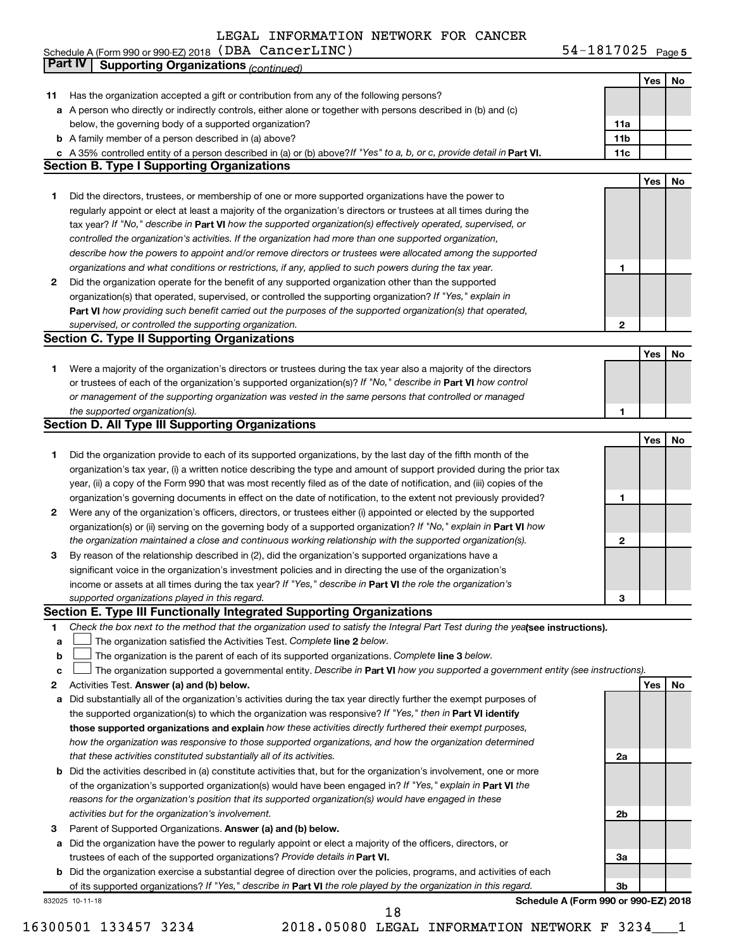54-1817025 Page 5 Schedule A (Form 990 or 990-EZ) 2018 (  $DBA$   $CancerLINC$  )  $54-1817025$   $Page$ 

|        | Part IV<br><b>Supporting Organizations (continued)</b>                                                                                                                                                                           |                 |            |    |
|--------|----------------------------------------------------------------------------------------------------------------------------------------------------------------------------------------------------------------------------------|-----------------|------------|----|
|        |                                                                                                                                                                                                                                  |                 | Yes        | No |
| 11     | Has the organization accepted a gift or contribution from any of the following persons?                                                                                                                                          |                 |            |    |
|        | a A person who directly or indirectly controls, either alone or together with persons described in (b) and (c)                                                                                                                   |                 |            |    |
|        | below, the governing body of a supported organization?                                                                                                                                                                           | 11a             |            |    |
|        | <b>b</b> A family member of a person described in (a) above?                                                                                                                                                                     | 11 <sub>b</sub> |            |    |
|        | c A 35% controlled entity of a person described in (a) or (b) above? If "Yes" to a, b, or c, provide detail in Part VI.                                                                                                          | 11c             |            |    |
|        | <b>Section B. Type I Supporting Organizations</b>                                                                                                                                                                                |                 |            |    |
|        |                                                                                                                                                                                                                                  |                 | <b>Yes</b> | No |
| 1      | Did the directors, trustees, or membership of one or more supported organizations have the power to                                                                                                                              |                 |            |    |
|        | regularly appoint or elect at least a majority of the organization's directors or trustees at all times during the                                                                                                               |                 |            |    |
|        | tax year? If "No," describe in Part VI how the supported organization(s) effectively operated, supervised, or                                                                                                                    |                 |            |    |
|        | controlled the organization's activities. If the organization had more than one supported organization,                                                                                                                          |                 |            |    |
|        | describe how the powers to appoint and/or remove directors or trustees were allocated among the supported                                                                                                                        |                 |            |    |
|        | organizations and what conditions or restrictions, if any, applied to such powers during the tax year.                                                                                                                           | 1               |            |    |
| 2      | Did the organization operate for the benefit of any supported organization other than the supported                                                                                                                              |                 |            |    |
|        | organization(s) that operated, supervised, or controlled the supporting organization? If "Yes," explain in                                                                                                                       |                 |            |    |
|        | Part VI how providing such benefit carried out the purposes of the supported organization(s) that operated,                                                                                                                      |                 |            |    |
|        | supervised, or controlled the supporting organization.                                                                                                                                                                           | $\mathbf{2}$    |            |    |
|        | <b>Section C. Type II Supporting Organizations</b>                                                                                                                                                                               |                 |            |    |
|        |                                                                                                                                                                                                                                  |                 | <b>Yes</b> | No |
|        |                                                                                                                                                                                                                                  |                 |            |    |
| 1      | Were a majority of the organization's directors or trustees during the tax year also a majority of the directors                                                                                                                 |                 |            |    |
|        | or trustees of each of the organization's supported organization(s)? If "No," describe in Part VI how control<br>or management of the supporting organization was vested in the same persons that controlled or managed          |                 |            |    |
|        |                                                                                                                                                                                                                                  | 1               |            |    |
|        | the supported organization(s).<br><b>Section D. All Type III Supporting Organizations</b>                                                                                                                                        |                 |            |    |
|        |                                                                                                                                                                                                                                  |                 | <b>Yes</b> | No |
| 1      | Did the organization provide to each of its supported organizations, by the last day of the fifth month of the                                                                                                                   |                 |            |    |
|        | organization's tax year, (i) a written notice describing the type and amount of support provided during the prior tax                                                                                                            |                 |            |    |
|        |                                                                                                                                                                                                                                  |                 |            |    |
|        | year, (ii) a copy of the Form 990 that was most recently filed as of the date of notification, and (iii) copies of the                                                                                                           |                 |            |    |
|        | organization's governing documents in effect on the date of notification, to the extent not previously provided?                                                                                                                 | 1               |            |    |
| 2      | Were any of the organization's officers, directors, or trustees either (i) appointed or elected by the supported                                                                                                                 |                 |            |    |
|        | organization(s) or (ii) serving on the governing body of a supported organization? If "No," explain in Part VI how                                                                                                               |                 |            |    |
|        | the organization maintained a close and continuous working relationship with the supported organization(s).                                                                                                                      | $\mathbf{2}$    |            |    |
| 3      | By reason of the relationship described in (2), did the organization's supported organizations have a                                                                                                                            |                 |            |    |
|        | significant voice in the organization's investment policies and in directing the use of the organization's                                                                                                                       |                 |            |    |
|        | income or assets at all times during the tax year? If "Yes," describe in Part VI the role the organization's                                                                                                                     |                 |            |    |
|        | supported organizations played in this regard.<br>Section E. Type III Functionally Integrated Supporting Organizations                                                                                                           | з               |            |    |
| 1      | Check the box next to the method that the organization used to satisfy the Integral Part Test during the yealsee instructions).                                                                                                  |                 |            |    |
|        | The organization satisfied the Activities Test. Complete line 2 below.                                                                                                                                                           |                 |            |    |
| a<br>b |                                                                                                                                                                                                                                  |                 |            |    |
| c      | The organization is the parent of each of its supported organizations. Complete line 3 below.<br>The organization supported a governmental entity. Describe in Part VI how you supported a government entity (see instructions). |                 |            |    |
| 2      | Activities Test. Answer (a) and (b) below.                                                                                                                                                                                       |                 | Yes        | No |
|        | Did substantially all of the organization's activities during the tax year directly further the exempt purposes of                                                                                                               |                 |            |    |
| а      | the supported organization(s) to which the organization was responsive? If "Yes," then in Part VI identify                                                                                                                       |                 |            |    |
|        | those supported organizations and explain how these activities directly furthered their exempt purposes,                                                                                                                         |                 |            |    |
|        | how the organization was responsive to those supported organizations, and how the organization determined                                                                                                                        |                 |            |    |
|        | that these activities constituted substantially all of its activities.                                                                                                                                                           | 2a              |            |    |
| b      | Did the activities described in (a) constitute activities that, but for the organization's involvement, one or more                                                                                                              |                 |            |    |
|        | of the organization's supported organization(s) would have been engaged in? If "Yes," explain in Part VI the                                                                                                                     |                 |            |    |
|        | reasons for the organization's position that its supported organization(s) would have engaged in these                                                                                                                           |                 |            |    |
|        | activities but for the organization's involvement.                                                                                                                                                                               | 2b              |            |    |
| з      | Parent of Supported Organizations. Answer (a) and (b) below.                                                                                                                                                                     |                 |            |    |
| а      | Did the organization have the power to regularly appoint or elect a majority of the officers, directors, or                                                                                                                      |                 |            |    |
|        | trustees of each of the supported organizations? Provide details in Part VI.                                                                                                                                                     | За              |            |    |
|        | <b>b</b> Did the organization exercise a substantial degree of direction over the policies, programs, and activities of each                                                                                                     |                 |            |    |
|        | of its supported organizations? If "Yes," describe in Part VI the role played by the organization in this regard.                                                                                                                | 3b              |            |    |
|        | Schedule A (Form 990 or 990-EZ) 2018<br>832025 10-11-18                                                                                                                                                                          |                 |            |    |

16300501 133457 3234 2018.05080 LEGAL INFORMATION NETWORK F 3234\_\_\_1

18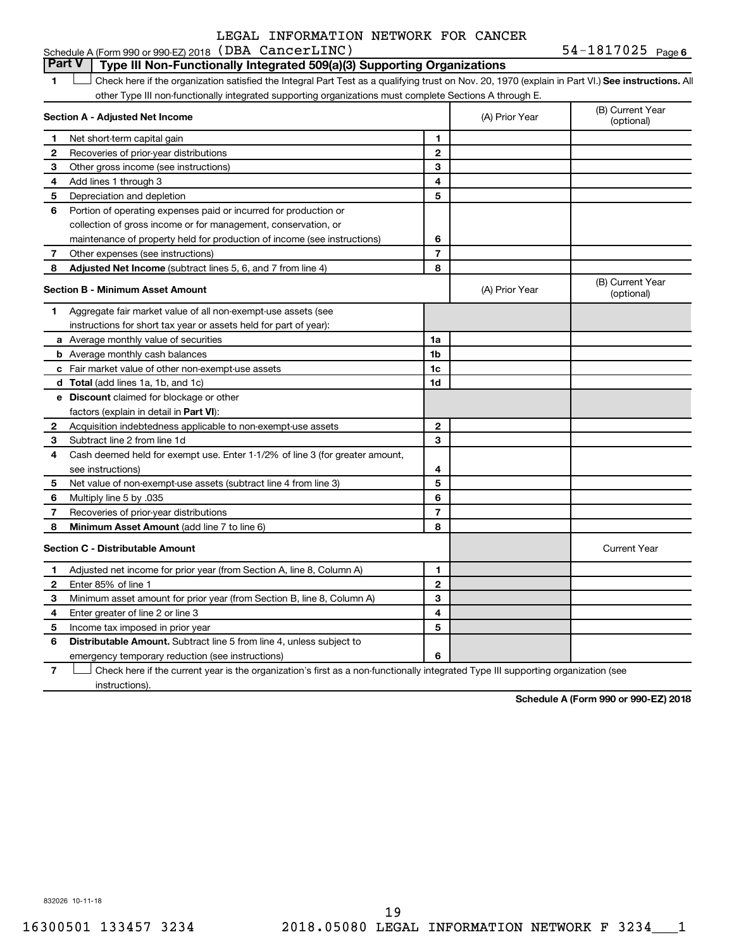#### **1 Letter or if the organization satisfied the Integral Part Test as a qualifying trust on Nov. 20, 1970 (explain in Part VI.) See instructions. All Section A - Adjusted Net Income 1 2 3 4 5 6 7 8 1 2 3 4 5 6 7 Adjusted Net Income** (subtract lines 5, 6, and 7 from line 4) **8 8 Section B - Minimum Asset Amount 1 2 3 4 5 6 7 8 a** Average monthly value of securities **b** Average monthly cash balances **c** Fair market value of other non-exempt-use assets **d Total**  (add lines 1a, 1b, and 1c) **e Discount** claimed for blockage or other **1a 1b 1c 1d 2 3 4 5 6 7 8** factors (explain in detail in Part VI): **Minimum Asset Amount**  (add line 7 to line 6) **Section C - Distributable Amount 1 2 3 4 5 6 1 2 3 4 5 6** Distributable Amount. Subtract line 5 from line 4, unless subject to Schedule A (Form 990 or 990-EZ) 2018 (  $DBA$   $CancerLINC$  )  $54-1817025$   $Page$ other Type III non-functionally integrated supporting organizations must complete Sections A through E. (B) Current Year (A) Prior Year Net short-term capital gain Recoveries of prior-year distributions Other gross income (see instructions) Add lines 1 through 3 Depreciation and depletion Portion of operating expenses paid or incurred for production or collection of gross income or for management, conservation, or maintenance of property held for production of income (see instructions) Other expenses (see instructions) (B) Current Year  $(A)$  Prior Year  $\left\{\n\begin{array}{ccc}\n\end{array}\n\right\}$  (optional) Aggregate fair market value of all non-exempt-use assets (see instructions for short tax year or assets held for part of year): Acquisition indebtedness applicable to non-exempt-use assets Subtract line 2 from line 1d Cash deemed held for exempt use. Enter 1-1/2% of line 3 (for greater amount, see instructions) Net value of non-exempt-use assets (subtract line 4 from line 3) Multiply line 5 by .035 Recoveries of prior-year distributions Current Year Adjusted net income for prior year (from Section A, line 8, Column A) Enter 85% of line 1 Minimum asset amount for prior year (from Section B, line 8, Column A) Enter greater of line 2 or line 3 Income tax imposed in prior year emergency temporary reduction (see instructions) **Part V Type III Non-Functionally Integrated 509(a)(3) Supporting Organizations**   $\Box$

**7** Check here if the current year is the organization's first as a non-functionally integrated Type III supporting organization (see † instructions).

**Schedule A (Form 990 or 990-EZ) 2018**

832026 10-11-18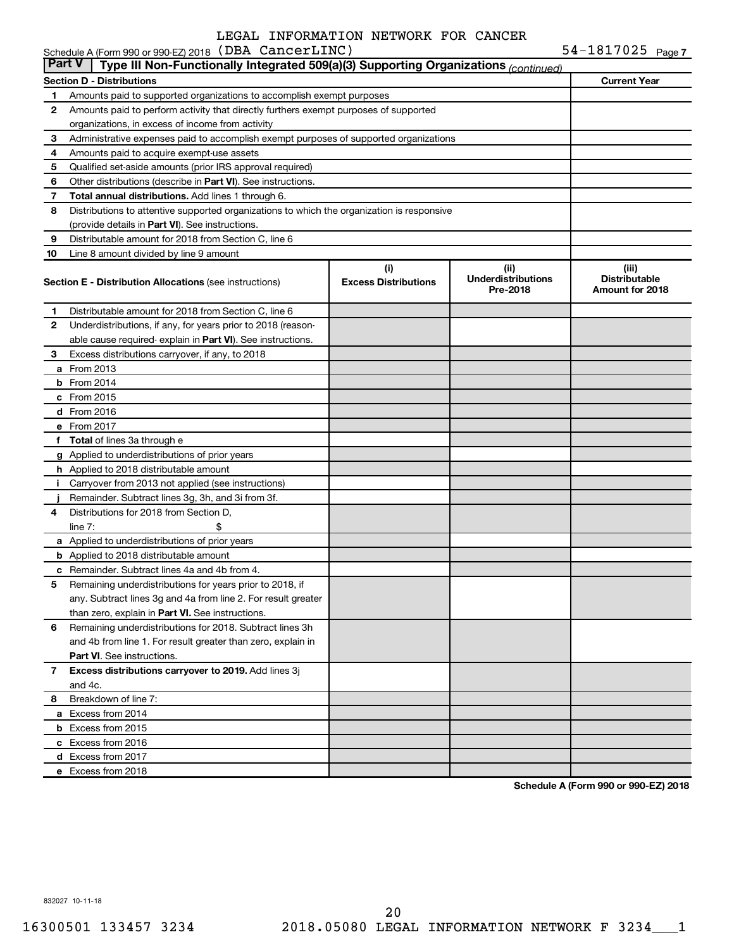|               | Schedule A (Form 990 or 990-EZ) 2018 (DBA CancerLINC)                                      |                                    |                                   | 54-1817025 $_{Page 7}$        |
|---------------|--------------------------------------------------------------------------------------------|------------------------------------|-----------------------------------|-------------------------------|
| <b>Part V</b> | Type III Non-Functionally Integrated 509(a)(3) Supporting Organizations (continued)        |                                    |                                   |                               |
|               | <b>Section D - Distributions</b>                                                           |                                    |                                   | <b>Current Year</b>           |
| 1             | Amounts paid to supported organizations to accomplish exempt purposes                      |                                    |                                   |                               |
| 2             | Amounts paid to perform activity that directly furthers exempt purposes of supported       |                                    |                                   |                               |
|               | organizations, in excess of income from activity                                           |                                    |                                   |                               |
| 3             | Administrative expenses paid to accomplish exempt purposes of supported organizations      |                                    |                                   |                               |
| 4             | Amounts paid to acquire exempt-use assets                                                  |                                    |                                   |                               |
| 5             | Qualified set-aside amounts (prior IRS approval required)                                  |                                    |                                   |                               |
| 6             | Other distributions (describe in Part VI). See instructions.                               |                                    |                                   |                               |
| 7             | Total annual distributions. Add lines 1 through 6.                                         |                                    |                                   |                               |
| 8             | Distributions to attentive supported organizations to which the organization is responsive |                                    |                                   |                               |
|               | (provide details in Part VI). See instructions.                                            |                                    |                                   |                               |
| 9             | Distributable amount for 2018 from Section C, line 6                                       |                                    |                                   |                               |
| 10            | Line 8 amount divided by line 9 amount                                                     |                                    |                                   |                               |
|               | <b>Section E - Distribution Allocations (see instructions)</b>                             | (i)<br><b>Excess Distributions</b> | (ii)<br><b>Underdistributions</b> | (iii)<br><b>Distributable</b> |
|               |                                                                                            |                                    | Pre-2018                          | Amount for 2018               |
| 1             | Distributable amount for 2018 from Section C, line 6                                       |                                    |                                   |                               |
| 2             | Underdistributions, if any, for years prior to 2018 (reason-                               |                                    |                                   |                               |
|               | able cause required- explain in Part VI). See instructions.                                |                                    |                                   |                               |
| 3             | Excess distributions carryover, if any, to 2018                                            |                                    |                                   |                               |
|               | <b>a</b> From 2013                                                                         |                                    |                                   |                               |
|               | $b$ From 2014                                                                              |                                    |                                   |                               |
|               | c From 2015                                                                                |                                    |                                   |                               |
|               | d From 2016                                                                                |                                    |                                   |                               |
|               | e From 2017                                                                                |                                    |                                   |                               |
|               | f Total of lines 3a through e                                                              |                                    |                                   |                               |
|               | g Applied to underdistributions of prior years                                             |                                    |                                   |                               |
|               | h Applied to 2018 distributable amount                                                     |                                    |                                   |                               |
| Ť.            | Carryover from 2013 not applied (see instructions)                                         |                                    |                                   |                               |
|               | Remainder. Subtract lines 3g, 3h, and 3i from 3f.                                          |                                    |                                   |                               |
| 4             | Distributions for 2018 from Section D,                                                     |                                    |                                   |                               |
|               | line $7:$                                                                                  |                                    |                                   |                               |
|               | a Applied to underdistributions of prior years                                             |                                    |                                   |                               |
|               | <b>b</b> Applied to 2018 distributable amount                                              |                                    |                                   |                               |
|               | c Remainder. Subtract lines 4a and 4b from 4.                                              |                                    |                                   |                               |
|               | 5 Remaining underdistributions for years prior to 2018, if                                 |                                    |                                   |                               |
|               | any. Subtract lines 3g and 4a from line 2. For result greater                              |                                    |                                   |                               |
|               | than zero, explain in Part VI. See instructions.                                           |                                    |                                   |                               |
| 6             | Remaining underdistributions for 2018. Subtract lines 3h                                   |                                    |                                   |                               |
|               | and 4b from line 1. For result greater than zero, explain in                               |                                    |                                   |                               |
|               | <b>Part VI.</b> See instructions.                                                          |                                    |                                   |                               |
| 7             | Excess distributions carryover to 2019. Add lines 3j                                       |                                    |                                   |                               |
|               | and 4c.                                                                                    |                                    |                                   |                               |
| 8             | Breakdown of line 7:                                                                       |                                    |                                   |                               |
|               | a Excess from 2014                                                                         |                                    |                                   |                               |
|               | <b>b</b> Excess from 2015                                                                  |                                    |                                   |                               |
|               | c Excess from 2016                                                                         |                                    |                                   |                               |
|               | d Excess from 2017                                                                         |                                    |                                   |                               |
|               | e Excess from 2018                                                                         |                                    |                                   |                               |
|               |                                                                                            |                                    |                                   |                               |

**Schedule A (Form 990 or 990-EZ) 2018**

832027 10-11-18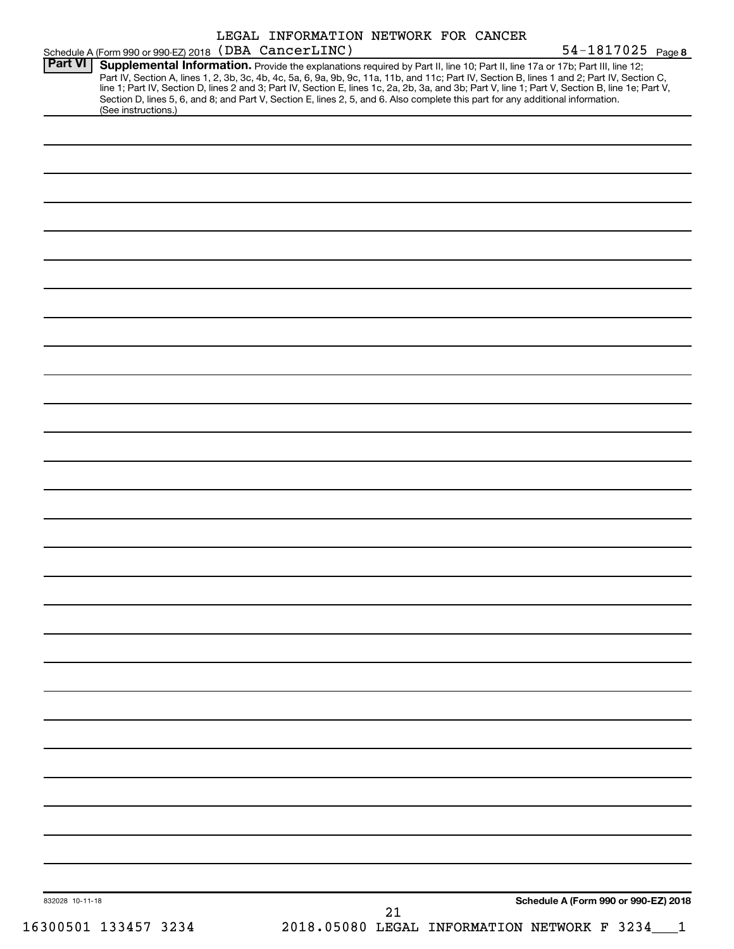|                 | Schedule A (Form 990 or 990-EZ) 2018 (DBA CancerLINC)                                                                                                                                                                                                                                   | LEGAL INFORMATION NETWORK FOR CANCER |    | 54-1817025 Page 8                                                                                                                                                                                                                                                                                |
|-----------------|-----------------------------------------------------------------------------------------------------------------------------------------------------------------------------------------------------------------------------------------------------------------------------------------|--------------------------------------|----|--------------------------------------------------------------------------------------------------------------------------------------------------------------------------------------------------------------------------------------------------------------------------------------------------|
| <b>Part VI</b>  | Supplemental Information. Provide the explanations required by Part II, line 10; Part II, line 17a or 17b; Part III, line 12;<br>Section D, lines 5, 6, and 8; and Part V, Section E, lines 2, 5, and 6. Also complete this part for any additional information.<br>(See instructions.) |                                      |    | Part IV, Section A, lines 1, 2, 3b, 3c, 4b, 4c, 5a, 6, 9a, 9b, 9c, 11a, 11b, and 11c; Part IV, Section B, lines 1 and 2; Part IV, Section C,<br>line 1; Part IV, Section D, lines 2 and 3; Part IV, Section E, lines 1c, 2a, 2b, 3a, and 3b; Part V, line 1; Part V, Section B, line 1e; Part V, |
|                 |                                                                                                                                                                                                                                                                                         |                                      |    |                                                                                                                                                                                                                                                                                                  |
|                 |                                                                                                                                                                                                                                                                                         |                                      |    |                                                                                                                                                                                                                                                                                                  |
|                 |                                                                                                                                                                                                                                                                                         |                                      |    |                                                                                                                                                                                                                                                                                                  |
|                 |                                                                                                                                                                                                                                                                                         |                                      |    |                                                                                                                                                                                                                                                                                                  |
|                 |                                                                                                                                                                                                                                                                                         |                                      |    |                                                                                                                                                                                                                                                                                                  |
|                 |                                                                                                                                                                                                                                                                                         |                                      |    |                                                                                                                                                                                                                                                                                                  |
|                 |                                                                                                                                                                                                                                                                                         |                                      |    |                                                                                                                                                                                                                                                                                                  |
|                 |                                                                                                                                                                                                                                                                                         |                                      |    |                                                                                                                                                                                                                                                                                                  |
|                 |                                                                                                                                                                                                                                                                                         |                                      |    |                                                                                                                                                                                                                                                                                                  |
|                 |                                                                                                                                                                                                                                                                                         |                                      |    |                                                                                                                                                                                                                                                                                                  |
|                 |                                                                                                                                                                                                                                                                                         |                                      |    |                                                                                                                                                                                                                                                                                                  |
|                 |                                                                                                                                                                                                                                                                                         |                                      |    |                                                                                                                                                                                                                                                                                                  |
|                 |                                                                                                                                                                                                                                                                                         |                                      |    |                                                                                                                                                                                                                                                                                                  |
|                 |                                                                                                                                                                                                                                                                                         |                                      |    |                                                                                                                                                                                                                                                                                                  |
|                 |                                                                                                                                                                                                                                                                                         |                                      |    |                                                                                                                                                                                                                                                                                                  |
|                 |                                                                                                                                                                                                                                                                                         |                                      |    |                                                                                                                                                                                                                                                                                                  |
|                 |                                                                                                                                                                                                                                                                                         |                                      |    |                                                                                                                                                                                                                                                                                                  |
|                 |                                                                                                                                                                                                                                                                                         |                                      |    |                                                                                                                                                                                                                                                                                                  |
|                 |                                                                                                                                                                                                                                                                                         |                                      |    |                                                                                                                                                                                                                                                                                                  |
|                 |                                                                                                                                                                                                                                                                                         |                                      |    |                                                                                                                                                                                                                                                                                                  |
|                 |                                                                                                                                                                                                                                                                                         |                                      |    |                                                                                                                                                                                                                                                                                                  |
|                 |                                                                                                                                                                                                                                                                                         |                                      |    |                                                                                                                                                                                                                                                                                                  |
|                 |                                                                                                                                                                                                                                                                                         |                                      |    |                                                                                                                                                                                                                                                                                                  |
|                 |                                                                                                                                                                                                                                                                                         |                                      |    |                                                                                                                                                                                                                                                                                                  |
|                 |                                                                                                                                                                                                                                                                                         |                                      |    | Schedule A (Form 990 or 990-EZ) 2018                                                                                                                                                                                                                                                             |
| 832028 10-11-18 | 16300501 133457 3234                                                                                                                                                                                                                                                                    |                                      | 21 | 2018.05080 LEGAL INFORMATION NETWORK F 3234                                                                                                                                                                                                                                                      |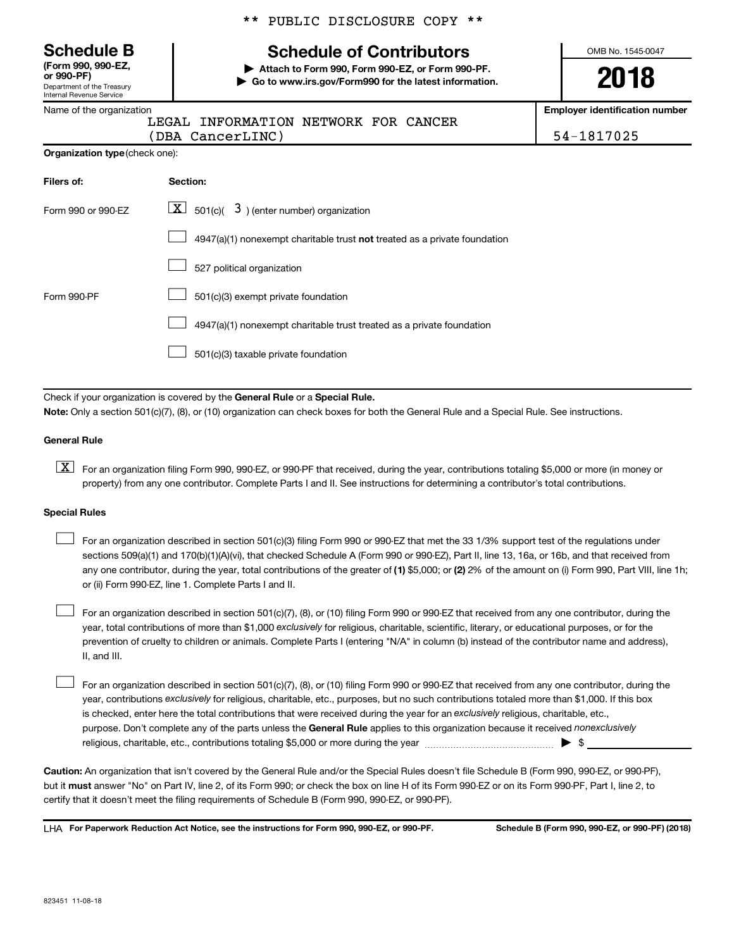Department of the Treasury Internal Revenue Service **(Form 990, 990-EZ,**

Name of the organization

# \*\* PUBLIC DISCLOSURE COPY \*\*

# **Schedule B Schedule of Contributors**

**or 990-PF) | Attach to Form 990, Form 990-EZ, or Form 990-PF. | Go to www.irs.gov/Form990 for the latest information.** OMB No. 1545-0047

**2018**

**Employer identification number**

(DBA CancerLINC) 54-1817025

| . – – –                        |
|--------------------------------|
| Organization type (check one): |

| Filers of:         | Section:                                                                  |
|--------------------|---------------------------------------------------------------------------|
| Form 990 or 990-EZ | $\underline{\mathbf{X}}$ 501(c)( 3) (enter number) organization           |
|                    | 4947(a)(1) nonexempt charitable trust not treated as a private foundation |
|                    | 527 political organization                                                |
| Form 990-PF        | 501(c)(3) exempt private foundation                                       |
|                    | 4947(a)(1) nonexempt charitable trust treated as a private foundation     |
|                    | 501(c)(3) taxable private foundation                                      |

LEGAL INFORMATION NETWORK FOR CANCER

Check if your organization is covered by the General Rule or a Special Rule. **Note:**  Only a section 501(c)(7), (8), or (10) organization can check boxes for both the General Rule and a Special Rule. See instructions.

#### **General Rule**

**K** For an organization filing Form 990, 990-EZ, or 990-PF that received, during the year, contributions totaling \$5,000 or more (in money or property) from any one contributor. Complete Parts I and II. See instructions for determining a contributor's total contributions.

#### **Special Rules**

any one contributor, during the year, total contributions of the greater of (1) \$5,000; or (2) 2% of the amount on (i) Form 990, Part VIII, line 1h; For an organization described in section 501(c)(3) filing Form 990 or 990-EZ that met the 33 1/3% support test of the regulations under sections 509(a)(1) and 170(b)(1)(A)(vi), that checked Schedule A (Form 990 or 990-EZ), Part II, line 13, 16a, or 16b, and that received from or (ii) Form 990-EZ, line 1. Complete Parts I and II.  $\Box$ 

year, total contributions of more than \$1,000 *exclusively* for religious, charitable, scientific, literary, or educational purposes, or for the For an organization described in section 501(c)(7), (8), or (10) filing Form 990 or 990-EZ that received from any one contributor, during the prevention of cruelty to children or animals. Complete Parts I (entering "N/A" in column (b) instead of the contributor name and address), II, and III.  $\Box$ 

purpose. Don't complete any of the parts unless the General Rule applies to this organization because it received nonexclusively year, contributions exclusively for religious, charitable, etc., purposes, but no such contributions totaled more than \$1,000. If this box is checked, enter here the total contributions that were received during the year for an exclusively religious, charitable, etc., For an organization described in section 501(c)(7), (8), or (10) filing Form 990 or 990-EZ that received from any one contributor, during the religious, charitable, etc., contributions totaling \$5,000 or more during the year  $\ldots$  $\ldots$  $\ldots$  $\ldots$  $\ldots$  $\ldots$  $\Box$ 

**Caution:**  An organization that isn't covered by the General Rule and/or the Special Rules doesn't file Schedule B (Form 990, 990-EZ, or 990-PF),  **must** but it answer "No" on Part IV, line 2, of its Form 990; or check the box on line H of its Form 990-EZ or on its Form 990-PF, Part I, line 2, to certify that it doesn't meet the filing requirements of Schedule B (Form 990, 990-EZ, or 990-PF).

**For Paperwork Reduction Act Notice, see the instructions for Form 990, 990-EZ, or 990-PF. Schedule B (Form 990, 990-EZ, or 990-PF) (2018)** LHA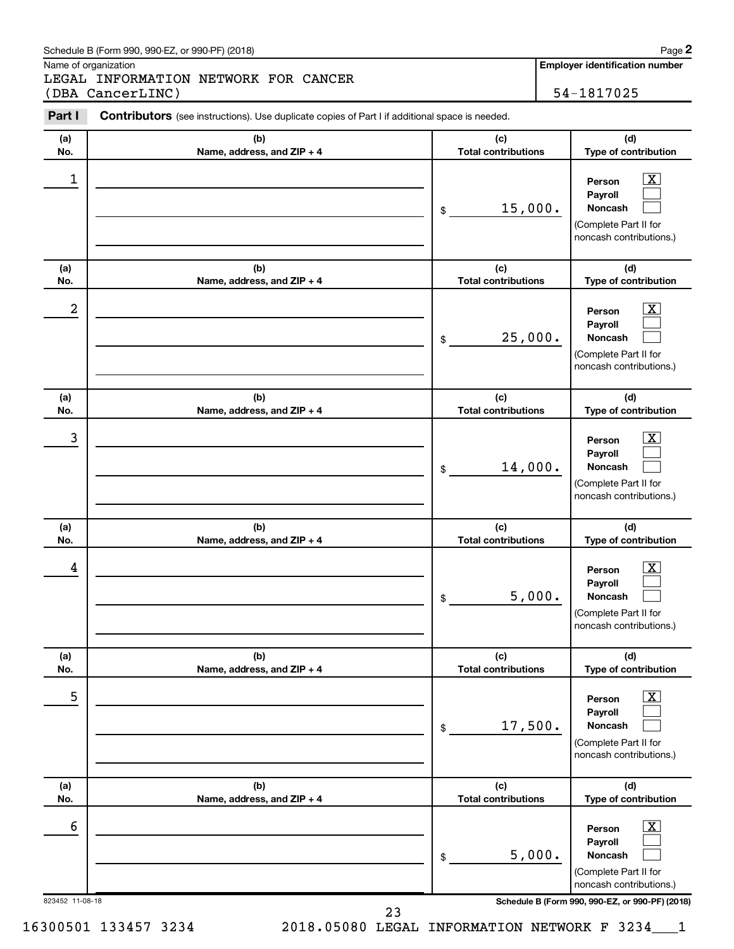Name of organization

LEGAL INFORMATION NETWORK FOR CANCER (DBA CancerLINC) 54-1817025

**Employer identification number**

| Part I           | <b>Contributors</b> (see instructions). Use duplicate copies of Part I if additional space is needed. |                                   |                                                                                                                    |
|------------------|-------------------------------------------------------------------------------------------------------|-----------------------------------|--------------------------------------------------------------------------------------------------------------------|
| (a)<br>No.       | (b)<br>Name, address, and ZIP + 4                                                                     | (c)<br><b>Total contributions</b> | (d)<br>Type of contribution                                                                                        |
| 1                |                                                                                                       | 15,000.<br>\$                     | $\mathbf{X}$<br>Person<br>Payroll<br>Noncash<br>(Complete Part II for<br>noncash contributions.)                   |
| (a)<br>No.       | (b)<br>Name, address, and ZIP + 4                                                                     | (c)<br><b>Total contributions</b> | (d)<br>Type of contribution                                                                                        |
| $\boldsymbol{2}$ |                                                                                                       | 25,000.<br>\$                     | $\mathbf{X}$<br>Person<br>Payroll<br>Noncash<br>(Complete Part II for<br>noncash contributions.)                   |
| (a)<br>No.       | (b)<br>Name, address, and ZIP + 4                                                                     | (c)<br><b>Total contributions</b> | (d)<br>Type of contribution                                                                                        |
| 3                |                                                                                                       | 14,000.<br>\$                     | $\mathbf{X}$<br>Person<br>Payroll<br>Noncash<br>(Complete Part II for<br>noncash contributions.)                   |
| (a)<br>No.       | (b)<br>Name, address, and ZIP + 4                                                                     | (c)<br><b>Total contributions</b> | (d)<br>Type of contribution                                                                                        |
| 4                |                                                                                                       | 5,000.<br>\$                      | $\mathbf{X}$<br>Person<br>Payroll<br>Noncash<br>(Complete Part II for<br>noncash contributions.)                   |
| (a)<br>No.       | (b)<br>Name, address, and ZIP + 4                                                                     | (c)<br><b>Total contributions</b> | (d)<br>Type of contribution                                                                                        |
| 5                |                                                                                                       | 17,500.<br>\$                     | $\overline{\mathbf{X}}$<br>Person<br>Payroll<br><b>Noncash</b><br>(Complete Part II for<br>noncash contributions.) |
| (a)<br>No.       | (b)<br>Name, address, and ZIP + 4                                                                     | (c)<br><b>Total contributions</b> | (d)<br>Type of contribution                                                                                        |
| 6                |                                                                                                       | 5,000.<br>\$                      | $\mathbf{X}$<br>Person<br>Payroll<br>Noncash<br>(Complete Part II for<br>noncash contributions.)                   |
| 823452 11-08-18  |                                                                                                       |                                   | Schedule B (Form 990, 990-EZ, or 990-PF) (2018)                                                                    |

23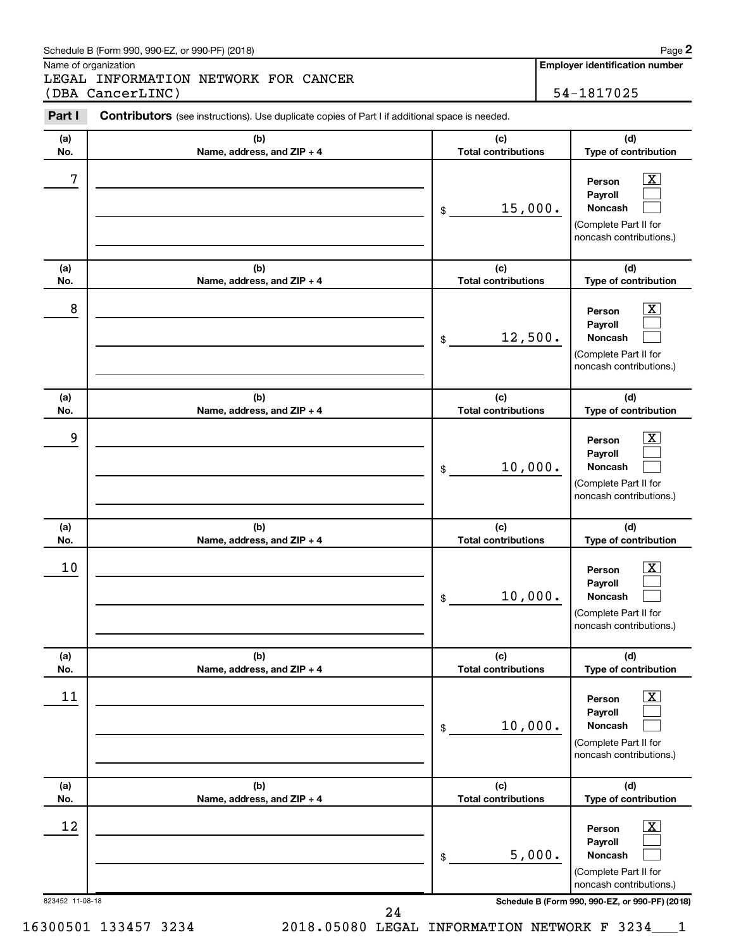Name of organization

LEGAL INFORMATION NETWORK FOR CANCER (DBA CancerLINC) 54-1817025

**Employer identification number**

| Part I                | <b>Contributors</b> (see instructions). Use duplicate copies of Part I if additional space is needed. |                                   |                                                                                                                                                     |
|-----------------------|-------------------------------------------------------------------------------------------------------|-----------------------------------|-----------------------------------------------------------------------------------------------------------------------------------------------------|
| (a)<br>No.            | (b)<br>Name, address, and ZIP + 4                                                                     | (c)<br><b>Total contributions</b> | (d)<br>Type of contribution                                                                                                                         |
| 7                     |                                                                                                       | 15,000.<br>\$                     | $\mathbf{X}$<br>Person<br>Payroll<br>Noncash<br>(Complete Part II for<br>noncash contributions.)                                                    |
| (a)<br>No.            | (b)<br>Name, address, and ZIP + 4                                                                     | (c)<br><b>Total contributions</b> | (d)<br>Type of contribution                                                                                                                         |
| 8                     |                                                                                                       | 12,500.<br>\$                     | $\mathbf{X}$<br>Person<br>Payroll<br>Noncash<br>(Complete Part II for<br>noncash contributions.)                                                    |
| (a)<br>No.            | (b)<br>Name, address, and ZIP + 4                                                                     | (c)<br><b>Total contributions</b> | (d)<br>Type of contribution                                                                                                                         |
| 9                     |                                                                                                       | 10,000.<br>\$                     | $\mathbf{X}$<br>Person<br>Payroll<br>Noncash<br>(Complete Part II for<br>noncash contributions.)                                                    |
| (a)<br>No.            | (b)<br>Name, address, and ZIP + 4                                                                     | (c)<br><b>Total contributions</b> | (d)<br>Type of contribution                                                                                                                         |
| 10                    |                                                                                                       | 10,000.<br>\$                     | $\mathbf{X}$<br>Person<br>Payroll<br>Noncash<br>(Complete Part II for<br>noncash contributions.)                                                    |
| (a)<br>No.            | (b)<br>Name, address, and ZIP + 4                                                                     | (c)<br><b>Total contributions</b> | (d)<br>Type of contribution                                                                                                                         |
| 11                    |                                                                                                       | 10,000.<br>\$                     | $\mathbf{X}$<br>Person<br>Payroll<br>Noncash<br>(Complete Part II for<br>noncash contributions.)                                                    |
| (a)<br>No.            | (b)<br>Name, address, and ZIP + 4                                                                     | (c)<br><b>Total contributions</b> | (d)<br>Type of contribution                                                                                                                         |
| 12<br>823452 11-08-18 |                                                                                                       | 5,000.<br>\$                      | $\mathbf{X}$<br>Person<br>Payroll<br>Noncash<br>(Complete Part II for<br>noncash contributions.)<br>Schedule B (Form 990, 990-EZ, or 990-PF) (2018) |
|                       | 24                                                                                                    |                                   |                                                                                                                                                     |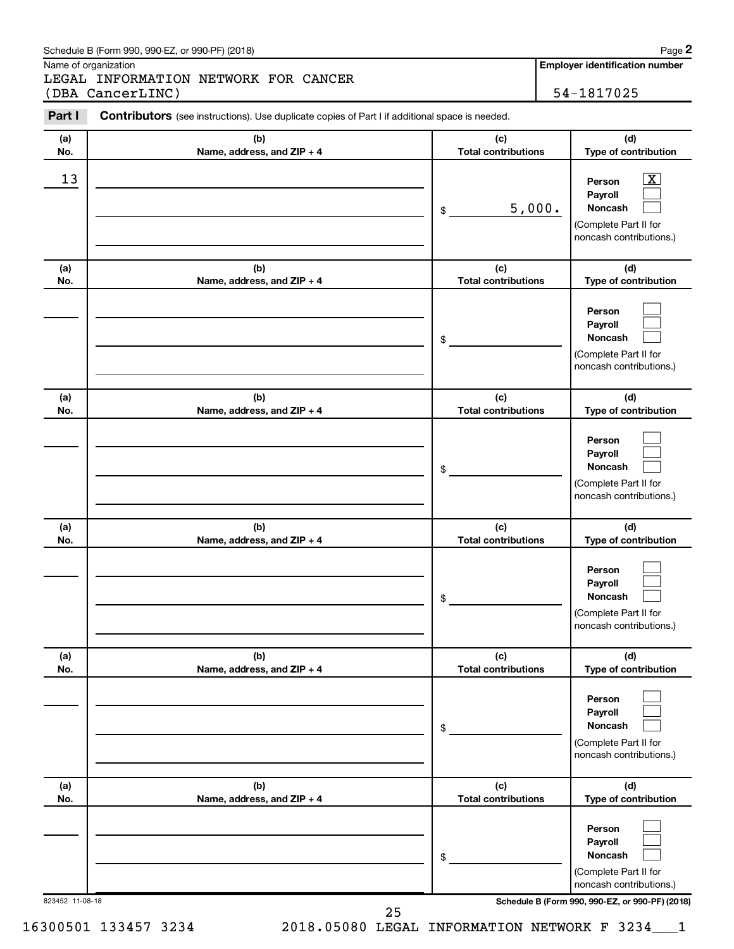Name of organization

LEGAL INFORMATION NETWORK FOR CANCER (DBA CancerLINC) 54-1817025

**Employer identification number**

| Part I          | <b>Contributors</b> (see instructions). Use duplicate copies of Part I if additional space is needed. |                                   |                                                                                                          |
|-----------------|-------------------------------------------------------------------------------------------------------|-----------------------------------|----------------------------------------------------------------------------------------------------------|
| (a)<br>No.      | (b)<br>Name, address, and ZIP + 4                                                                     | (c)<br><b>Total contributions</b> | (d)<br>Type of contribution                                                                              |
| 13              |                                                                                                       | 5,000.<br>\$                      | $\boxed{\mathbf{X}}$<br>Person<br>Payroll<br>Noncash<br>(Complete Part II for<br>noncash contributions.) |
| (a)<br>No.      | (b)<br>Name, address, and ZIP + 4                                                                     | (c)<br><b>Total contributions</b> | (d)<br>Type of contribution                                                                              |
|                 |                                                                                                       | \$                                | Person<br>Payroll<br>Noncash<br>(Complete Part II for<br>noncash contributions.)                         |
| (a)<br>No.      | (b)<br>Name, address, and ZIP + 4                                                                     | (c)<br><b>Total contributions</b> | (d)<br>Type of contribution                                                                              |
|                 |                                                                                                       | \$                                | Person<br>Payroll<br>Noncash<br>(Complete Part II for<br>noncash contributions.)                         |
| (a)<br>No.      | (b)<br>Name, address, and ZIP + 4                                                                     | (c)<br><b>Total contributions</b> | (d)<br>Type of contribution                                                                              |
|                 |                                                                                                       | \$                                | Person<br>Payroll<br>Noncash<br>(Complete Part II for<br>noncash contributions.)                         |
| (a)<br>No.      | (b)<br>Name, address, and ZIP + 4                                                                     | (c)<br><b>Total contributions</b> | (d)<br>Type of contribution                                                                              |
|                 |                                                                                                       | \$                                | Person<br>Payroll<br>Noncash<br>(Complete Part II for<br>noncash contributions.)                         |
| (a)<br>No.      | (b)<br>Name, address, and ZIP + 4                                                                     | (c)<br><b>Total contributions</b> | (d)<br>Type of contribution                                                                              |
|                 |                                                                                                       | \$                                | Person<br>Payroll<br>Noncash<br>(Complete Part II for<br>noncash contributions.)                         |
| 823452 11-08-18 |                                                                                                       | 25                                | Schedule B (Form 990, 990-EZ, or 990-PF) (2018)                                                          |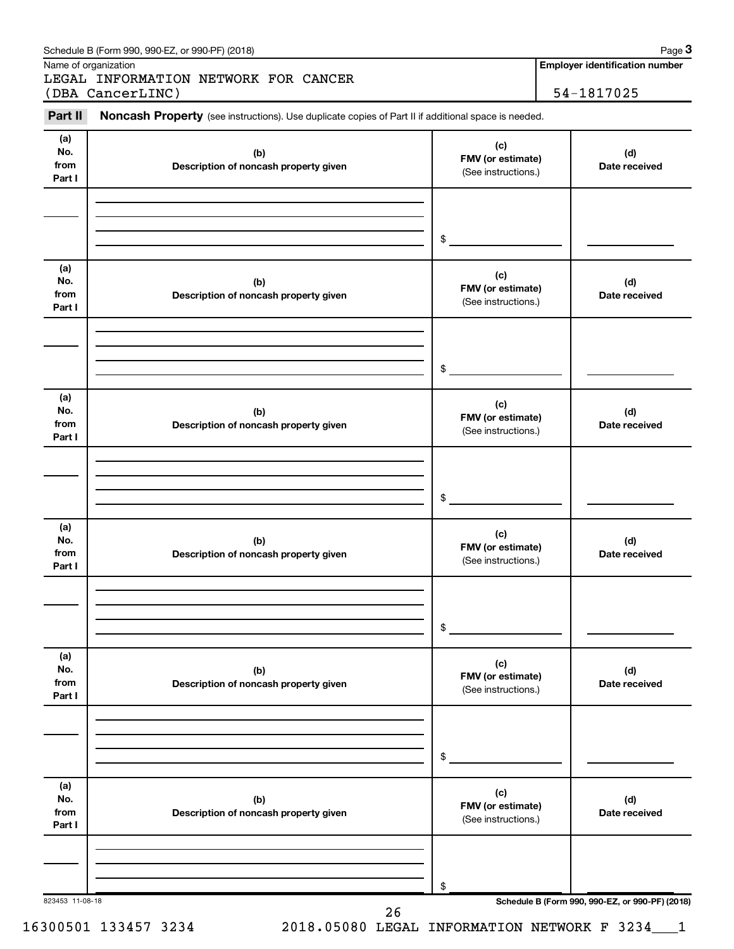| Part II                      | (DBA CancerLINC)<br>Noncash Property (see instructions). Use duplicate copies of Part II if additional space is needed. |                                                 | 54-1817025           |
|------------------------------|-------------------------------------------------------------------------------------------------------------------------|-------------------------------------------------|----------------------|
|                              |                                                                                                                         |                                                 |                      |
| (a)<br>No.<br>from<br>Part I | (b)<br>Description of noncash property given                                                                            | (c)<br>FMV (or estimate)<br>(See instructions.) | (d)<br>Date received |
|                              |                                                                                                                         | $\frac{1}{2}$                                   |                      |
|                              |                                                                                                                         |                                                 |                      |
| (a)<br>No.<br>from<br>Part I | (b)<br>Description of noncash property given                                                                            | (c)<br>FMV (or estimate)<br>(See instructions.) | (d)<br>Date received |
|                              |                                                                                                                         |                                                 |                      |
|                              |                                                                                                                         | $\frac{1}{2}$                                   |                      |
| (a)<br>No.<br>from<br>Part I | (b)<br>Description of noncash property given                                                                            | (c)<br>FMV (or estimate)<br>(See instructions.) | (d)<br>Date received |
|                              |                                                                                                                         |                                                 |                      |
|                              |                                                                                                                         | $\frac{1}{2}$                                   |                      |
| (a)<br>No.<br>from<br>Part I | (b)<br>Description of noncash property given                                                                            | (c)<br>FMV (or estimate)<br>(See instructions.) | (d)<br>Date received |
|                              |                                                                                                                         |                                                 |                      |
|                              |                                                                                                                         | \$                                              |                      |
| (a)<br>No.<br>from<br>Part I | (b)<br>Description of noncash property given                                                                            | (c)<br>FMV (or estimate)<br>(See instructions.) | (d)<br>Date received |
|                              |                                                                                                                         |                                                 |                      |
|                              |                                                                                                                         | \$                                              |                      |
| (a)<br>No.<br>from<br>Part I | (b)<br>Description of noncash property given                                                                            | (c)<br>FMV (or estimate)<br>(See instructions.) | (d)<br>Date received |
|                              |                                                                                                                         |                                                 |                      |
|                              |                                                                                                                         | \$                                              |                      |

#### Schedule B (Form 990, 990-EZ, or 990-PF) (2018)

**3**

$$
01\ \ 133457\ \ 3234
$$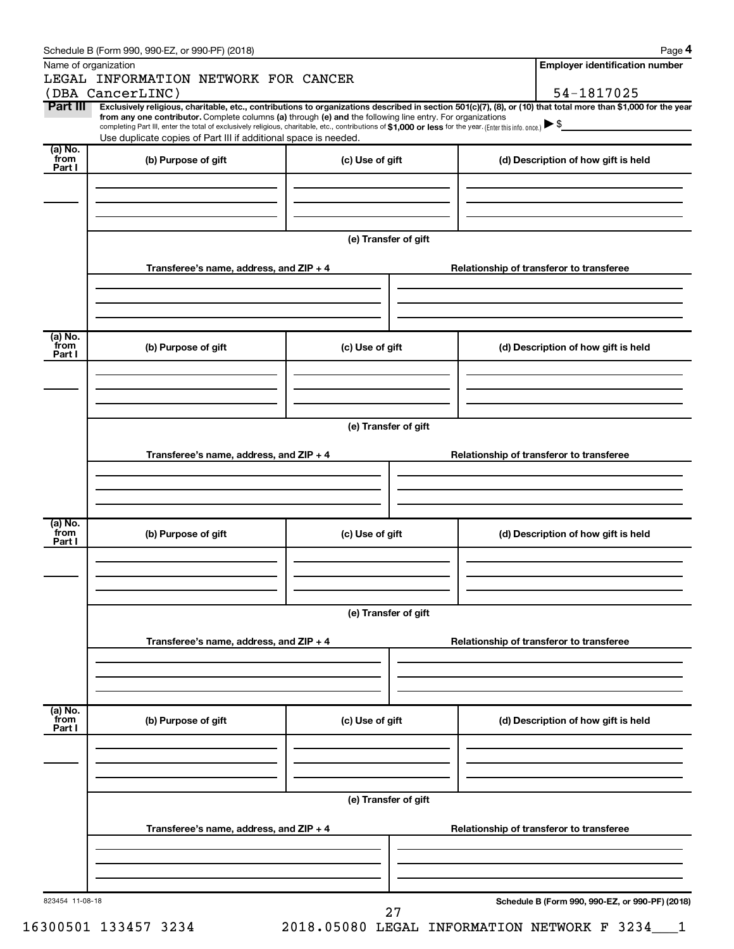|                           | Name of organization                                                                                                                                                                                                                                                                                                                                                                                                                                                                                        |                      | <b>Employer identification number</b>           |
|---------------------------|-------------------------------------------------------------------------------------------------------------------------------------------------------------------------------------------------------------------------------------------------------------------------------------------------------------------------------------------------------------------------------------------------------------------------------------------------------------------------------------------------------------|----------------------|-------------------------------------------------|
|                           | LEGAL INFORMATION NETWORK FOR CANCER                                                                                                                                                                                                                                                                                                                                                                                                                                                                        |                      |                                                 |
|                           | (DBA CancerLINC)                                                                                                                                                                                                                                                                                                                                                                                                                                                                                            |                      | 54-1817025                                      |
| Part III                  | Exclusively religious, charitable, etc., contributions to organizations described in section 501(c)(7), (8), or (10) that total more than \$1,000 for the year<br>from any one contributor. Complete columns (a) through (e) and the following line entry. For organizations<br>completing Part III, enter the total of exclusively religious, charitable, etc., contributions of \$1,000 or less for the year. (Enter this info. once.)<br>Use duplicate copies of Part III if additional space is needed. |                      |                                                 |
|                           |                                                                                                                                                                                                                                                                                                                                                                                                                                                                                                             |                      |                                                 |
| (a) No.<br>from<br>Part I | (b) Purpose of gift                                                                                                                                                                                                                                                                                                                                                                                                                                                                                         | (c) Use of gift      | (d) Description of how gift is held             |
|                           |                                                                                                                                                                                                                                                                                                                                                                                                                                                                                                             |                      |                                                 |
|                           |                                                                                                                                                                                                                                                                                                                                                                                                                                                                                                             | (e) Transfer of gift |                                                 |
|                           | Transferee's name, address, and ZIP + 4                                                                                                                                                                                                                                                                                                                                                                                                                                                                     |                      | Relationship of transferor to transferee        |
|                           |                                                                                                                                                                                                                                                                                                                                                                                                                                                                                                             |                      |                                                 |
| (a) No.<br>from           | (b) Purpose of gift                                                                                                                                                                                                                                                                                                                                                                                                                                                                                         | (c) Use of gift      | (d) Description of how gift is held             |
| Part I                    |                                                                                                                                                                                                                                                                                                                                                                                                                                                                                                             |                      |                                                 |
|                           |                                                                                                                                                                                                                                                                                                                                                                                                                                                                                                             |                      |                                                 |
|                           |                                                                                                                                                                                                                                                                                                                                                                                                                                                                                                             | (e) Transfer of gift |                                                 |
|                           | Transferee's name, address, and ZIP + 4                                                                                                                                                                                                                                                                                                                                                                                                                                                                     |                      | Relationship of transferor to transferee        |
|                           |                                                                                                                                                                                                                                                                                                                                                                                                                                                                                                             |                      |                                                 |
| (a) No.<br>from<br>Part I | (b) Purpose of gift                                                                                                                                                                                                                                                                                                                                                                                                                                                                                         | (c) Use of gift      | (d) Description of how gift is held             |
|                           |                                                                                                                                                                                                                                                                                                                                                                                                                                                                                                             |                      |                                                 |
|                           |                                                                                                                                                                                                                                                                                                                                                                                                                                                                                                             | (e) Transfer of gift |                                                 |
|                           | Transferee's name, address, and ZIP + 4                                                                                                                                                                                                                                                                                                                                                                                                                                                                     |                      | Relationship of transferor to transferee        |
| (a) No.<br>from           | (b) Purpose of gift                                                                                                                                                                                                                                                                                                                                                                                                                                                                                         | (c) Use of gift      | (d) Description of how gift is held             |
| Part I                    |                                                                                                                                                                                                                                                                                                                                                                                                                                                                                                             |                      |                                                 |
|                           |                                                                                                                                                                                                                                                                                                                                                                                                                                                                                                             | (e) Transfer of gift |                                                 |
|                           | Transferee's name, address, and ZIP + 4                                                                                                                                                                                                                                                                                                                                                                                                                                                                     |                      | Relationship of transferor to transferee        |
|                           |                                                                                                                                                                                                                                                                                                                                                                                                                                                                                                             |                      |                                                 |
|                           |                                                                                                                                                                                                                                                                                                                                                                                                                                                                                                             |                      |                                                 |
| 823454 11-08-18           |                                                                                                                                                                                                                                                                                                                                                                                                                                                                                                             | 27                   | Schedule B (Form 990, 990-EZ, or 990-PF) (2018) |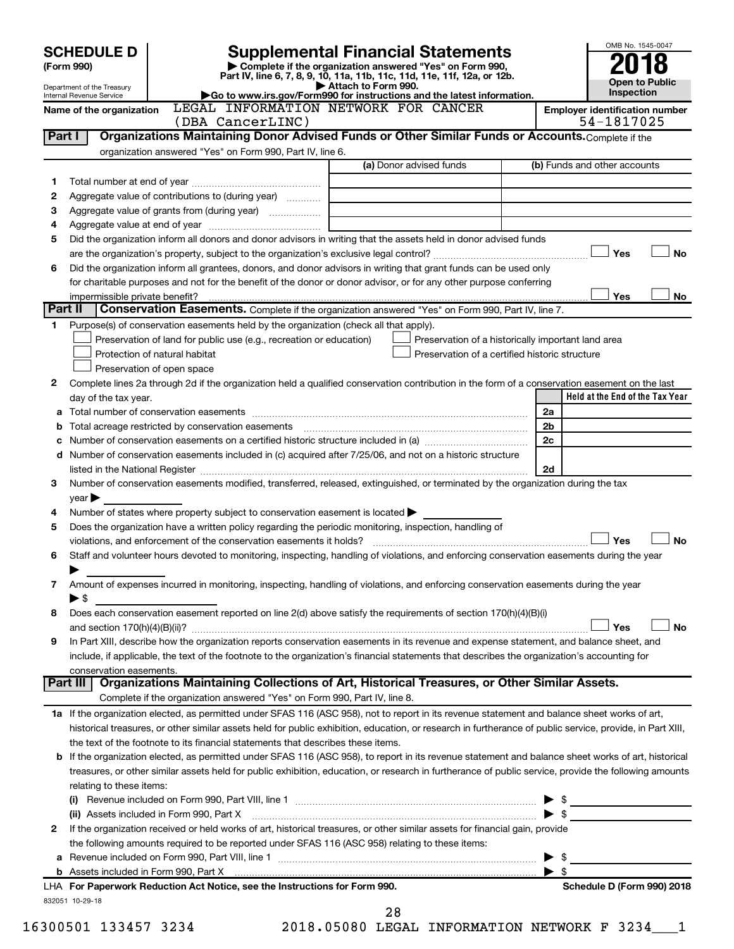|         | <b>SCHEDULE D</b><br>(Form 990) |                                                                                                                                                                                                                                         |                                      |                     | <b>Supplemental Financial Statements</b><br>Complete if the organization answered "Yes" on Form 990, |                          | OMB No. 1545-0047                                                                                                                                                                 |
|---------|---------------------------------|-----------------------------------------------------------------------------------------------------------------------------------------------------------------------------------------------------------------------------------------|--------------------------------------|---------------------|------------------------------------------------------------------------------------------------------|--------------------------|-----------------------------------------------------------------------------------------------------------------------------------------------------------------------------------|
|         | Department of the Treasury      |                                                                                                                                                                                                                                         |                                      | Attach to Form 990. | Part IV, line 6, 7, 8, 9, 10, 11a, 11b, 11c, 11d, 11e, 11f, 12a, or 12b.                             |                          | <b>Open to Public</b>                                                                                                                                                             |
|         | Internal Revenue Service        |                                                                                                                                                                                                                                         |                                      |                     | Go to www.irs.gov/Form990 for instructions and the latest information.                               |                          | Inspection                                                                                                                                                                        |
|         | Name of the organization        | (DBA CancerLINC)                                                                                                                                                                                                                        | LEGAL INFORMATION NETWORK FOR CANCER |                     |                                                                                                      |                          | <b>Employer identification number</b><br>54-1817025                                                                                                                               |
| Part I  |                                 | Organizations Maintaining Donor Advised Funds or Other Similar Funds or Accounts. Complete if the                                                                                                                                       |                                      |                     |                                                                                                      |                          |                                                                                                                                                                                   |
|         |                                 | organization answered "Yes" on Form 990, Part IV, line 6.                                                                                                                                                                               |                                      |                     |                                                                                                      |                          |                                                                                                                                                                                   |
|         |                                 |                                                                                                                                                                                                                                         |                                      |                     | (a) Donor advised funds                                                                              |                          | (b) Funds and other accounts                                                                                                                                                      |
| 1       |                                 |                                                                                                                                                                                                                                         |                                      |                     |                                                                                                      |                          |                                                                                                                                                                                   |
| 2       |                                 | Aggregate value of contributions to (during year)                                                                                                                                                                                       |                                      |                     |                                                                                                      |                          |                                                                                                                                                                                   |
| з       |                                 |                                                                                                                                                                                                                                         |                                      |                     |                                                                                                      |                          |                                                                                                                                                                                   |
| 4<br>5  |                                 | Did the organization inform all donors and donor advisors in writing that the assets held in donor advised funds                                                                                                                        |                                      |                     |                                                                                                      |                          |                                                                                                                                                                                   |
|         |                                 |                                                                                                                                                                                                                                         |                                      |                     |                                                                                                      |                          | Yes<br><b>No</b>                                                                                                                                                                  |
| 6       |                                 | Did the organization inform all grantees, donors, and donor advisors in writing that grant funds can be used only                                                                                                                       |                                      |                     |                                                                                                      |                          |                                                                                                                                                                                   |
|         |                                 | for charitable purposes and not for the benefit of the donor or donor advisor, or for any other purpose conferring                                                                                                                      |                                      |                     |                                                                                                      |                          |                                                                                                                                                                                   |
|         |                                 |                                                                                                                                                                                                                                         |                                      |                     |                                                                                                      |                          | Yes<br>No                                                                                                                                                                         |
| Part II |                                 | Conservation Easements. Complete if the organization answered "Yes" on Form 990, Part IV, line 7.                                                                                                                                       |                                      |                     |                                                                                                      |                          |                                                                                                                                                                                   |
| 1       |                                 | Purpose(s) of conservation easements held by the organization (check all that apply).                                                                                                                                                   |                                      |                     |                                                                                                      |                          |                                                                                                                                                                                   |
|         |                                 | Preservation of land for public use (e.g., recreation or education)                                                                                                                                                                     |                                      |                     | Preservation of a historically important land area                                                   |                          |                                                                                                                                                                                   |
|         |                                 | Protection of natural habitat                                                                                                                                                                                                           |                                      |                     | Preservation of a certified historic structure                                                       |                          |                                                                                                                                                                                   |
|         |                                 | Preservation of open space                                                                                                                                                                                                              |                                      |                     |                                                                                                      |                          |                                                                                                                                                                                   |
| 2       |                                 |                                                                                                                                                                                                                                         |                                      |                     |                                                                                                      |                          | Complete lines 2a through 2d if the organization held a qualified conservation contribution in the form of a conservation easement on the last<br>Held at the End of the Tax Year |
|         | day of the tax year.            |                                                                                                                                                                                                                                         |                                      |                     |                                                                                                      | 2a                       |                                                                                                                                                                                   |
| b       |                                 |                                                                                                                                                                                                                                         |                                      |                     |                                                                                                      | 2 <sub>b</sub>           |                                                                                                                                                                                   |
| с       |                                 | Number of conservation easements on a certified historic structure included in (a) manufacture included in (a)                                                                                                                          |                                      |                     |                                                                                                      | 2c                       |                                                                                                                                                                                   |
|         |                                 | d Number of conservation easements included in (c) acquired after 7/25/06, and not on a historic structure                                                                                                                              |                                      |                     |                                                                                                      |                          |                                                                                                                                                                                   |
|         |                                 | listed in the National Register [111] Marshall Marshall Marshall Marshall Marshall Marshall Marshall Marshall M                                                                                                                         |                                      |                     |                                                                                                      | 2d                       |                                                                                                                                                                                   |
| 3       |                                 | Number of conservation easements modified, transferred, released, extinguished, or terminated by the organization during the tax                                                                                                        |                                      |                     |                                                                                                      |                          |                                                                                                                                                                                   |
|         | $year \triangleright$           |                                                                                                                                                                                                                                         |                                      |                     |                                                                                                      |                          |                                                                                                                                                                                   |
| 4       |                                 | Number of states where property subject to conservation easement is located $\blacktriangleright$                                                                                                                                       |                                      |                     |                                                                                                      |                          |                                                                                                                                                                                   |
| 5       |                                 | Does the organization have a written policy regarding the periodic monitoring, inspection, handling of                                                                                                                                  |                                      |                     |                                                                                                      |                          | Yes<br><b>No</b>                                                                                                                                                                  |
| 6       |                                 | Staff and volunteer hours devoted to monitoring, inspecting, handling of violations, and enforcing conservation easements during the year                                                                                               |                                      |                     |                                                                                                      |                          |                                                                                                                                                                                   |
|         |                                 |                                                                                                                                                                                                                                         |                                      |                     |                                                                                                      |                          |                                                                                                                                                                                   |
| 7       |                                 | Amount of expenses incurred in monitoring, inspecting, handling of violations, and enforcing conservation easements during the year                                                                                                     |                                      |                     |                                                                                                      |                          |                                                                                                                                                                                   |
|         | $\blacktriangleright$ \$        |                                                                                                                                                                                                                                         |                                      |                     |                                                                                                      |                          |                                                                                                                                                                                   |
| 8       |                                 | Does each conservation easement reported on line 2(d) above satisfy the requirements of section 170(h)(4)(B)(i)                                                                                                                         |                                      |                     |                                                                                                      |                          |                                                                                                                                                                                   |
|         |                                 |                                                                                                                                                                                                                                         |                                      |                     |                                                                                                      |                          | Yes<br><b>No</b>                                                                                                                                                                  |
| 9       |                                 | In Part XIII, describe how the organization reports conservation easements in its revenue and expense statement, and balance sheet, and                                                                                                 |                                      |                     |                                                                                                      |                          |                                                                                                                                                                                   |
|         |                                 | include, if applicable, the text of the footnote to the organization's financial statements that describes the organization's accounting for                                                                                            |                                      |                     |                                                                                                      |                          |                                                                                                                                                                                   |
|         | conservation easements.         | Part III   Organizations Maintaining Collections of Art, Historical Treasures, or Other Similar Assets.                                                                                                                                 |                                      |                     |                                                                                                      |                          |                                                                                                                                                                                   |
|         |                                 | Complete if the organization answered "Yes" on Form 990, Part IV, line 8.                                                                                                                                                               |                                      |                     |                                                                                                      |                          |                                                                                                                                                                                   |
|         |                                 | 1a If the organization elected, as permitted under SFAS 116 (ASC 958), not to report in its revenue statement and balance sheet works of art,                                                                                           |                                      |                     |                                                                                                      |                          |                                                                                                                                                                                   |
|         |                                 |                                                                                                                                                                                                                                         |                                      |                     |                                                                                                      |                          | historical treasures, or other similar assets held for public exhibition, education, or research in furtherance of public service, provide, in Part XIII,                         |
|         |                                 |                                                                                                                                                                                                                                         |                                      |                     |                                                                                                      |                          |                                                                                                                                                                                   |
|         |                                 |                                                                                                                                                                                                                                         |                                      |                     |                                                                                                      |                          |                                                                                                                                                                                   |
|         |                                 | the text of the footnote to its financial statements that describes these items.<br>b If the organization elected, as permitted under SFAS 116 (ASC 958), to report in its revenue statement and balance sheet works of art, historical |                                      |                     |                                                                                                      |                          |                                                                                                                                                                                   |
|         |                                 |                                                                                                                                                                                                                                         |                                      |                     |                                                                                                      |                          |                                                                                                                                                                                   |
|         | relating to these items:        |                                                                                                                                                                                                                                         |                                      |                     |                                                                                                      |                          |                                                                                                                                                                                   |
|         |                                 |                                                                                                                                                                                                                                         |                                      |                     |                                                                                                      |                          |                                                                                                                                                                                   |
|         |                                 | (ii) Assets included in Form 990, Part X                                                                                                                                                                                                |                                      |                     |                                                                                                      |                          |                                                                                                                                                                                   |
| 2       |                                 | If the organization received or held works of art, historical treasures, or other similar assets for financial gain, provide                                                                                                            |                                      |                     |                                                                                                      |                          |                                                                                                                                                                                   |
|         |                                 | the following amounts required to be reported under SFAS 116 (ASC 958) relating to these items:                                                                                                                                         |                                      |                     |                                                                                                      |                          | treasures, or other similar assets held for public exhibition, education, or research in furtherance of public service, provide the following amounts                             |
| а       |                                 |                                                                                                                                                                                                                                         |                                      |                     |                                                                                                      | $\blacktriangleright$ \$ |                                                                                                                                                                                   |
|         |                                 | b Assets included in Form 990, Part X [[CONDITED INTERNATION IN ASSETS INCLUDED IN A SSET STATE IN A SERVER DE<br>LHA For Paperwork Reduction Act Notice, see the Instructions for Form 990.                                            |                                      |                     |                                                                                                      | $\blacktriangleright$ s  | Schedule D (Form 990) 2018                                                                                                                                                        |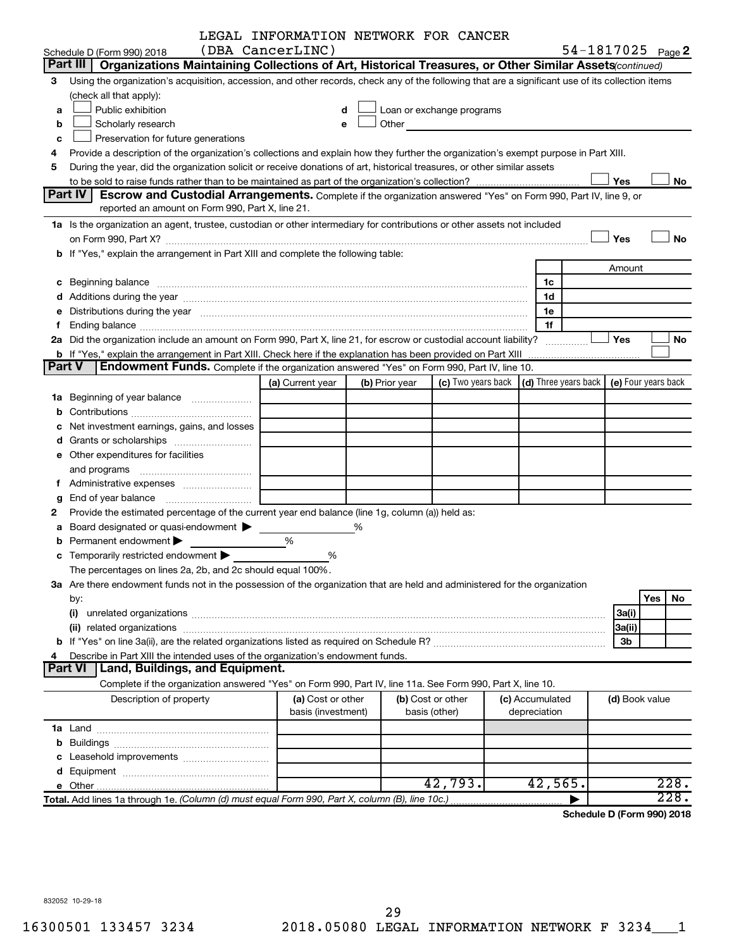|        |                                                                                                                                                                                                                                | LEGAL INFORMATION NETWORK FOR CANCER |                                                                                                                                                                                                                               |         |                                                         |                            |                     |
|--------|--------------------------------------------------------------------------------------------------------------------------------------------------------------------------------------------------------------------------------|--------------------------------------|-------------------------------------------------------------------------------------------------------------------------------------------------------------------------------------------------------------------------------|---------|---------------------------------------------------------|----------------------------|---------------------|
|        | Schedule D (Form 990) 2018                                                                                                                                                                                                     | (DBA CancerLINC)                     |                                                                                                                                                                                                                               |         |                                                         | 54-1817025 Page 2          |                     |
|        | Part III   Organizations Maintaining Collections of Art, Historical Treasures, or Other Similar Assets (continued)                                                                                                             |                                      |                                                                                                                                                                                                                               |         |                                                         |                            |                     |
| 3      | Using the organization's acquisition, accession, and other records, check any of the following that are a significant use of its collection items                                                                              |                                      |                                                                                                                                                                                                                               |         |                                                         |                            |                     |
|        | (check all that apply):                                                                                                                                                                                                        |                                      |                                                                                                                                                                                                                               |         |                                                         |                            |                     |
| a      | Public exhibition                                                                                                                                                                                                              |                                      | Loan or exchange programs                                                                                                                                                                                                     |         |                                                         |                            |                     |
| b      | Scholarly research                                                                                                                                                                                                             |                                      | Other and the contract of the contract of the contract of the contract of the contract of the contract of the contract of the contract of the contract of the contract of the contract of the contract of the contract of the |         |                                                         |                            |                     |
| с      | Preservation for future generations                                                                                                                                                                                            |                                      |                                                                                                                                                                                                                               |         |                                                         |                            |                     |
|        | Provide a description of the organization's collections and explain how they further the organization's exempt purpose in Part XIII.                                                                                           |                                      |                                                                                                                                                                                                                               |         |                                                         |                            |                     |
| 5      | During the year, did the organization solicit or receive donations of art, historical treasures, or other similar assets                                                                                                       |                                      |                                                                                                                                                                                                                               |         |                                                         |                            |                     |
|        |                                                                                                                                                                                                                                |                                      |                                                                                                                                                                                                                               |         |                                                         | Yes                        | No                  |
|        | Part IV<br><b>Escrow and Custodial Arrangements.</b> Complete if the organization answered "Yes" on Form 990, Part IV, line 9, or                                                                                              |                                      |                                                                                                                                                                                                                               |         |                                                         |                            |                     |
|        | reported an amount on Form 990, Part X, line 21.                                                                                                                                                                               |                                      |                                                                                                                                                                                                                               |         |                                                         |                            |                     |
|        | 1a Is the organization an agent, trustee, custodian or other intermediary for contributions or other assets not included                                                                                                       |                                      |                                                                                                                                                                                                                               |         |                                                         |                            |                     |
|        |                                                                                                                                                                                                                                |                                      |                                                                                                                                                                                                                               |         |                                                         | Yes                        | <b>No</b>           |
|        | b If "Yes," explain the arrangement in Part XIII and complete the following table:                                                                                                                                             |                                      |                                                                                                                                                                                                                               |         |                                                         |                            |                     |
|        |                                                                                                                                                                                                                                |                                      |                                                                                                                                                                                                                               |         |                                                         | Amount                     |                     |
|        |                                                                                                                                                                                                                                |                                      |                                                                                                                                                                                                                               |         | 1c                                                      |                            |                     |
|        |                                                                                                                                                                                                                                |                                      |                                                                                                                                                                                                                               |         | 1d                                                      |                            |                     |
|        | e Distributions during the year manufactured and contain an account of the year manufactured and the year manufactured and the year manufactured and the year manufactured and the year manufactured and the year manufactured |                                      |                                                                                                                                                                                                                               |         | 1e                                                      |                            |                     |
|        |                                                                                                                                                                                                                                |                                      |                                                                                                                                                                                                                               |         | 1f                                                      |                            |                     |
|        | 2a Did the organization include an amount on Form 990, Part X, line 21, for escrow or custodial account liability?                                                                                                             |                                      |                                                                                                                                                                                                                               |         | .                                                       | Yes                        | No                  |
|        | <b>b</b> If "Yes," explain the arrangement in Part XIII. Check here if the explanation has been provided on Part XIII                                                                                                          |                                      |                                                                                                                                                                                                                               |         |                                                         |                            |                     |
| Part V | <b>Endowment Funds.</b> Complete if the organization answered "Yes" on Form 990, Part IV, line 10.                                                                                                                             |                                      |                                                                                                                                                                                                                               |         |                                                         |                            |                     |
|        |                                                                                                                                                                                                                                | (a) Current year                     | (b) Prior year                                                                                                                                                                                                                |         | (c) Two years back $\vert$ (d) Three years back $\vert$ |                            | (e) Four years back |
|        |                                                                                                                                                                                                                                |                                      |                                                                                                                                                                                                                               |         |                                                         |                            |                     |
|        |                                                                                                                                                                                                                                |                                      |                                                                                                                                                                                                                               |         |                                                         |                            |                     |
|        | Net investment earnings, gains, and losses                                                                                                                                                                                     |                                      |                                                                                                                                                                                                                               |         |                                                         |                            |                     |
|        |                                                                                                                                                                                                                                |                                      |                                                                                                                                                                                                                               |         |                                                         |                            |                     |
|        | e Other expenditures for facilities                                                                                                                                                                                            |                                      |                                                                                                                                                                                                                               |         |                                                         |                            |                     |
|        | and programs                                                                                                                                                                                                                   |                                      |                                                                                                                                                                                                                               |         |                                                         |                            |                     |
|        | f Administrative expenses                                                                                                                                                                                                      |                                      |                                                                                                                                                                                                                               |         |                                                         |                            |                     |
| g      |                                                                                                                                                                                                                                |                                      |                                                                                                                                                                                                                               |         |                                                         |                            |                     |
|        | Provide the estimated percentage of the current year end balance (line 1g, column (a)) held as:                                                                                                                                |                                      |                                                                                                                                                                                                                               |         |                                                         |                            |                     |
|        | a Board designated or quasi-endowment >                                                                                                                                                                                        | %                                    |                                                                                                                                                                                                                               |         |                                                         |                            |                     |
|        | Permanent endowment                                                                                                                                                                                                            | %                                    |                                                                                                                                                                                                                               |         |                                                         |                            |                     |
|        | c Temporarily restricted endowment $\blacktriangleright$                                                                                                                                                                       | %                                    |                                                                                                                                                                                                                               |         |                                                         |                            |                     |
|        | The percentages on lines 2a, 2b, and 2c should equal 100%.                                                                                                                                                                     |                                      |                                                                                                                                                                                                                               |         |                                                         |                            |                     |
|        | 3a Are there endowment funds not in the possession of the organization that are held and administered for the organization                                                                                                     |                                      |                                                                                                                                                                                                                               |         |                                                         |                            |                     |
|        | by:                                                                                                                                                                                                                            |                                      |                                                                                                                                                                                                                               |         |                                                         |                            | Yes<br>No           |
|        | (i)                                                                                                                                                                                                                            |                                      |                                                                                                                                                                                                                               |         |                                                         | 3a(i)                      |                     |
|        |                                                                                                                                                                                                                                |                                      |                                                                                                                                                                                                                               |         |                                                         | 3a(ii)                     |                     |
|        |                                                                                                                                                                                                                                |                                      |                                                                                                                                                                                                                               |         |                                                         | 3b                         |                     |
|        | Describe in Part XIII the intended uses of the organization's endowment funds.                                                                                                                                                 |                                      |                                                                                                                                                                                                                               |         |                                                         |                            |                     |
|        | <b>Part VI</b><br>Land, Buildings, and Equipment.                                                                                                                                                                              |                                      |                                                                                                                                                                                                                               |         |                                                         |                            |                     |
|        | Complete if the organization answered "Yes" on Form 990, Part IV, line 11a. See Form 990, Part X, line 10.                                                                                                                     |                                      |                                                                                                                                                                                                                               |         |                                                         |                            |                     |
|        | Description of property                                                                                                                                                                                                        | (a) Cost or other                    | (b) Cost or other                                                                                                                                                                                                             |         | (c) Accumulated                                         | (d) Book value             |                     |
|        |                                                                                                                                                                                                                                | basis (investment)                   | basis (other)                                                                                                                                                                                                                 |         | depreciation                                            |                            |                     |
|        |                                                                                                                                                                                                                                |                                      |                                                                                                                                                                                                                               |         |                                                         |                            |                     |
|        |                                                                                                                                                                                                                                |                                      |                                                                                                                                                                                                                               |         |                                                         |                            |                     |
|        |                                                                                                                                                                                                                                |                                      |                                                                                                                                                                                                                               |         |                                                         |                            |                     |
|        |                                                                                                                                                                                                                                |                                      |                                                                                                                                                                                                                               |         |                                                         |                            |                     |
|        |                                                                                                                                                                                                                                |                                      |                                                                                                                                                                                                                               | 42,793. | 42,565.                                                 |                            | 228.                |
|        |                                                                                                                                                                                                                                |                                      |                                                                                                                                                                                                                               |         |                                                         |                            | 228.                |
|        | Total. Add lines 1a through 1e. (Column (d) must equal Form 990, Part X, column (B), line 10c.)                                                                                                                                |                                      |                                                                                                                                                                                                                               |         |                                                         |                            |                     |
|        |                                                                                                                                                                                                                                |                                      |                                                                                                                                                                                                                               |         |                                                         | Schedule D (Form 990) 2018 |                     |

832052 10-29-18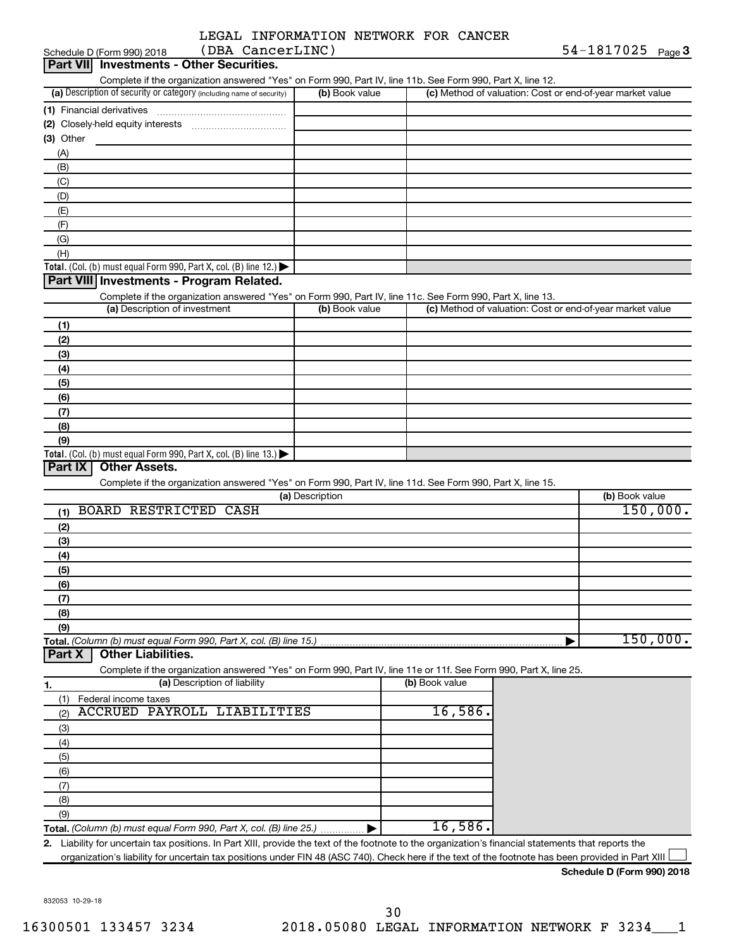# LEGAL INFORMATION NETWORK FOR CANCER (DBA CancerLINC) 54-1817025

| Schedule D (Form 990) 2018<br>(DBA CancerLINC)                                                                                                          |                 |                | 54-181/025<br>Page 3                                      |
|---------------------------------------------------------------------------------------------------------------------------------------------------------|-----------------|----------------|-----------------------------------------------------------|
| Part VII Investments - Other Securities.                                                                                                                |                 |                |                                                           |
| Complete if the organization answered "Yes" on Form 990, Part IV, line 11b. See Form 990, Part X, line 12.                                              |                 |                |                                                           |
| (a) Description of security or category (including name of security)                                                                                    | (b) Book value  |                | (c) Method of valuation: Cost or end-of-year market value |
| (1) Financial derivatives                                                                                                                               |                 |                |                                                           |
|                                                                                                                                                         |                 |                |                                                           |
| (3) Other                                                                                                                                               |                 |                |                                                           |
| (A)                                                                                                                                                     |                 |                |                                                           |
| (B)                                                                                                                                                     |                 |                |                                                           |
| (C)                                                                                                                                                     |                 |                |                                                           |
| (D)                                                                                                                                                     |                 |                |                                                           |
| (E)                                                                                                                                                     |                 |                |                                                           |
| (F)<br>(G)                                                                                                                                              |                 |                |                                                           |
| (H)                                                                                                                                                     |                 |                |                                                           |
| Total. (Col. (b) must equal Form 990, Part X, col. (B) line 12.) $\blacktriangleright$                                                                  |                 |                |                                                           |
| Part VIII Investments - Program Related.                                                                                                                |                 |                |                                                           |
| Complete if the organization answered "Yes" on Form 990, Part IV, line 11c. See Form 990, Part X, line 13.                                              |                 |                |                                                           |
| (a) Description of investment                                                                                                                           | (b) Book value  |                | (c) Method of valuation: Cost or end-of-year market value |
| (1)                                                                                                                                                     |                 |                |                                                           |
| (2)                                                                                                                                                     |                 |                |                                                           |
| (3)                                                                                                                                                     |                 |                |                                                           |
| (4)                                                                                                                                                     |                 |                |                                                           |
| (5)                                                                                                                                                     |                 |                |                                                           |
| (6)                                                                                                                                                     |                 |                |                                                           |
| (7)                                                                                                                                                     |                 |                |                                                           |
| (8)                                                                                                                                                     |                 |                |                                                           |
| (9)                                                                                                                                                     |                 |                |                                                           |
| Total. (Col. (b) must equal Form 990, Part X, col. (B) line 13.) $\blacktriangleright$                                                                  |                 |                |                                                           |
| <b>Other Assets.</b><br>Part IX                                                                                                                         |                 |                |                                                           |
| Complete if the organization answered "Yes" on Form 990, Part IV, line 11d. See Form 990, Part X, line 15.                                              |                 |                |                                                           |
|                                                                                                                                                         | (a) Description |                | (b) Book value                                            |
| <b>BOARD RESTRICTED CASH</b><br>(1)                                                                                                                     |                 |                | 150,000.                                                  |
| (2)                                                                                                                                                     |                 |                |                                                           |
| (3)                                                                                                                                                     |                 |                |                                                           |
| (4)                                                                                                                                                     |                 |                |                                                           |
| (5)                                                                                                                                                     |                 |                |                                                           |
| (6)                                                                                                                                                     |                 |                |                                                           |
| (7)                                                                                                                                                     |                 |                |                                                           |
| (8)                                                                                                                                                     |                 |                |                                                           |
| (9)                                                                                                                                                     |                 |                |                                                           |
|                                                                                                                                                         |                 |                | 150,000.                                                  |
| <b>Other Liabilities.</b><br>Part X                                                                                                                     |                 |                |                                                           |
| Complete if the organization answered "Yes" on Form 990, Part IV, line 11e or 11f. See Form 990, Part X, line 25.                                       |                 |                |                                                           |
| (a) Description of liability<br>1.                                                                                                                      |                 | (b) Book value |                                                           |
| Federal income taxes<br>(1)                                                                                                                             |                 |                |                                                           |
| <b>ACCRUED PAYROLL LIABILITIES</b><br>(2)                                                                                                               |                 | 16,586.        |                                                           |
| (3)                                                                                                                                                     |                 |                |                                                           |
| (4)                                                                                                                                                     |                 |                |                                                           |
| (5)                                                                                                                                                     |                 |                |                                                           |
| (6)                                                                                                                                                     |                 |                |                                                           |
| (7)                                                                                                                                                     |                 |                |                                                           |
| (8)                                                                                                                                                     |                 |                |                                                           |
| (9)                                                                                                                                                     |                 |                |                                                           |
| Total. (Column (b) must equal Form 990, Part X, col. (B) line 25.)                                                                                      |                 | 16,586.        |                                                           |
| Liability for uncertain tax positions. In Part XIII, provide the text of the footnote to the organization's financial statements that reports the<br>2. |                 |                |                                                           |
| organization's liability for uncertain tax positions under FIN 48 (ASC 740). Check here if the text of the footnote has been provided in Part XIII      |                 |                |                                                           |
|                                                                                                                                                         |                 |                | Schedule D (Form 990) 2018                                |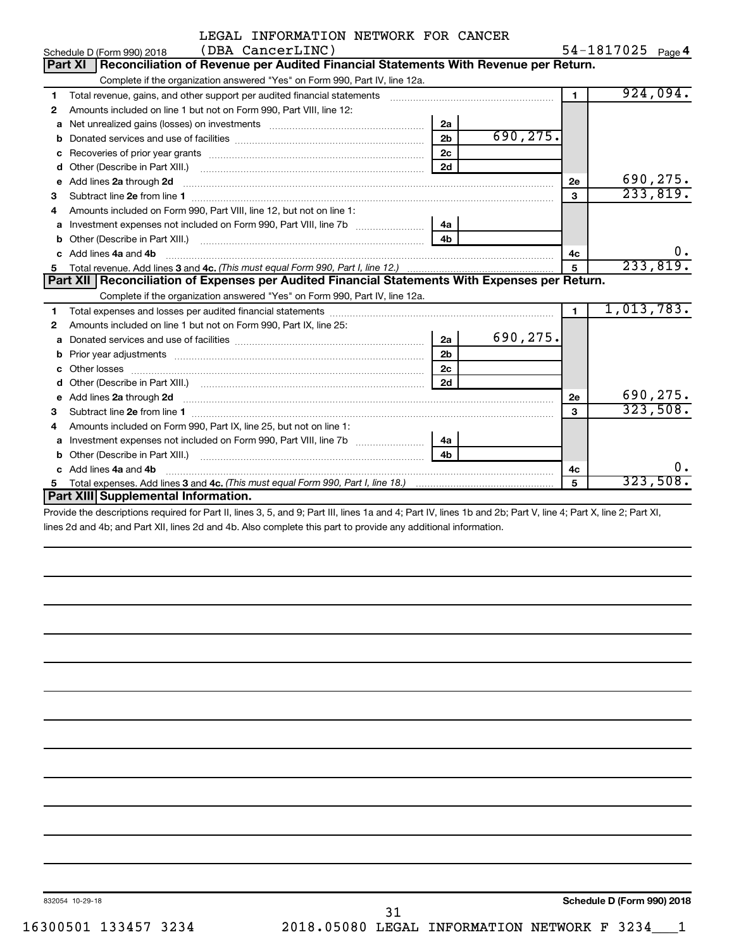| LEGAL INFORMATION NETWORK FOR CANCER |  |  |
|--------------------------------------|--|--|
| (DDX Canaant TNIC)                   |  |  |

|              | Schedule D (Form 990) 2018                                         | (DBA CancerLINC)                                                                                      |                |           |                | 54-1817025 $_{Page 4}$ |          |
|--------------|--------------------------------------------------------------------|-------------------------------------------------------------------------------------------------------|----------------|-----------|----------------|------------------------|----------|
|              | <b>Part XI</b>                                                     | Reconciliation of Revenue per Audited Financial Statements With Revenue per Return.                   |                |           |                |                        |          |
|              |                                                                    | Complete if the organization answered "Yes" on Form 990, Part IV, line 12a.                           |                |           |                |                        |          |
| 1            |                                                                    | Total revenue, gains, and other support per audited financial statements                              |                |           | $\mathbf{1}$   |                        | 924,094. |
| 2            |                                                                    | Amounts included on line 1 but not on Form 990, Part VIII, line 12:                                   |                |           |                |                        |          |
| a            |                                                                    |                                                                                                       | 2a             |           |                |                        |          |
|              |                                                                    |                                                                                                       | 2 <sub>b</sub> | 690, 275. |                |                        |          |
| c            |                                                                    |                                                                                                       | 2 <sub>c</sub> |           |                |                        |          |
| d            |                                                                    |                                                                                                       | 2d             |           |                |                        |          |
| e            | Add lines 2a through 2d                                            |                                                                                                       |                |           | 2e             |                        | 690,275. |
| 3            |                                                                    |                                                                                                       |                |           | 3              |                        | 233,819. |
| 4            |                                                                    | Amounts included on Form 990, Part VIII, line 12, but not on line 1:                                  |                |           |                |                        |          |
|              |                                                                    | Investment expenses not included on Form 990, Part VIII, line 7b [14a]                                |                |           |                |                        |          |
| b            |                                                                    |                                                                                                       | 4 <sub>b</sub> |           |                |                        |          |
| $\mathbf{C}$ | Add lines 4a and 4b                                                |                                                                                                       |                |           | 4c             |                        | 0.       |
|              |                                                                    |                                                                                                       |                |           | 5              |                        | 233,819. |
|              |                                                                    |                                                                                                       |                |           |                |                        |          |
|              |                                                                    | Part XII Reconciliation of Expenses per Audited Financial Statements With Expenses per Return.        |                |           |                |                        |          |
|              |                                                                    | Complete if the organization answered "Yes" on Form 990, Part IV, line 12a.                           |                |           |                |                        |          |
| 1            |                                                                    |                                                                                                       |                |           | $\blacksquare$ | 1,013,783.             |          |
| 2            | Amounts included on line 1 but not on Form 990, Part IX, line 25:  |                                                                                                       |                |           |                |                        |          |
| a            |                                                                    |                                                                                                       | 2a             | 690,275.  |                |                        |          |
| b            |                                                                    | Prior year adjustments [111] matter contracts and all the matter contracts and prior year adjustments | 2 <sub>b</sub> |           |                |                        |          |
| с            |                                                                    |                                                                                                       | 2c             |           |                |                        |          |
| d            |                                                                    |                                                                                                       | 2d             |           |                |                        |          |
|              |                                                                    |                                                                                                       |                |           | 2e             |                        | 690,275. |
| з            |                                                                    |                                                                                                       |                |           | 3              |                        | 323,508. |
| 4            | Amounts included on Form 990, Part IX, line 25, but not on line 1: |                                                                                                       |                |           |                |                        |          |
| a            |                                                                    | Investment expenses not included on Form 990, Part VIII, line 7b   4a                                 |                |           |                |                        |          |
| b            | Other (Describe in Part XIII.)                                     |                                                                                                       | 4 <sub>b</sub> |           |                |                        |          |
| c            | Add lines 4a and 4b                                                |                                                                                                       |                |           | 4c             |                        | 0.       |
|              | <b>Part XIII</b> Supplemental Information.                         |                                                                                                       |                |           | 5              |                        | 323,508. |

Provide the descriptions required for Part II, lines 3, 5, and 9; Part III, lines 1a and 4; Part IV, lines 1b and 2b; Part V, line 4; Part X, line 2; Part XI, lines 2d and 4b; and Part XII, lines 2d and 4b. Also complete this part to provide any additional information.

832054 10-29-18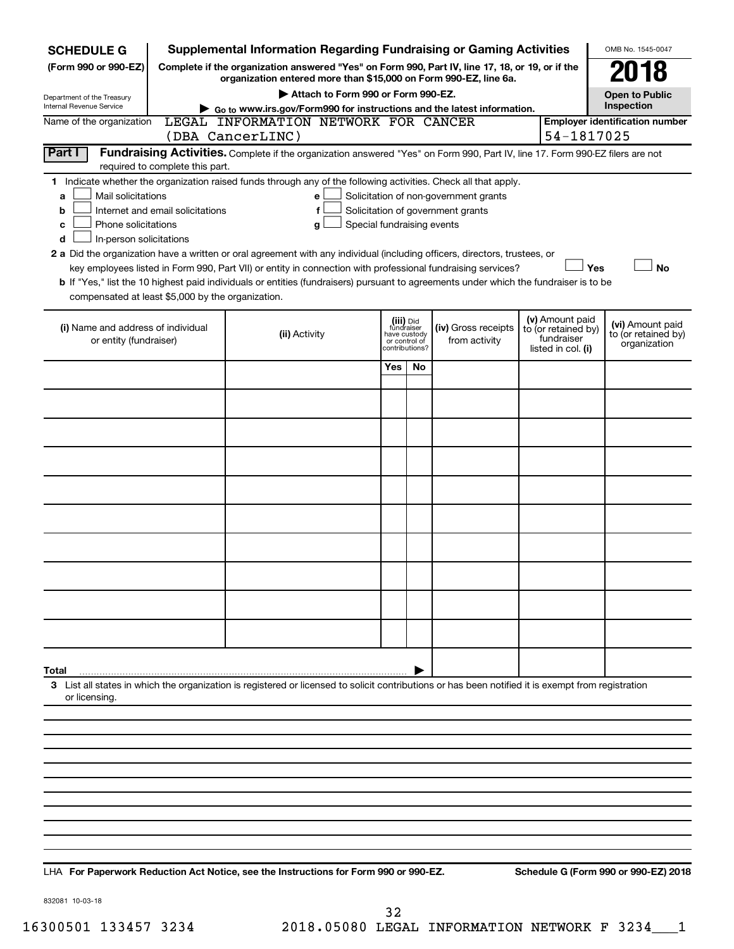| <b>SCHEDULE G</b>                                                                        |                                  | <b>Supplemental Information Regarding Fundraising or Gaming Activities</b>                                                                                                                                                                                                                 |     |                                                                            |                                                                            |                                                                            | OMB No. 1545-0047                                       |
|------------------------------------------------------------------------------------------|----------------------------------|--------------------------------------------------------------------------------------------------------------------------------------------------------------------------------------------------------------------------------------------------------------------------------------------|-----|----------------------------------------------------------------------------|----------------------------------------------------------------------------|----------------------------------------------------------------------------|---------------------------------------------------------|
| (Form 990 or 990-EZ)                                                                     |                                  | Complete if the organization answered "Yes" on Form 990, Part IV, line 17, 18, or 19, or if the<br>organization entered more than \$15,000 on Form 990-EZ, line 6a.                                                                                                                        |     |                                                                            |                                                                            |                                                                            | 018                                                     |
|                                                                                          |                                  | Attach to Form 990 or Form 990-EZ.                                                                                                                                                                                                                                                         |     |                                                                            |                                                                            |                                                                            | <b>Open to Public</b>                                   |
| Department of the Treasury<br>Internal Revenue Service                                   |                                  | Go to www.irs.gov/Form990 for instructions and the latest information.                                                                                                                                                                                                                     |     |                                                                            |                                                                            |                                                                            | Inspection                                              |
| Name of the organization                                                                 |                                  | LEGAL INFORMATION NETWORK FOR CANCER<br>(DBA CancerLINC)                                                                                                                                                                                                                                   |     |                                                                            |                                                                            | 54-1817025                                                                 | <b>Employer identification number</b>                   |
| Part I                                                                                   |                                  | Fundraising Activities. Complete if the organization answered "Yes" on Form 990, Part IV, line 17. Form 990-EZ filers are not                                                                                                                                                              |     |                                                                            |                                                                            |                                                                            |                                                         |
|                                                                                          | required to complete this part.  |                                                                                                                                                                                                                                                                                            |     |                                                                            |                                                                            |                                                                            |                                                         |
| Mail solicitations<br>a<br>b<br>Phone solicitations<br>c<br>In-person solicitations<br>d | Internet and email solicitations | 1 Indicate whether the organization raised funds through any of the following activities. Check all that apply.<br>е<br>f<br>Special fundraising events<br>g<br>2 a Did the organization have a written or oral agreement with any individual (including officers, directors, trustees, or |     |                                                                            | Solicitation of non-government grants<br>Solicitation of government grants |                                                                            |                                                         |
|                                                                                          |                                  | key employees listed in Form 990, Part VII) or entity in connection with professional fundraising services?                                                                                                                                                                                |     |                                                                            |                                                                            |                                                                            | Yes<br>No                                               |
| compensated at least \$5,000 by the organization.                                        |                                  | b If "Yes," list the 10 highest paid individuals or entities (fundraisers) pursuant to agreements under which the fundraiser is to be                                                                                                                                                      |     |                                                                            |                                                                            |                                                                            |                                                         |
| (i) Name and address of individual<br>or entity (fundraiser)                             |                                  | (ii) Activity                                                                                                                                                                                                                                                                              |     | (iii) Did<br>fundraiser<br>have custody<br>or control of<br>contributions? | (iv) Gross receipts<br>from activity                                       | (v) Amount paid<br>to (or retained by)<br>fundraiser<br>listed in col. (i) | (vi) Amount paid<br>to (or retained by)<br>organization |
|                                                                                          |                                  |                                                                                                                                                                                                                                                                                            | Yes | No                                                                         |                                                                            |                                                                            |                                                         |
|                                                                                          |                                  |                                                                                                                                                                                                                                                                                            |     |                                                                            |                                                                            |                                                                            |                                                         |
|                                                                                          |                                  |                                                                                                                                                                                                                                                                                            |     |                                                                            |                                                                            |                                                                            |                                                         |
|                                                                                          |                                  |                                                                                                                                                                                                                                                                                            |     |                                                                            |                                                                            |                                                                            |                                                         |
|                                                                                          |                                  |                                                                                                                                                                                                                                                                                            |     |                                                                            |                                                                            |                                                                            |                                                         |
|                                                                                          |                                  |                                                                                                                                                                                                                                                                                            |     |                                                                            |                                                                            |                                                                            |                                                         |
|                                                                                          |                                  |                                                                                                                                                                                                                                                                                            |     |                                                                            |                                                                            |                                                                            |                                                         |
|                                                                                          |                                  |                                                                                                                                                                                                                                                                                            |     |                                                                            |                                                                            |                                                                            |                                                         |
|                                                                                          |                                  |                                                                                                                                                                                                                                                                                            |     |                                                                            |                                                                            |                                                                            |                                                         |
|                                                                                          |                                  |                                                                                                                                                                                                                                                                                            |     |                                                                            |                                                                            |                                                                            |                                                         |
|                                                                                          |                                  |                                                                                                                                                                                                                                                                                            |     |                                                                            |                                                                            |                                                                            |                                                         |
| Total                                                                                    |                                  |                                                                                                                                                                                                                                                                                            |     |                                                                            |                                                                            |                                                                            |                                                         |
| or licensing.                                                                            |                                  | 3 List all states in which the organization is registered or licensed to solicit contributions or has been notified it is exempt from registration                                                                                                                                         |     |                                                                            |                                                                            |                                                                            |                                                         |
|                                                                                          |                                  |                                                                                                                                                                                                                                                                                            |     |                                                                            |                                                                            |                                                                            |                                                         |
|                                                                                          |                                  |                                                                                                                                                                                                                                                                                            |     |                                                                            |                                                                            |                                                                            |                                                         |
|                                                                                          |                                  |                                                                                                                                                                                                                                                                                            |     |                                                                            |                                                                            |                                                                            |                                                         |
|                                                                                          |                                  |                                                                                                                                                                                                                                                                                            |     |                                                                            |                                                                            |                                                                            |                                                         |
|                                                                                          |                                  |                                                                                                                                                                                                                                                                                            |     |                                                                            |                                                                            |                                                                            |                                                         |
|                                                                                          |                                  |                                                                                                                                                                                                                                                                                            |     |                                                                            |                                                                            |                                                                            |                                                         |
|                                                                                          |                                  |                                                                                                                                                                                                                                                                                            |     |                                                                            |                                                                            |                                                                            |                                                         |
|                                                                                          |                                  |                                                                                                                                                                                                                                                                                            |     |                                                                            |                                                                            |                                                                            |                                                         |

**For Paperwork Reduction Act Notice, see the Instructions for Form 990 or 990-EZ. Schedule G (Form 990 or 990-EZ) 2018** LHA

832081 10-03-18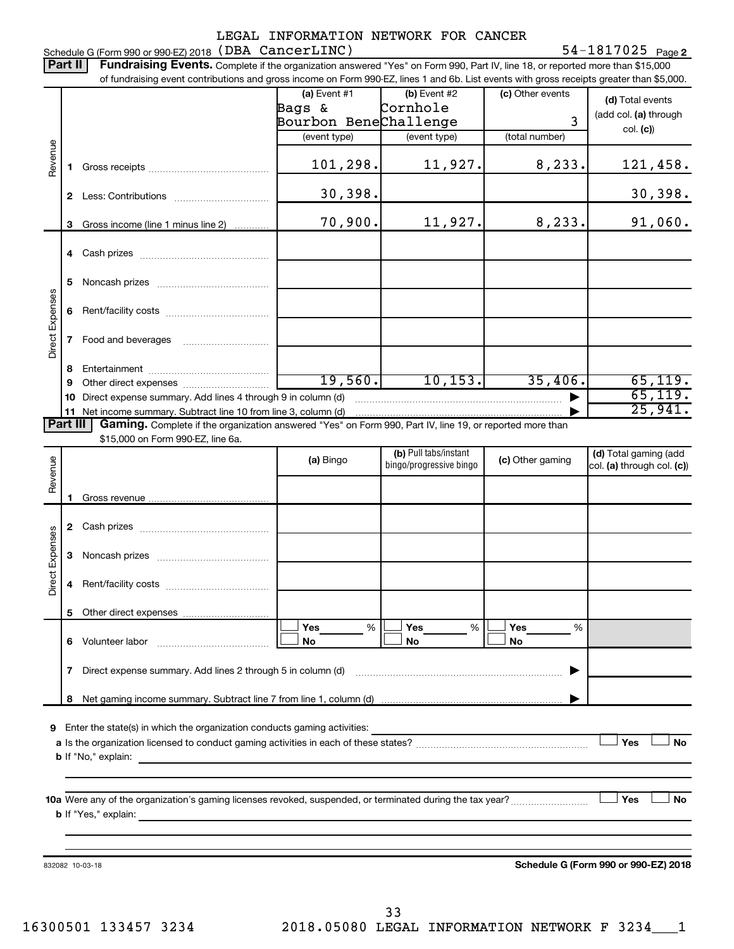54-1817025 <sub>Page 2</sub>

|                 |                 | Schedule G (Form 990 or 990-EZ) 2018 (DBA CancerLINC)                                                                                                                                                                                                                      |                       |                         |                  | 54-1817025 $_{Page 2}$               |
|-----------------|-----------------|----------------------------------------------------------------------------------------------------------------------------------------------------------------------------------------------------------------------------------------------------------------------------|-----------------------|-------------------------|------------------|--------------------------------------|
|                 | Part II         | Fundraising Events. Complete if the organization answered "Yes" on Form 990, Part IV, line 18, or reported more than \$15,000<br>of fundraising event contributions and gross income on Form 990-EZ, lines 1 and 6b. List events with gross receipts greater than \$5,000. |                       |                         |                  |                                      |
|                 |                 |                                                                                                                                                                                                                                                                            | (a) Event #1          | (b) Event #2            | (c) Other events |                                      |
|                 |                 |                                                                                                                                                                                                                                                                            | Bags &                | Cornhole                |                  | (d) Total events                     |
|                 |                 |                                                                                                                                                                                                                                                                            | Bourbon BeneChallenge |                         | 3                | (add col. (a) through                |
|                 |                 |                                                                                                                                                                                                                                                                            | (event type)          | (event type)            | (total number)   | col. (c)                             |
|                 |                 |                                                                                                                                                                                                                                                                            |                       |                         |                  |                                      |
| Revenue         | 1.              |                                                                                                                                                                                                                                                                            | 101,298.              | 11,927.                 | 8,233.           | 121,458.                             |
|                 |                 |                                                                                                                                                                                                                                                                            | 30,398.               |                         |                  | 30,398.                              |
|                 | 3               | Gross income (line 1 minus line 2)                                                                                                                                                                                                                                         | 70,900.               | 11,927.                 | 8,233.           | 91,060.                              |
|                 |                 |                                                                                                                                                                                                                                                                            |                       |                         |                  |                                      |
|                 |                 |                                                                                                                                                                                                                                                                            |                       |                         |                  |                                      |
|                 | 5               |                                                                                                                                                                                                                                                                            |                       |                         |                  |                                      |
|                 |                 |                                                                                                                                                                                                                                                                            |                       |                         |                  |                                      |
|                 | 6               |                                                                                                                                                                                                                                                                            |                       |                         |                  |                                      |
| Direct Expenses | 7               |                                                                                                                                                                                                                                                                            |                       |                         |                  |                                      |
|                 |                 |                                                                                                                                                                                                                                                                            |                       |                         |                  |                                      |
|                 | 8               |                                                                                                                                                                                                                                                                            | 19,560.               | 10, 153.                | 35,406.          | 65, 119.                             |
|                 | 9               |                                                                                                                                                                                                                                                                            |                       |                         |                  | 65, 119.                             |
|                 | 10<br>11        | Direct expense summary. Add lines 4 through 9 in column (d)                                                                                                                                                                                                                |                       |                         |                  | 25,941.                              |
|                 | <b>Part III</b> | Gaming. Complete if the organization answered "Yes" on Form 990, Part IV, line 19, or reported more than                                                                                                                                                                   |                       |                         |                  |                                      |
|                 |                 | \$15,000 on Form 990-EZ, line 6a.                                                                                                                                                                                                                                          |                       |                         |                  |                                      |
|                 |                 |                                                                                                                                                                                                                                                                            |                       | (b) Pull tabs/instant   |                  | (d) Total gaming (add                |
| Revenue         |                 |                                                                                                                                                                                                                                                                            | (a) Bingo             | bingo/progressive bingo | (c) Other gaming | col. (a) through col. (c))           |
|                 |                 |                                                                                                                                                                                                                                                                            |                       |                         |                  |                                      |
|                 |                 |                                                                                                                                                                                                                                                                            |                       |                         |                  |                                      |
|                 |                 |                                                                                                                                                                                                                                                                            |                       |                         |                  |                                      |
|                 |                 |                                                                                                                                                                                                                                                                            |                       |                         |                  |                                      |
| Expenses        | 3               |                                                                                                                                                                                                                                                                            |                       |                         |                  |                                      |
| ect<br>ă        |                 |                                                                                                                                                                                                                                                                            |                       |                         |                  |                                      |
|                 |                 |                                                                                                                                                                                                                                                                            |                       |                         |                  |                                      |
|                 |                 |                                                                                                                                                                                                                                                                            | Yes<br>%              | Yes<br>%                | Yes<br>%         |                                      |
|                 |                 |                                                                                                                                                                                                                                                                            | No                    | No                      | No               |                                      |
|                 | 7               | Direct expense summary. Add lines 2 through 5 in column (d)                                                                                                                                                                                                                |                       |                         |                  |                                      |
|                 | 8               |                                                                                                                                                                                                                                                                            |                       |                         |                  |                                      |
|                 |                 |                                                                                                                                                                                                                                                                            |                       |                         |                  |                                      |
| 9               |                 |                                                                                                                                                                                                                                                                            |                       |                         |                  |                                      |
|                 |                 |                                                                                                                                                                                                                                                                            |                       |                         |                  | Yes<br><b>No</b>                     |
|                 |                 |                                                                                                                                                                                                                                                                            |                       |                         |                  |                                      |
|                 |                 |                                                                                                                                                                                                                                                                            |                       |                         |                  |                                      |
|                 |                 |                                                                                                                                                                                                                                                                            |                       |                         |                  |                                      |
|                 |                 |                                                                                                                                                                                                                                                                            |                       |                         |                  | Yes<br>No                            |
|                 |                 |                                                                                                                                                                                                                                                                            |                       |                         |                  |                                      |
|                 |                 |                                                                                                                                                                                                                                                                            |                       |                         |                  |                                      |
|                 |                 |                                                                                                                                                                                                                                                                            |                       |                         |                  |                                      |
|                 |                 | 832082 10-03-18                                                                                                                                                                                                                                                            |                       |                         |                  | Schedule G (Form 990 or 990-EZ) 2018 |
|                 |                 |                                                                                                                                                                                                                                                                            |                       |                         |                  |                                      |
|                 |                 |                                                                                                                                                                                                                                                                            |                       |                         |                  |                                      |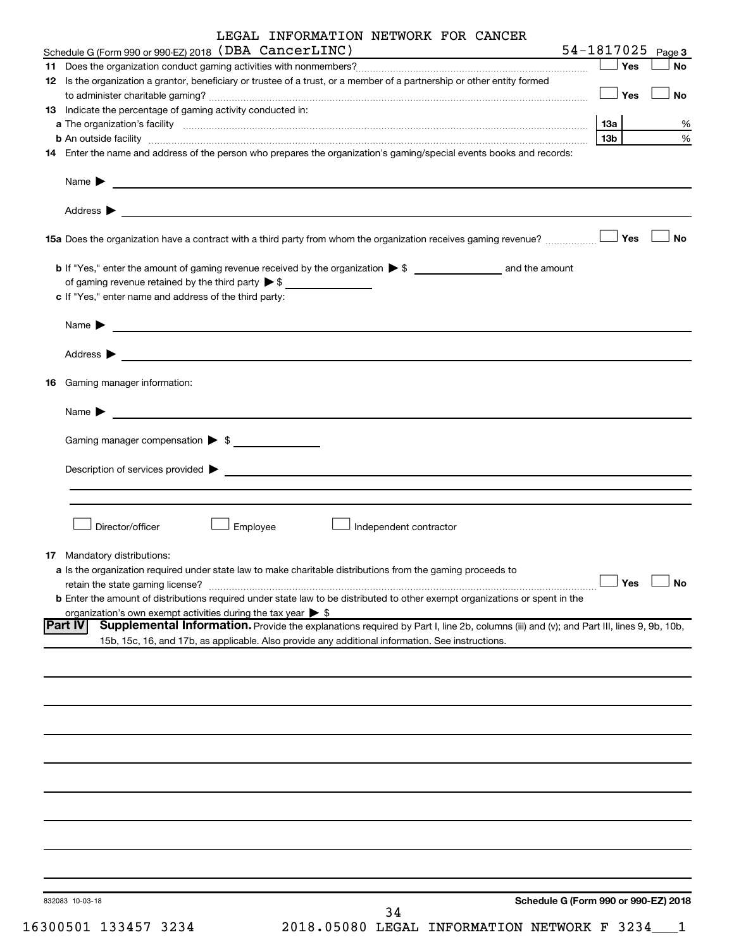| LEGAL INFORMATION NETWORK FOR CANCER                                                                                                                                                                                                                               |                                      |           |
|--------------------------------------------------------------------------------------------------------------------------------------------------------------------------------------------------------------------------------------------------------------------|--------------------------------------|-----------|
| Schedule G (Form 990 or 990-EZ) 2018 (DBA CancerLINC)                                                                                                                                                                                                              | 54-1817025 Page 3                    |           |
| 12 Is the organization a grantor, beneficiary or trustee of a trust, or a member of a partnership or other entity formed                                                                                                                                           | Yes                                  | <b>No</b> |
|                                                                                                                                                                                                                                                                    | $\Box$ Yes                           | No        |
| 13 Indicate the percentage of gaming activity conducted in:                                                                                                                                                                                                        |                                      |           |
|                                                                                                                                                                                                                                                                    | 1За                                  | %         |
| b An outside facility www.communications.com/news/communications.com/news/communications.com/news/communicatio                                                                                                                                                     | 13b l                                | $\%$      |
| 14 Enter the name and address of the person who prepares the organization's gaming/special events books and records:                                                                                                                                               |                                      |           |
| Name $\blacktriangleright$<br><u>some started and the started and the started and the started and the started and the started and the started and the started and the started and the started and the started and the started and the started and the started </u> |                                      |           |
| Address $\blacktriangleright$<br><u>some started and the started and the started and the started and the started and the started and the started and</u>                                                                                                           |                                      |           |
|                                                                                                                                                                                                                                                                    |                                      | <b>No</b> |
|                                                                                                                                                                                                                                                                    |                                      |           |
| of gaming revenue retained by the third party $\triangleright$ \$                                                                                                                                                                                                  |                                      |           |
| c If "Yes," enter name and address of the third party:                                                                                                                                                                                                             |                                      |           |
| Name $\blacktriangleright$<br><u> 1989 - Johann John Stein, markin fan it ferskearre fan it ferskearre fan it ferskearre fan it ferskearre fan</u>                                                                                                                 |                                      |           |
| Address $\blacktriangleright$                                                                                                                                                                                                                                      |                                      |           |
| <b>16</b> Gaming manager information:                                                                                                                                                                                                                              |                                      |           |
| Name $\blacktriangleright$                                                                                                                                                                                                                                         |                                      |           |
| Gaming manager compensation > \$                                                                                                                                                                                                                                   |                                      |           |
| Description of services provided states and the contract of the contract of the contract of the contract of the contract of the contract of the contract of the contract of the contract of the contract of the contract of th                                     |                                      |           |
|                                                                                                                                                                                                                                                                    |                                      |           |
|                                                                                                                                                                                                                                                                    |                                      |           |
| Director/officer<br>Employee<br>Independent contractor                                                                                                                                                                                                             |                                      |           |
| 17 Mandatory distributions:                                                                                                                                                                                                                                        |                                      |           |
| a Is the organization required under state law to make charitable distributions from the gaming proceeds to                                                                                                                                                        |                                      |           |
| retain the state gaming license?                                                                                                                                                                                                                                   | Yes                                  | <b>No</b> |
| <b>b</b> Enter the amount of distributions required under state law to be distributed to other exempt organizations or spent in the                                                                                                                                |                                      |           |
| organization's own exempt activities during the tax year $\triangleright$ \$<br> Part IV<br>Supplemental Information. Provide the explanations required by Part I, line 2b, columns (iii) and (v); and Part III, lines 9, 9b, 10b,                                 |                                      |           |
| 15b, 15c, 16, and 17b, as applicable. Also provide any additional information. See instructions.                                                                                                                                                                   |                                      |           |
|                                                                                                                                                                                                                                                                    |                                      |           |
|                                                                                                                                                                                                                                                                    |                                      |           |
|                                                                                                                                                                                                                                                                    |                                      |           |
|                                                                                                                                                                                                                                                                    |                                      |           |
|                                                                                                                                                                                                                                                                    |                                      |           |
|                                                                                                                                                                                                                                                                    |                                      |           |
|                                                                                                                                                                                                                                                                    |                                      |           |
|                                                                                                                                                                                                                                                                    |                                      |           |
|                                                                                                                                                                                                                                                                    |                                      |           |
|                                                                                                                                                                                                                                                                    |                                      |           |
|                                                                                                                                                                                                                                                                    |                                      |           |
|                                                                                                                                                                                                                                                                    |                                      |           |
|                                                                                                                                                                                                                                                                    |                                      |           |
| 832083 10-03-18<br>34                                                                                                                                                                                                                                              | Schedule G (Form 990 or 990-EZ) 2018 |           |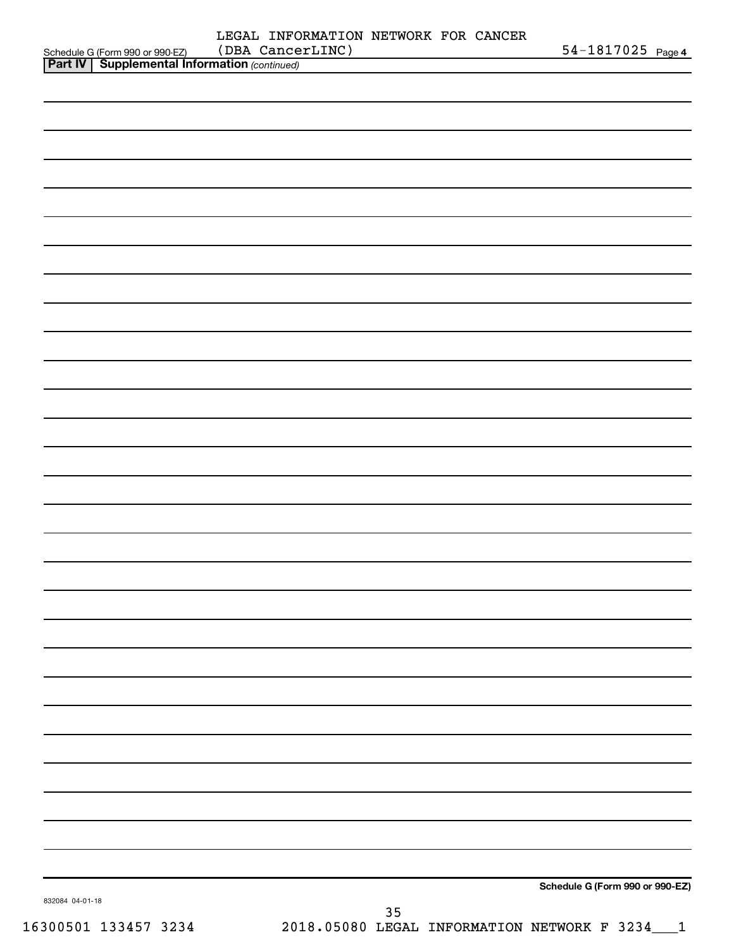|                                                                                                   | LEGAL INFORMATION NETWORK FOR CANCER<br>(DBA CancerLINC) |      |  | $54 - 1817025$ Page 4           |  |
|---------------------------------------------------------------------------------------------------|----------------------------------------------------------|------|--|---------------------------------|--|
| Schedule G (Form 990 or 990-EZ) (DBA Cance<br><b>Part IV</b> Supplemental Information (continued) |                                                          |      |  |                                 |  |
|                                                                                                   |                                                          |      |  |                                 |  |
|                                                                                                   |                                                          |      |  |                                 |  |
|                                                                                                   |                                                          |      |  |                                 |  |
|                                                                                                   |                                                          |      |  |                                 |  |
|                                                                                                   |                                                          |      |  |                                 |  |
|                                                                                                   |                                                          |      |  |                                 |  |
|                                                                                                   |                                                          |      |  |                                 |  |
|                                                                                                   |                                                          |      |  |                                 |  |
|                                                                                                   |                                                          |      |  |                                 |  |
|                                                                                                   |                                                          |      |  |                                 |  |
|                                                                                                   |                                                          |      |  |                                 |  |
|                                                                                                   |                                                          |      |  |                                 |  |
|                                                                                                   |                                                          |      |  |                                 |  |
|                                                                                                   |                                                          |      |  |                                 |  |
|                                                                                                   |                                                          |      |  |                                 |  |
|                                                                                                   |                                                          |      |  |                                 |  |
|                                                                                                   |                                                          |      |  |                                 |  |
|                                                                                                   |                                                          |      |  |                                 |  |
|                                                                                                   |                                                          |      |  |                                 |  |
|                                                                                                   |                                                          |      |  |                                 |  |
|                                                                                                   |                                                          |      |  |                                 |  |
|                                                                                                   |                                                          |      |  |                                 |  |
|                                                                                                   |                                                          |      |  |                                 |  |
|                                                                                                   |                                                          |      |  |                                 |  |
|                                                                                                   |                                                          |      |  |                                 |  |
|                                                                                                   |                                                          |      |  |                                 |  |
|                                                                                                   |                                                          |      |  |                                 |  |
|                                                                                                   |                                                          |      |  |                                 |  |
|                                                                                                   |                                                          |      |  |                                 |  |
|                                                                                                   |                                                          |      |  |                                 |  |
|                                                                                                   |                                                          |      |  |                                 |  |
|                                                                                                   |                                                          |      |  |                                 |  |
|                                                                                                   |                                                          |      |  |                                 |  |
|                                                                                                   |                                                          |      |  |                                 |  |
|                                                                                                   |                                                          |      |  |                                 |  |
|                                                                                                   |                                                          |      |  |                                 |  |
|                                                                                                   |                                                          |      |  |                                 |  |
|                                                                                                   |                                                          |      |  |                                 |  |
|                                                                                                   |                                                          |      |  |                                 |  |
|                                                                                                   |                                                          |      |  |                                 |  |
|                                                                                                   |                                                          |      |  |                                 |  |
|                                                                                                   |                                                          |      |  |                                 |  |
|                                                                                                   |                                                          |      |  |                                 |  |
|                                                                                                   |                                                          |      |  |                                 |  |
|                                                                                                   |                                                          |      |  |                                 |  |
|                                                                                                   |                                                          |      |  |                                 |  |
|                                                                                                   |                                                          |      |  | Schedule G (Form 990 or 990-EZ) |  |
| 832084 04-01-18                                                                                   |                                                          |      |  |                                 |  |
|                                                                                                   |                                                          | $35$ |  |                                 |  |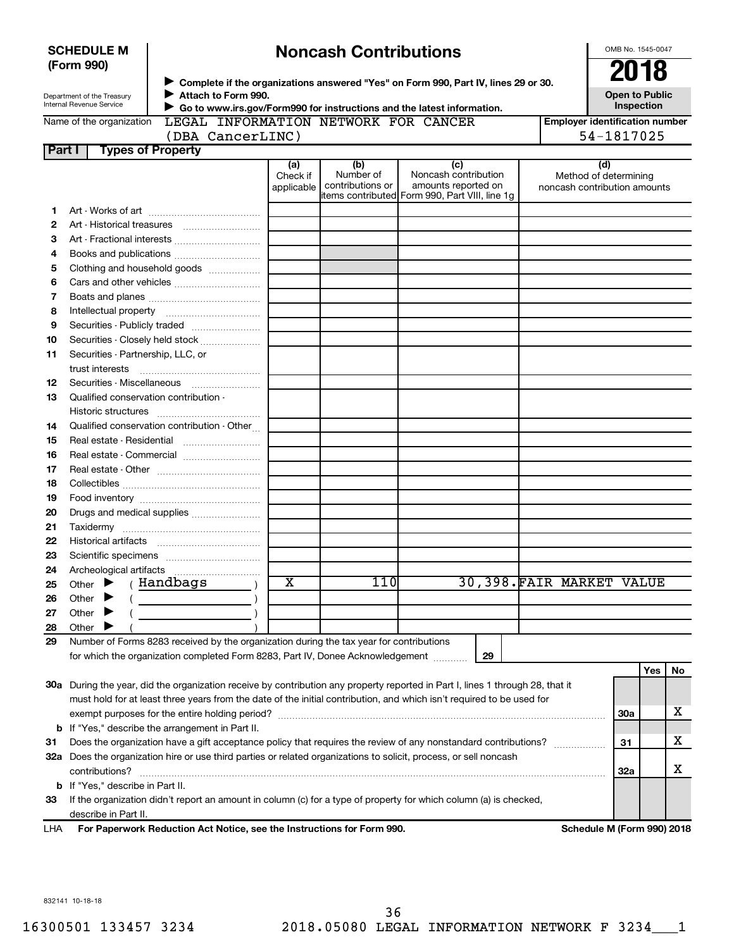|        | <b>SCHEDULE M</b>                                      |                                                                                                                                                                                                                                                         |                         | <b>Noncash Contributions</b>  |                                                                                               |                          | OMB No. 1545-0047                                     |     |    |
|--------|--------------------------------------------------------|---------------------------------------------------------------------------------------------------------------------------------------------------------------------------------------------------------------------------------------------------------|-------------------------|-------------------------------|-----------------------------------------------------------------------------------------------|--------------------------|-------------------------------------------------------|-----|----|
|        | (Form 990)                                             |                                                                                                                                                                                                                                                         |                         |                               |                                                                                               |                          | 2018                                                  |     |    |
|        |                                                        |                                                                                                                                                                                                                                                         |                         |                               | ▶ Complete if the organizations answered "Yes" on Form 990, Part IV, lines 29 or 30.          |                          |                                                       |     |    |
|        | Department of the Treasury<br>Internal Revenue Service | Attach to Form 990.                                                                                                                                                                                                                                     |                         |                               |                                                                                               |                          | <b>Open to Public</b>                                 |     |    |
|        |                                                        |                                                                                                                                                                                                                                                         |                         |                               | Go to www.irs.gov/Form990 for instructions and the latest information.                        |                          | Inspection                                            |     |    |
|        | Name of the organization                               | LEGAL INFORMATION NETWORK FOR CANCER                                                                                                                                                                                                                    |                         |                               |                                                                                               |                          | <b>Employer identification number</b>                 |     |    |
| Part I |                                                        | (DBA CancerLINC)<br><b>Types of Property</b>                                                                                                                                                                                                            |                         |                               |                                                                                               |                          | 54-1817025                                            |     |    |
|        |                                                        |                                                                                                                                                                                                                                                         | (a)                     | (b)                           | (c)                                                                                           |                          | (d)                                                   |     |    |
|        |                                                        |                                                                                                                                                                                                                                                         | Check if<br>applicable  | Number of<br>contributions or | Noncash contribution<br>amounts reported on<br>items contributed Form 990, Part VIII, line 1g |                          | Method of determining<br>noncash contribution amounts |     |    |
| 1      |                                                        |                                                                                                                                                                                                                                                         |                         |                               |                                                                                               |                          |                                                       |     |    |
| 2      |                                                        |                                                                                                                                                                                                                                                         |                         |                               |                                                                                               |                          |                                                       |     |    |
| З      |                                                        |                                                                                                                                                                                                                                                         |                         |                               |                                                                                               |                          |                                                       |     |    |
| 4      |                                                        |                                                                                                                                                                                                                                                         |                         |                               |                                                                                               |                          |                                                       |     |    |
| 5      |                                                        | Clothing and household goods                                                                                                                                                                                                                            |                         |                               |                                                                                               |                          |                                                       |     |    |
| 6      |                                                        |                                                                                                                                                                                                                                                         |                         |                               |                                                                                               |                          |                                                       |     |    |
| 7      |                                                        |                                                                                                                                                                                                                                                         |                         |                               |                                                                                               |                          |                                                       |     |    |
| 8      |                                                        |                                                                                                                                                                                                                                                         |                         |                               |                                                                                               |                          |                                                       |     |    |
| 9      |                                                        |                                                                                                                                                                                                                                                         |                         |                               |                                                                                               |                          |                                                       |     |    |
| 10     |                                                        | Securities - Closely held stock                                                                                                                                                                                                                         |                         |                               |                                                                                               |                          |                                                       |     |    |
| 11     | Securities - Partnership, LLC, or                      |                                                                                                                                                                                                                                                         |                         |                               |                                                                                               |                          |                                                       |     |    |
|        | trust interests                                        |                                                                                                                                                                                                                                                         |                         |                               |                                                                                               |                          |                                                       |     |    |
| 12     |                                                        |                                                                                                                                                                                                                                                         |                         |                               |                                                                                               |                          |                                                       |     |    |
| 13     | Qualified conservation contribution -                  |                                                                                                                                                                                                                                                         |                         |                               |                                                                                               |                          |                                                       |     |    |
|        |                                                        |                                                                                                                                                                                                                                                         |                         |                               |                                                                                               |                          |                                                       |     |    |
| 14     |                                                        | Qualified conservation contribution - Other                                                                                                                                                                                                             |                         |                               |                                                                                               |                          |                                                       |     |    |
| 15     |                                                        |                                                                                                                                                                                                                                                         |                         |                               |                                                                                               |                          |                                                       |     |    |
| 16     |                                                        | Real estate - Commercial                                                                                                                                                                                                                                |                         |                               |                                                                                               |                          |                                                       |     |    |
| 17     |                                                        |                                                                                                                                                                                                                                                         |                         |                               |                                                                                               |                          |                                                       |     |    |
| 18     |                                                        |                                                                                                                                                                                                                                                         |                         |                               |                                                                                               |                          |                                                       |     |    |
| 19     |                                                        |                                                                                                                                                                                                                                                         |                         |                               |                                                                                               |                          |                                                       |     |    |
| 20     |                                                        | Drugs and medical supplies                                                                                                                                                                                                                              |                         |                               |                                                                                               |                          |                                                       |     |    |
| 21     |                                                        |                                                                                                                                                                                                                                                         |                         |                               |                                                                                               |                          |                                                       |     |    |
| 22     |                                                        |                                                                                                                                                                                                                                                         |                         |                               |                                                                                               |                          |                                                       |     |    |
| 23     |                                                        |                                                                                                                                                                                                                                                         |                         |                               |                                                                                               |                          |                                                       |     |    |
| 24     |                                                        |                                                                                                                                                                                                                                                         |                         |                               |                                                                                               |                          |                                                       |     |    |
| 25     | Other                                                  | Handbags                                                                                                                                                                                                                                                | $\overline{\mathbf{X}}$ | 110                           |                                                                                               | 30,398.FAIR MARKET VALUE |                                                       |     |    |
| 26     | Other                                                  |                                                                                                                                                                                                                                                         |                         |                               |                                                                                               |                          |                                                       |     |    |
| 27     | Other                                                  |                                                                                                                                                                                                                                                         |                         |                               |                                                                                               |                          |                                                       |     |    |
| 28     | Other                                                  |                                                                                                                                                                                                                                                         |                         |                               |                                                                                               |                          |                                                       |     |    |
| 29     |                                                        | Number of Forms 8283 received by the organization during the tax year for contributions                                                                                                                                                                 |                         |                               |                                                                                               |                          |                                                       |     |    |
|        |                                                        | for which the organization completed Form 8283, Part IV, Donee Acknowledgement                                                                                                                                                                          |                         |                               | 29                                                                                            |                          |                                                       |     |    |
|        |                                                        |                                                                                                                                                                                                                                                         |                         |                               |                                                                                               |                          |                                                       | Yes | No |
|        |                                                        | 30a During the year, did the organization receive by contribution any property reported in Part I, lines 1 through 28, that it<br>must hold for at least three years from the date of the initial contribution, and which isn't required to be used for |                         |                               |                                                                                               |                          |                                                       |     |    |
|        |                                                        |                                                                                                                                                                                                                                                         |                         |                               |                                                                                               |                          | 30a                                                   |     | х  |
|        |                                                        | <b>b</b> If "Yes," describe the arrangement in Part II.                                                                                                                                                                                                 |                         |                               |                                                                                               |                          |                                                       |     |    |
| 31     |                                                        | Does the organization have a gift acceptance policy that requires the review of any nonstandard contributions?                                                                                                                                          |                         |                               |                                                                                               |                          | 31                                                    |     | х  |
|        |                                                        | 32a Does the organization hire or use third parties or related organizations to solicit, process, or sell noncash                                                                                                                                       |                         |                               |                                                                                               |                          |                                                       |     |    |
|        | contributions?                                         |                                                                                                                                                                                                                                                         |                         |                               |                                                                                               |                          | 32a                                                   |     | x. |
|        | <b>b</b> If "Yes," describe in Part II.                |                                                                                                                                                                                                                                                         |                         |                               |                                                                                               |                          |                                                       |     |    |
| 33     |                                                        | If the organization didn't report an amount in column (c) for a type of property for which column (a) is checked,                                                                                                                                       |                         |                               |                                                                                               |                          |                                                       |     |    |
|        | describe in Part II.                                   |                                                                                                                                                                                                                                                         |                         |                               |                                                                                               |                          |                                                       |     |    |
| LHA    |                                                        | For Paperwork Reduction Act Notice, see the Instructions for Form 990.                                                                                                                                                                                  |                         |                               |                                                                                               |                          | Schedule M (Form 990) 2018                            |     |    |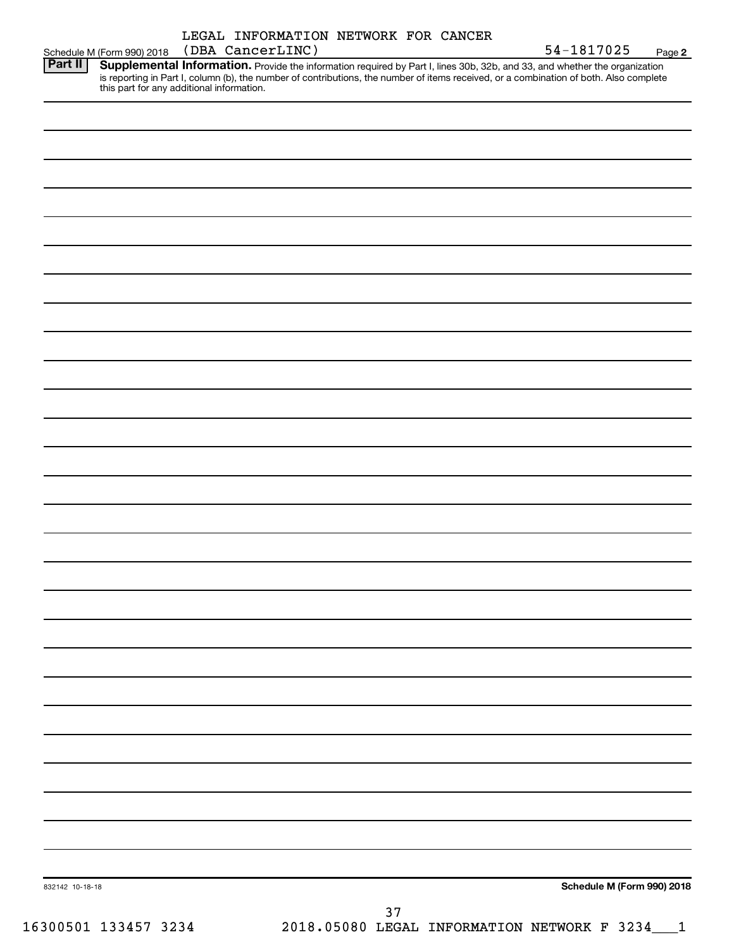|                 |                            | LEGAL INFORMATION NETWORK FOR CANCER |    |  |                                                                                                                                                                                                                                                                                                                |        |
|-----------------|----------------------------|--------------------------------------|----|--|----------------------------------------------------------------------------------------------------------------------------------------------------------------------------------------------------------------------------------------------------------------------------------------------------------------|--------|
|                 | Schedule M (Form 990) 2018 | (DBA CancerLINC)                     |    |  | 54-1817025                                                                                                                                                                                                                                                                                                     | Page 2 |
| Part II         |                            |                                      |    |  | Supplemental Information. Provide the information required by Part I, lines 30b, 32b, and 33, and whether the organization<br>is reporting in Part I, column (b), the number of contributions, the number of items received, or a combination of both. Also complete this part for any additional information. |        |
|                 |                            |                                      |    |  |                                                                                                                                                                                                                                                                                                                |        |
|                 |                            |                                      |    |  |                                                                                                                                                                                                                                                                                                                |        |
|                 |                            |                                      |    |  |                                                                                                                                                                                                                                                                                                                |        |
|                 |                            |                                      |    |  |                                                                                                                                                                                                                                                                                                                |        |
|                 |                            |                                      |    |  |                                                                                                                                                                                                                                                                                                                |        |
|                 |                            |                                      |    |  |                                                                                                                                                                                                                                                                                                                |        |
|                 |                            |                                      |    |  |                                                                                                                                                                                                                                                                                                                |        |
|                 |                            |                                      |    |  |                                                                                                                                                                                                                                                                                                                |        |
|                 |                            |                                      |    |  |                                                                                                                                                                                                                                                                                                                |        |
|                 |                            |                                      |    |  |                                                                                                                                                                                                                                                                                                                |        |
|                 |                            |                                      |    |  |                                                                                                                                                                                                                                                                                                                |        |
|                 |                            |                                      |    |  |                                                                                                                                                                                                                                                                                                                |        |
|                 |                            |                                      |    |  |                                                                                                                                                                                                                                                                                                                |        |
|                 |                            |                                      |    |  |                                                                                                                                                                                                                                                                                                                |        |
|                 |                            |                                      |    |  |                                                                                                                                                                                                                                                                                                                |        |
|                 |                            |                                      |    |  |                                                                                                                                                                                                                                                                                                                |        |
|                 |                            |                                      |    |  |                                                                                                                                                                                                                                                                                                                |        |
|                 |                            |                                      |    |  |                                                                                                                                                                                                                                                                                                                |        |
|                 |                            |                                      |    |  |                                                                                                                                                                                                                                                                                                                |        |
|                 |                            |                                      |    |  |                                                                                                                                                                                                                                                                                                                |        |
|                 |                            |                                      |    |  |                                                                                                                                                                                                                                                                                                                |        |
|                 |                            |                                      |    |  |                                                                                                                                                                                                                                                                                                                |        |
|                 |                            |                                      |    |  |                                                                                                                                                                                                                                                                                                                |        |
|                 |                            |                                      |    |  |                                                                                                                                                                                                                                                                                                                |        |
|                 |                            |                                      |    |  |                                                                                                                                                                                                                                                                                                                |        |
|                 |                            |                                      |    |  |                                                                                                                                                                                                                                                                                                                |        |
|                 |                            |                                      |    |  |                                                                                                                                                                                                                                                                                                                |        |
|                 |                            |                                      |    |  |                                                                                                                                                                                                                                                                                                                |        |
|                 |                            |                                      |    |  |                                                                                                                                                                                                                                                                                                                |        |
|                 |                            |                                      |    |  |                                                                                                                                                                                                                                                                                                                |        |
|                 |                            |                                      |    |  |                                                                                                                                                                                                                                                                                                                |        |
| 832142 10-18-18 |                            |                                      | 37 |  | Schedule M (Form 990) 2018                                                                                                                                                                                                                                                                                     |        |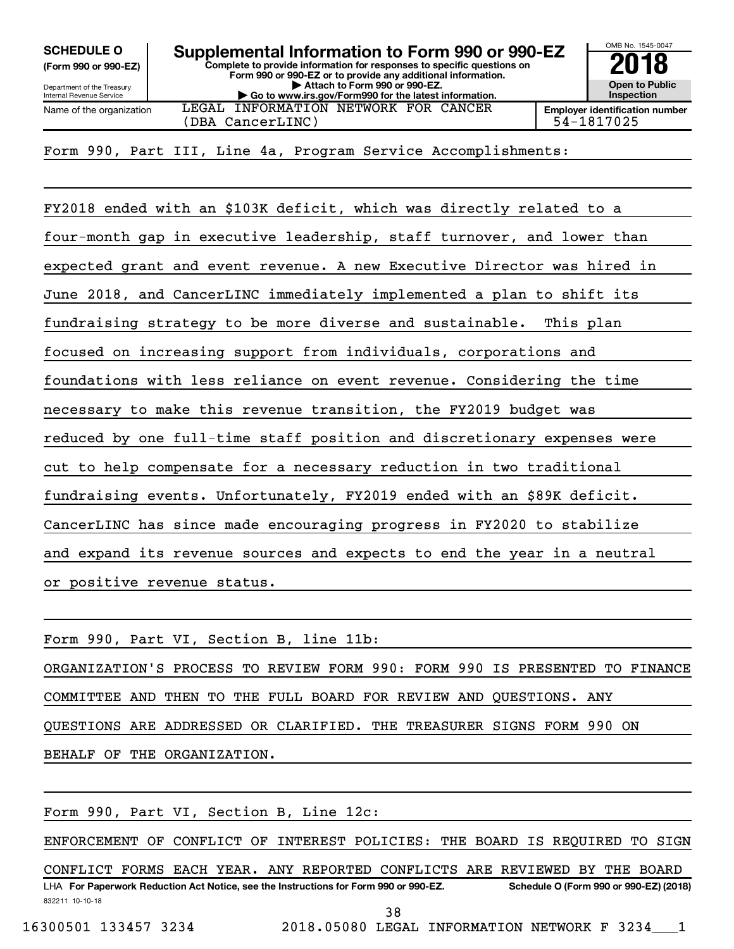Department of the Treasury **Complete to provide information for responses to specific questions on Form 990 or 990-EZ or to provide any additional information. | Attach to Form 990 or 990-EZ. (Form 990 or 990-EZ) SCHEDULE O Supplemental Information to Form 990 or 990-EZ 2018**

Internal Revenue Service

Name of the organization



Form 990, Part III, Line 4a, Program Service Accomplishments:

FY2018 ended with an \$103K deficit, which was directly related to a four-month gap in executive leadership, staff turnover, and lower than expected grant and event revenue. A new Executive Director was hired in June 2018, and CancerLINC immediately implemented a plan to shift its fundraising strategy to be more diverse and sustainable. This plan focused on increasing support from individuals, corporations and foundations with less reliance on event revenue. Considering the time necessary to make this revenue transition, the FY2019 budget was reduced by one full-time staff position and discretionary expenses were cut to help compensate for a necessary reduction in two traditional fundraising events. Unfortunately, FY2019 ended with an \$89K deficit. CancerLINC has since made encouraging progress in FY2020 to stabilize and expand its revenue sources and expects to end the year in a neutral or positive revenue status.

**| Go to www.irs.gov/Form990 for the latest information.**

LEGAL INFORMATION NETWORK FOR CANCER

|                             |  |  |  | Form 990, Part VI, Section B, line 11b:                               |  |  |  |  |                                                                             |
|-----------------------------|--|--|--|-----------------------------------------------------------------------|--|--|--|--|-----------------------------------------------------------------------------|
|                             |  |  |  |                                                                       |  |  |  |  | ORGANIZATION'S PROCESS TO REVIEW FORM 990: FORM 990 IS PRESENTED TO FINANCE |
|                             |  |  |  | COMMITTEE AND THEN TO THE FULL BOARD FOR REVIEW AND QUESTIONS. ANY    |  |  |  |  |                                                                             |
|                             |  |  |  | QUESTIONS ARE ADDRESSED OR CLARIFIED. THE TREASURER SIGNS FORM 990 ON |  |  |  |  |                                                                             |
| BEHALF OF THE ORGANIZATION. |  |  |  |                                                                       |  |  |  |  |                                                                             |

|                      |  | Form 990, Part VI, Section B, Line 12c:                                              |                                             |    |  |  |  |  |                                        |
|----------------------|--|--------------------------------------------------------------------------------------|---------------------------------------------|----|--|--|--|--|----------------------------------------|
|                      |  | ENFORCEMENT OF CONFLICT OF INTEREST POLICIES: THE BOARD IS REQUIRED TO SIGN          |                                             |    |  |  |  |  |                                        |
|                      |  | CONFLICT FORMS EACH YEAR. ANY REPORTED CONFLICTS ARE REVIEWED BY THE BOARD           |                                             |    |  |  |  |  |                                        |
|                      |  | LHA For Paperwork Reduction Act Notice, see the Instructions for Form 990 or 990-EZ. |                                             |    |  |  |  |  | Schedule O (Form 990 or 990-EZ) (2018) |
| 832211 10-10-18      |  |                                                                                      |                                             |    |  |  |  |  |                                        |
|                      |  |                                                                                      |                                             | 38 |  |  |  |  |                                        |
| 16300501 133457 3234 |  |                                                                                      | 2018.05080 LEGAL INFORMATION NETWORK F 3234 |    |  |  |  |  |                                        |